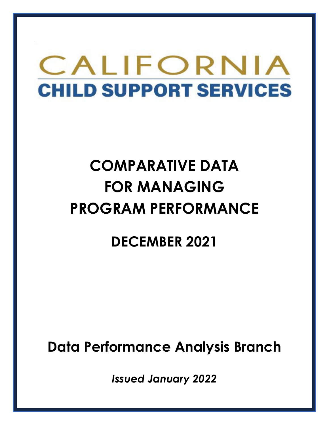# CALIFORNIA **CHILD SUPPORT SERVICES**

# **COMPARATIVE DATA FOR MANAGING PROGRAM PERFORMANCE**

# **DECEMBER 2021**

**Data Performance Analysis Branch** 

*Issued January 2022*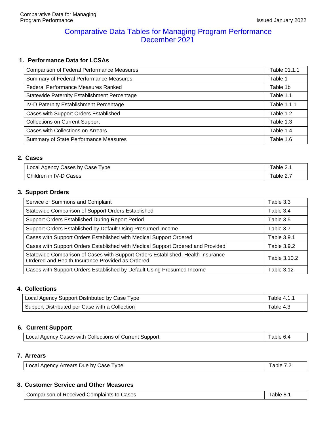### Comparative Data Tables for Managing Program Performance December 2021

#### **1. Performance Data for LCSAs**

| <b>Comparison of Federal Performance Measures</b>   | Table 01.1.1 |
|-----------------------------------------------------|--------------|
| Summary of Federal Performance Measures             | Table 1      |
| <b>Federal Performance Measures Ranked</b>          | Table 1b     |
| <b>Statewide Paternity Establishment Percentage</b> | Table 1.1    |
| IV-D Paternity Establishment Percentage             | Table 1.1.1  |
| Cases with Support Orders Established               | Table 1.2    |
| <b>Collections on Current Support</b>               | Table 1.3    |
| Cases with Collections on Arrears                   | Table 1.4    |
| Summary of State Performance Measures               | Table 1.6    |

#### **2. Cases**

| <sup>1</sup> Local Agency Cases by Case 1<br>Type | Table 2. |
|---------------------------------------------------|----------|
| Children in<br><b>IV-D Cases</b>                  | able 2.7 |

#### **3. Support Orders**

| Service of Summons and Complaint                                                                                                    | Table 3.3         |
|-------------------------------------------------------------------------------------------------------------------------------------|-------------------|
| Statewide Comparison of Support Orders Established                                                                                  | Table 3.4         |
| Support Orders Established During Report Period                                                                                     | Table 3.5         |
| Support Orders Established by Default Using Presumed Income                                                                         | Table 3.7         |
| Cases with Support Orders Established with Medical Support Ordered                                                                  | Table 3.9.1       |
| Cases with Support Orders Established with Medical Support Ordered and Provided                                                     | Table 3.9.2       |
| Statewide Comparison of Cases with Support Orders Established, Health Insurance<br>Ordered and Health Insurance Provided as Ordered | Table 3.10.2      |
| Cases with Support Orders Established by Default Using Presumed Income                                                              | <b>Table 3.12</b> |

#### **4. Collections**

| Local Agency Support Distributed by Case Type  | Table 4.1.1 |
|------------------------------------------------|-------------|
| Support Distributed per Case with a Collection | Table 4.3   |

#### **6. Current Support**

| Local Agency Cases with Collections of Current Support | $\vert$ Table 6.4 |
|--------------------------------------------------------|-------------------|
|--------------------------------------------------------|-------------------|

#### **7. Arrears**

| Local Agency Arrears Due by Case Type | Table 7.2 |
|---------------------------------------|-----------|
|---------------------------------------|-----------|

#### **8. Customer Service and Other Measures**

| Comparison of Received Complaints to Cases |  | Table 8.1 |
|--------------------------------------------|--|-----------|
|--------------------------------------------|--|-----------|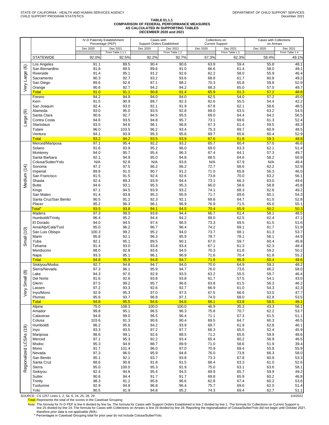#### **TABLE 01.1.1 COMPARISON OF FEDERAL PERFORMANCE MEASURES AS CALCULATED IN SUPPORTING TABLES DECEMBER 2020 and 2021**

|             |                             |               | IV-D Paternity Establishment<br>Percentage (PEP) | Cases with    | <b>Support Orders Established</b> | Collections on<br><b>Current Support</b> |                | Cases with Collections<br>on Arrears |                |  |
|-------------|-----------------------------|---------------|--------------------------------------------------|---------------|-----------------------------------|------------------------------------------|----------------|--------------------------------------|----------------|--|
|             |                             | Dec 2020      | Dec 2021                                         | Dec 2020      | Dec 2021                          | Dec 2020                                 | Dec 2021       | Dec 2020                             | Dec 2021       |  |
|             |                             |               | From Table 1.1.1                                 |               | From Table 1.2                    |                                          | From Table 1.3 |                                      | From Table 1.4 |  |
|             | <b>STATEWIDE</b>            | 92.0%         | 92.5%                                            | 92.2%         | 92.7%                             | 67.3%                                    | 62.3%          | 58.4%                                | 49.1%          |  |
| $\circlede$ | Los Angeles                 | 91.1          | 89.5                                             | 90.4          | 90.6                              | 63.9                                     | 59.4           | 55.8                                 | 48.1           |  |
|             | San Bernardino<br>Riverside | 91.8<br>91.4  | 89.5<br>95.1                                     | 89.6<br>91.2  | 91.0<br>92.6                      | 66.6<br>62.2                             | 61.4<br>58.0   | 58.0<br>55.9                         | 49.1<br>46.4   |  |
|             | Sacramento                  | 90.3          | 92.7                                             | 93.2          | 93.6                              | 68.8                                     | 61.7           | 60.8                                 | 49.2           |  |
|             | San Diego                   | 89.6          | 92.6                                             | 87.1          | 88.2                              | 70.3                                     | 65.8           | 59.8                                 | 52.9           |  |
| Very Large  | Orange                      | 90.6          | 92.7                                             | 94.2          | 94.2                              | 68.3                                     | 65.0           | 57.0                                 | 49.7           |  |
|             | <b>Total</b>                | 91.0          | 91.1                                             | 90.8          | 91.4                              | 65.9                                     | 61.3           | 57.2                                 | 48.8           |  |
|             | Fresno<br>Kern              | 94.2<br>91.5  | 94.9<br>90.9                                     | 94.0<br>89.7  | 94.0<br>92.3                      | 62.5<br>62.6                             | 54.0<br>55.5   | 57.2<br>54.4                         | 45.0<br>42.2   |  |
| ම           | San Joaquin                 | 92.4          | 93.0                                             | 92.1          | 91.9                              | 67.8                                     | 62.1           | 58.6                                 | 48.5           |  |
|             | Alameda                     | 93.0          | 95.0                                             | 93.5          | 92.8                              | 69.0                                     | 63.5           | 63.2                                 | 54.5           |  |
|             | Santa Clara                 | 90.6          | 92.7                                             | 94.5          | 95.5                              | 69.0                                     | 64.4           | 64.2                                 | 56.5           |  |
| arge        | Contra Costa                | 94.6          | 93.5                                             | 94.8          | 95.7                              | 73.1                                     | 69.6           | 61.3                                 | 52.4           |  |
|             | <b>Stanislaus</b><br>Tulare | 93.5<br>96.0  | 94.6<br>103.5                                    | 96.1<br>96.2  | 96.6<br>93.4                      | 67.3<br>75.3                             | 61.4<br>69.7   | 59.5<br>60.9                         | 48.3<br>48.5   |  |
|             | Ventura                     | 94.1          | 93.9                                             | 95.3          | 95.6                              | 69.7                                     | 65.6           | 60.4                                 | 52.9           |  |
|             | <b>Total</b>                | 93.2          | 94.2                                             | 93.5          | 93.9                              | 67.6                                     | 61.8           | 59.3                                 | 48.8           |  |
|             | Merced/Mariposa             | 97.1          | 95.4                                             | 92.2          | 93.2                              | 65.7                                     | 60.4           | 57.0                                 | 46.6           |  |
|             | Solano                      | 91.6          | 93.9                                             | 95.2          | 96.0                              | 69.0                                     | 63.3           | 62.1                                 | 51.4           |  |
|             | Monterey<br>Santa Barbara   | 94.0<br>92.1  | 95.7<br>94.9                                     | 95.4<br>95.0  | 96.3<br>94.8                      | 67.4<br>68.5                             | 64.1<br>64.6   | 57.3<br>58.2                         | 49.7<br>50.9   |  |
|             | Colusa/Sutter/Yolo          | N/A           | 92.8                                             | N/A           | 93.6                              | N/A                                      | 67.9           | N/A                                  | 49.4           |  |
|             | Sonoma                      | 97.2          | 97.5                                             | 96.2          | 96.2                              | 72.7                                     | 68.6           | 62.2                                 | 52.9           |  |
|             | Imperial                    | 89.8          | 91.0                                             | 90.7          | 91.2                              | 71.0                                     | 65.8           | 56.3                                 | 46.0           |  |
|             | San Francisco               | 91.5          | 91.5                                             | 92.4          | 92.6                              | 73.8                                     | 70.0           | 63.2                                 | 56.1           |  |
| Medium (14) | Shasta<br><b>Butte</b>      | 92.4<br>94.6  | 89.3<br>93.1                                     | 93.9<br>95.3  | 94.4<br>95.3                      | 73.1<br>66.0                             | 66.3<br>58.6   | 63.0<br>58.8                         | 49.6<br>45.8   |  |
|             | Kings                       | 97.1          | 94.5                                             | 93.9          | 93.2                              | 74.1                                     | 68.3           | 62.6                                 | 49.2           |  |
|             | San Mateo                   | 91.4          | 93.8                                             | 95.3          | 95.9                              | 71.7                                     | 69.6           | 60.1                                 | 54.3           |  |
|             | Santa Cruz/San Benito       | 90.5          | 91.2                                             | 92.3          | 92.1                              | 69.8                                     | 64.7           | 61.0                                 | 52.8           |  |
|             | Placer                      | 95.2<br>93.5  | 96.3<br>93.8                                     | 96.1          | 96.9<br>94.5                      | 76.9                                     | 71.5           | 65.0                                 | 55.1           |  |
|             | Total*<br>Madera            | 97.3          | 99.0                                             | 94.1<br>93.8  | 94.4                              | 70.4<br>66.7                             | 65.9<br>61.4   | 60.2<br>58.1                         | 50.3<br>48.5   |  |
|             | Humboldt/Trinity            | 96.4          | 95.2                                             | 94.4          | 94.2                              | 69.0                                     | 62.5           | 62.4                                 | 47.1           |  |
|             | El Dorado                   | 94.0          | 94.5                                             | 97.4          | 96.5                              | 73.3                                     | 69.5           | 61.5                                 | 51.6           |  |
|             | Ama/Alp/Cala/Tuol           | 95.0          | 96.2                                             | 96.7          | 96.4                              | 74.2                                     | 69.1           | 61.7                                 | 51.9<br>53.7   |  |
|             | San Luis Obispo<br>Marin    | 100.3<br>95.8 | 99.2<br>92.1                                     | 95.2<br>96.3  | 94.0<br>95.9                      | 73.7<br>78.7                             | 68.1<br>78.1   | 61.3<br>56.1                         | 44.9           |  |
| mall (10)   | Yuba                        | 92.1          | 95.1                                             | 89.5          | 90.1                              | 67.0                                     | 59.7           | 60.4                                 | 45.8           |  |
|             | Tehama                      | 91.4          | 93.0                                             | 93.8          | 93.4                              | 67.1                                     | 61.3           | 62.3                                 | 48.4           |  |
|             | Mendocino                   | 88.0          | 92.8                                             | 93.6          | 94.5                              | 70.3                                     | 61.8           | 59.2                                 | 50.2           |  |
|             | Napa<br><b>Total</b>        | 93.3<br>94.8  | 95.1<br>95.9                                     | 96.1<br>94.8  | 96.9<br>94.7                      | 71.6<br>71.6                             | 70.4<br>66.9   | 61.8<br>60.4                         | 55.2<br>49.6   |  |
|             | Siskiyou/Modoc              | 92.7          | 94.6                                             | 94.7          | 94.0                              | 70.0                                     | 64.9           | 59.1                                 | 48.2           |  |
|             | Sierra/Nevada               | 97.3          | 96.1                                             | 95.9          | 94.7                              | 76.0                                     | 73.6           | 66.2                                 | 58.0           |  |
| $\circledR$ | Lake                        | 94.3          | 97.0                                             | 92.9          | 93.5                              | 63.2                                     | 55.5           | 59.7                                 | 46.4           |  |
| Smal        | Del Norte                   | 91.6          | 92.6<br>99.2                                     | 93.8          | 93.8                              | 61.7                                     | 57.5           | 54.1                                 | 43.0           |  |
|             | Glenn<br>Lassen             | 97.5<br>97.2  | 93.3                                             | 95.7<br>92.6  | 96.6<br>92.7                      | 63.8<br>66.9                             | 61.5<br>61.0   | 56.3<br>54.3                         | 46.2<br>42.3   |  |
| ΘŊ          | Inyo/Mono                   | 92.9          | 95.3                                             | 97.0          | 97.5                              | 67.5                                     | 66.6           | 53.0                                 | 47.7           |  |
|             | Plumas                      | 95.6          | 93.7                                             | 96.8          | 97.1                              | 74.0                                     | 68.0           | 62.8                                 | 53.5           |  |
|             | <b>Total</b>                | 94.8          | 95.5                                             | 94.6          | 94.6                              | 68.1                                     | 63.8           | 58.5                                 | 48.1           |  |
|             | Alpine<br>Amador            | 75.0<br>99.8  | 108.3<br>95.1                                    | 100.0<br>96.5 | 100.0<br>96.3                     | 46.9<br>75.8                             | 35.3<br>70.7   | 43.3<br>62.2                         | 58.1<br>53.7   |  |
|             | Calaveras                   | 94.8          | 99.0                                             | 96.5          | 96.4                              | 71.1                                     | 67.3           | 61.5                                 | 51.1           |  |
|             | Colusa                      | 103.6         | 91.3                                             | 90.6          | 90.4                              | 69.5                                     | 64.7           | 60.3                                 | 46.5           |  |
|             | Humboldt                    | 96.2          | 95.6                                             | 94.2          | 93.9                              | 69.7                                     | 61.9           | 62.8                                 | 46.1           |  |
|             | Inyo<br>Mariposa            | 93.3<br>98.6  | 93.5<br>99.1                                     | 97.2<br>92.6  | 97.7<br>88.5                      | 66.3<br>71.2                             | 65.5<br>65.6   | 52.4<br>59.9                         | 45.9<br>48.6   |  |
|             | Merced                      | 97.1          | 95.3                                             | 92.2          | 93.4                              | 65.4                                     | 60.2           | 56.9                                 | 46.5           |  |
| LCSAs (19)  | Modoc                       | 95.3          | 94.9                                             | 88.7          | 89.9                              | 71.0                                     | 58.6           | 51.9                                 | 39.4           |  |
|             | Mono                        | 91.7          | 101.4                                            | 96.0          | 97.0                              | 70.9                                     | 69.4           | 55.8                                 | 55.9           |  |
|             | Nevada                      | 97.3          | 96.0                                             | 95.9          | 94.8                              | 76.0                                     | 73.8           | 66.3                                 | 58.0           |  |
| egionalized | San Benito<br>Santa Cruz    | 95.1<br>88.6  | 92.1<br>90.8                                     | 93.7<br>91.8  | 93.8<br>91.5                      | 73.3<br>68.4                             | 67.8<br>63.3   | 60.9<br>61.0                         | 53.3<br>52.6   |  |
|             | Sierra                      | 95.0          | 100.0                                            | 95.3          | 91.9                              | 75.0                                     | 63.1           | 63.6                                 | 58.1           |  |
|             | Siskiyou                    | 92.4          | 94.6                                             | 95.4          | 94.5                              | 69.9                                     | 65.7           | 59.9                                 | 49.2           |  |
|             | Sutter                      | 90.6          | 94.4                                             | 91.7          | 91.7                              | 69.8                                     | 65.9           | 60.2                                 | 46.8           |  |
|             | Trinity                     | 98.3          | 91.2                                             | 95.8          | 96.6                              | 62.8                                     | 67.4           | 60.2                                 | 53.6           |  |
|             | Tuolumne<br>Yolo            | 92.9<br>90.5  | 94.8<br>91.9                                     | 96.8<br>94.8  | 96.4<br>95.2                      | 75.7<br>74.3                             | 69.6<br>69.4   | 62.0<br>62.7                         | 51.4<br>51.1   |  |
|             |                             |               |                                                  |               |                                   |                                          |                |                                      |                |  |

SOURCE: CS 1257 Lines 1, 2, 5a, 6, 24, 25, 28, 29<br>Total: Represents the total of the scores in the Caseload Grouping in the Caseload Grouping in the Caseload Crouping

Note: The formula for IV-D PEP is line 6 divided by line 5a. The formula for Cases with Support Orders Established is line 2 divided by line 1. The formula for Collections on Current Support is<br>line 25 divided by line 28.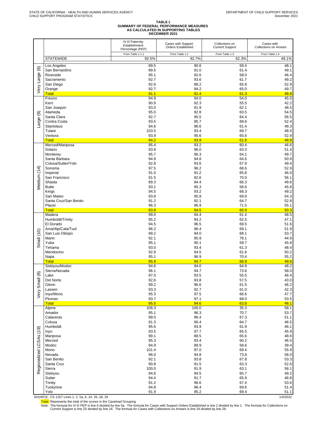# **TABLE 1 SUMMARY OF FEDERAL PERFORMANCE MEASURES AS CALCULATED IN SUPPORTING TABLES DECEMBER 2021**

|                         |                                     | <b>IV-D Paternity</b><br>Establishment<br>Percentage (PEP) | Cases with Support<br>Orders Established | Collections on<br><b>Current Support</b> | Cases with<br><b>Collections on Arrears</b> |
|-------------------------|-------------------------------------|------------------------------------------------------------|------------------------------------------|------------------------------------------|---------------------------------------------|
|                         |                                     | From Table 1.1.1                                           | From Table 1.2                           | From Table 1.3                           | From Table 1.4                              |
|                         | <b>STATEWIDE</b>                    | 92.5%                                                      | 92.7%                                    | 62.3%                                    | 49.1%                                       |
|                         | Los Angeles                         | 89.5                                                       | 90.6                                     | 59.4                                     | 48.1                                        |
|                         | San Bernardino<br>Riverside         | 89.5<br>95.1                                               | 91.0<br>92.6                             | 61.4<br>58.0                             | 49.1<br>46.4                                |
|                         | Sacramento                          | 92.7                                                       | 93.6                                     | 61.7                                     | 49.2                                        |
| Very Large (6)          | San Diego                           | 92.6                                                       | 88.2                                     | 65.8                                     | 52.9                                        |
|                         | Orange                              | 92.7                                                       | 94.2                                     | 65.0                                     | 49.7                                        |
|                         | <b>Total</b>                        | 91.1                                                       | 91.4                                     | 61.3                                     | 48.8                                        |
|                         | Fresno<br>Kern                      | 94.9<br>90.9                                               | 94.0<br>92.3                             | 54.0<br>55.5                             | 45.0<br>42.2                                |
|                         | San Joaquin                         | 93.0                                                       | 91.9                                     | 62.1                                     | 48.5                                        |
| ම                       | Alameda                             | 95.0                                                       | 92.8                                     | 63.5                                     | 54.5                                        |
|                         | Santa Clara                         | 92.7                                                       | 95.5                                     | 64.4                                     | 56.5                                        |
| Large                   | Contra Costa                        | 93.5                                                       | 95.7                                     | 69.6                                     | 52.4                                        |
|                         | Stanislaus<br>Tulare                | 94.6<br>103.5                                              | 96.6<br>93.4                             | 61.4<br>69.7                             | 48.3                                        |
|                         | Ventura                             | 93.9                                                       | 95.6                                     | 65.6                                     | 48.5<br>52.9                                |
|                         | <b>Total</b>                        | 94.2                                                       | 93.9                                     | 61.8                                     | 48.8                                        |
|                         | Merced/Mariposa                     | 95.4                                                       | 93.2                                     | 60.4                                     | 46.6                                        |
|                         | Solano                              | 93.9                                                       | 96.0                                     | 63.3                                     | 51.4                                        |
|                         | Monterey                            | 95.7                                                       | 96.3                                     | 64.1                                     | 49.7                                        |
|                         | Santa Barbara<br>Colusa/Sutter/Yolo | 94.9<br>92.8                                               | 94.8<br>93.6                             | 64.6<br>67.9                             | 50.9<br>49.4                                |
|                         | Sonoma                              | 97.5                                                       | 96.2                                     | 68.6                                     | 52.9                                        |
| Vledium (14)            | Imperial                            | 91.0                                                       | 91.2                                     | 65.8                                     | 46.0                                        |
|                         | San Francisco                       | 91.5                                                       | 92.6                                     | 70.0                                     | 56.1                                        |
|                         | Shasta                              | 89.3                                                       | 94.4                                     | 66.3                                     | 49.6                                        |
|                         | <b>Butte</b><br>Kings               | 93.1<br>94.5                                               | 95.3<br>93.2                             | 58.6<br>68.3                             | 45.8<br>49.2                                |
|                         | San Mateo                           | 93.8                                                       | 95.9                                     | 69.6                                     | 54.3                                        |
|                         | Santa Cruz/San Benito               | 91.2                                                       | 92.1                                     | 64.7                                     | 52.8                                        |
|                         | Placer                              | 96.3                                                       | 96.9                                     | 71.5                                     | 55.1                                        |
|                         | <b>Total</b>                        | 93.8                                                       | 94.5                                     | 65.9                                     | 50.3                                        |
|                         | Madera<br>Humboldt/Trinity          | 99.0<br>95.2                                               | 94.4<br>94.2                             | 61.4<br>62.5                             | 48.5<br>47.1                                |
|                         | El Dorado                           | 94.5                                                       | 96.5                                     | 69.5                                     | 51.6                                        |
|                         | Ama/Alp/Cala/Tuol                   | 96.2                                                       | 96.4                                     | 69.1                                     | 51.9                                        |
| Small (10)              | San Luis Obispo                     | 99.2                                                       | 94.0                                     | 68.1                                     | 53.7                                        |
|                         | Marin                               | 92.1                                                       | 95.9                                     | 78.1                                     | 44.9                                        |
|                         | Yuba<br>Tehama                      | 95.1<br>93.0                                               | 90.1<br>93.4                             | 59.7<br>61.3                             | 45.8<br>48.4                                |
|                         | Mendocino                           | 92.8                                                       | 94.5                                     | 61.8                                     | 50.2                                        |
|                         | Napa                                | 95.1                                                       | 96.9                                     | 70.4                                     | 55.2                                        |
|                         | <b>Total</b>                        | 95.9                                                       | 94.7                                     | 66.9                                     | 49.6                                        |
|                         | Siskiyou/Modoc                      | 94.6                                                       | 94.0                                     | 64.9                                     | 48.2                                        |
| $\circledast$           | Sierra/Nevada<br>Lake               | 96.1<br>97.0                                               | 94.7<br>93.5                             | 73.6<br>55.5                             | 58.0<br>46.4                                |
|                         | Del Norte                           | 92.6                                                       | 93.8                                     | 57.5                                     | 43.0                                        |
| Small                   | Glenn                               | 99.2                                                       | 96.6                                     | 61.5                                     | 46.2                                        |
|                         | Lassen                              | 93.3                                                       | 92.7                                     | 61.0                                     | 42.3                                        |
| Very                    | Inyo/Mono                           | 95.3                                                       | 97.5                                     | 66.6                                     | 47.7                                        |
|                         | Plumas<br><b>Total</b>              | 93.7<br>95.5                                               | 97.1<br>94.6                             | 68.0<br>63.8                             | 53.5<br>48.1                                |
|                         | Alpine                              | 108.3                                                      | 100.0                                    | 35.3                                     | 58.1                                        |
|                         | Amador                              | 95.1                                                       | 96.3                                     | 70.7                                     | 53.7                                        |
|                         | Calaveras                           | 99.0                                                       | 96.4                                     | 67.3                                     | 51.1                                        |
|                         | Colusa                              | 91.3                                                       | 90.4                                     | 64.7                                     | 46.5                                        |
|                         | Humboldt                            | 95.6<br>93.5                                               | 93.9<br>97.7                             | 61.9<br>65.5                             | 46.1<br>45.9                                |
|                         | Inyo<br>Mariposa                    | 99.1                                                       | 88.5                                     | 65.6                                     | 48.6                                        |
| Regionalized LCSAs (19) | Merced                              | 95.3                                                       | 93.4                                     | 60.2                                     | 46.5                                        |
|                         | Modoc                               | 94.9                                                       | 89.9                                     | 58.6                                     | 39.4                                        |
|                         | Mono                                | 101.4                                                      | 97.0                                     | 69.4                                     | 55.9                                        |
|                         | Nevada<br>San Benito                | 96.0<br>92.1                                               | 94.8<br>93.8                             | 73.8<br>67.8                             | 58.0<br>53.3                                |
|                         | Santa Cruz                          | 90.8                                                       | 91.5                                     | 63.3                                     | 52.6                                        |
|                         | Sierra                              | 100.0                                                      | 91.9                                     | 63.1                                     | 58.1                                        |
|                         | Siskiyou                            | 94.6                                                       | 94.5                                     | 65.7                                     | 49.2                                        |
|                         | Sutter                              | 94.4                                                       | 91.7                                     | 65.9                                     | 46.8                                        |
|                         | <b>Trinity</b><br>Tuolumne          | 91.2<br>94.8                                               | 96.6<br>96.4                             | 67.4                                     | 53.6                                        |
|                         | Yolo                                | 91.9                                                       | 95.2                                     | 69.6<br>69.4                             | 51.4<br>51.1                                |
|                         |                                     |                                                            |                                          |                                          |                                             |

SOURCE: CS 1257 Lines 1, 2, 5a, 6, 24, 25, 28, 29 1/4/2022

<mark>Total:</mark> Represents the total of the scores in the Caseload Grouping<br>Note: The formula for IV-D PEP is line 6 divided by line 5a. The formula for Cases with Support Orders Established is line 2 divided by line 1. The formu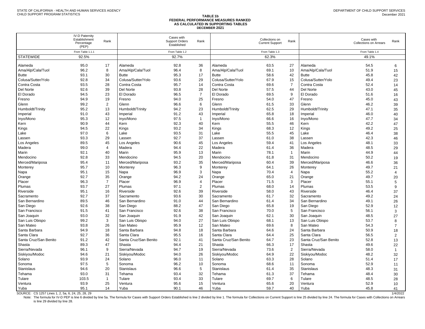#### **TABLE 1b AS CALCULATED IN SUPPORTING TABLES**

Contra Costa 69.5 28 Contra Costa 95.7 14 Contra Costa 69.6 7 Contra Costa 52.4 14 Del Norte 92.6 39 Del Norte 93.8 28 Del Norte 57.5 44 Del Norte 43.0 45 El Dorado 94.5 23 El Dorado 96.5 7 El Dorado 69.5 9 El Dorado 51.6 16 Fresno 94.9 19 Fresno 94.0 25 Fresno 54.0 47 Fresno 45.0 43 Glenn 99.2 2 Glenn 96.6 6 Glenn 61.5 33 Glenn 46.2 39 Humboldt/Trinity 95.2 13 Humboldt/Trinity 94.2 23 Humboldt/Trinity 62.5 29 Humboldt/Trinity 47.1 35

|                    |                                                               |      |                    |                                             |      | ,,,,,,,,,,<br><b>FEDERAL PERFORMANCE MEASURES RANKED</b><br>AS CALCULATED IN SUPPORTING TABLES<br><b>DECEMBER 2021</b> |                                          |      |                    |                                             |      |
|--------------------|---------------------------------------------------------------|------|--------------------|---------------------------------------------|------|------------------------------------------------------------------------------------------------------------------------|------------------------------------------|------|--------------------|---------------------------------------------|------|
|                    | <b>IV-D Paternity</b><br>Establishment<br>Percentage<br>(PEP) | Rank |                    | Cases with<br>Support Orders<br>Established | Rank |                                                                                                                        | Collections on<br><b>Current Support</b> | Rank |                    | Cases with<br><b>Collections on Arrears</b> | Rank |
|                    | From Table 1.1.1                                              |      |                    | From Table 1.2                              |      |                                                                                                                        | From Table 1.3                           |      |                    | From Table 1.4                              |      |
| <b>STATEWIDE</b>   | 92.5%                                                         |      |                    | 92.7%                                       |      |                                                                                                                        | 62.3%                                    |      |                    | 49.1%                                       |      |
| Alameda            | 95.0                                                          | 17   | Alameda            | 92.8                                        | 36   | l Alameda                                                                                                              | 63.5                                     | 27   | Alameda            | 54.5                                        | 6    |
| Ama/Alp/Cala/Tuol  | 96.2                                                          | 8    | Ama/Alp/Cala/Tuol  | 96.4                                        | 8    | Ama/Alp/Cala/Tuol                                                                                                      | 69.1                                     | 10   | Ama/Alp/Cala/Tuol  | 51.9                                        | 15   |
| <b>Butte</b>       | 93.1                                                          | 30   | <b>Butte</b>       | 95.3                                        | 17   | Butte                                                                                                                  | 58.6                                     | 42   | <b>Butte</b>       | 45.8                                        | 42   |
| Colusa/Sutter/Yolo | 92.8                                                          | 34   | Colusa/Sutter/Yolo | 93.6                                        | 29   | Colusa/Sutter/Yolo                                                                                                     | 67.9                                     | 15   | Colusa/Sutter/Yolo | 49.4                                        | 23   |

Imperial 191.0 43 | Imperial 91.2 43 | Imperial 65.8 18 | Imperial 46.0 40 Inyo/Mono 95.3 12 Inyo/Mono 97.5 1 Inyo/Mono 66.6 16 Inyo/Mono 47.7 34 Kern 90.9 44 Kern 92.3 40 Kern 55.5 46 Kern 42.2 47 Kings 94.5 22 Kings 93.2 34 Kings 68.3 12 Kings 49.2 25 Lake 97.0 6 Lake 93.5 31 Lake 55.5 45 Lake 46.4 38 Lassen 93.3 29 Lassen 92.7 37 Lassen 61.0 38 Lassen 42.3 46 Los Angeles 89.5 45 Los Angeles 90.6 45 Los Angeles 59.4 41 Los Angeles 48.1 33 Madera 99.0 4 Madera 94.4 22 Madera 61.4 36 Madera 48.5 29 Marin 92.1 40 Marin 95.9 13 Marin 78.1 1 Marin 44.9 44 Mendocino 92.8 33 Mendocino 94.5 20 Mendocino 61.8 31 Mendocino 50.2 19 Merced/Mariposa 95.4 11 | Merced/Mariposa 93.2 35 | Merced/Mariposa 60.4 39 | Merced/Mariposa 46.6 36 Monterey 29.5.7 10 Monterey 96.3 9 Monterey 64.1 26 Monterey 49.7 21 Napa 95.1 15 Napa 96.9 3 Napa 70.4 4 Napa 55.2 4 Orange 92.7 35 Orange 94.2 24 Orange 65.0 21 Orange 49.7 20 Placer 96.3 7 Placer 96.9 4 Placer 71.5 3 Placer 55.1 5 Plumas 93.7 27 Plumas 97.1 2 Plumas 68.0 14 Plumas 53.5 9 Riverside 195.1 16 Riverside 195.6 92.6 39 Riverside 58.0 43 Riverside 46.4 37 Sacramento 92.7 37 Sacramento 93.6 30 Sacramento 61.7 32 Sacramento 49.2 24 San Bernardino 69.5 46 San Bernardino 91.0 44 San Bernardino 61.4 34 San Bernardino 49.1 26 San Diego 92.6 38 San Diego 88.2 47 San Diego 65.8 19 San Diego 52.9 12 San Francisco 91.5 41 | San Francisco 92.6 38 | San Francisco 70.0 5 | San Francisco 56.1 3 San Joaquin 93.0 32 San Joaquin 91.9 42 San Joaquin 62.1 30 San Joaquin 48.5 27 San Luis Obispo 99.2 3 San Luis Obispo 94.0 27 San Luis Obispo 68.1 13 San Luis Obispo 53.7 8 San Mateo 93.8 26 San Mateo 95.9 12 San Mateo 69.6 8 San Mateo 54.3 7 Santa Barbara 94.9 18 Santa Barbara 94.8 18 Santa Barbara 64.6 24 Santa Barbara 50.9 18 Santa Clara 92.7 36 Santa Clara 95.5 16 Santa Clara 64.4 25 Santa Clara 56.5 2 Santa Cruz/San Benito 91.2 42 Santa Cruz/San Benito 92.1 41 Santa Cruz/San Benito 64.7 23 Santa Cruz/San Benito 52.8 13 Shasta 89.3 47 Shasta 94.4 21 Shasta 66.3 17 Shasta 49.6 22 Sierra/Nevada 96.1 9 Sierra/Nevada 94.7 19 Sierra/Nevada 73.6 2 Sierra/Nevada 58.0 1 Siskiyou/Modoc 94.6 21 Siskiyou/Modoc 94.0 26 Siskiyou/Modoc 64.9 22 Siskiyou/Modoc 48.2 32 Solano 93.9 24 Solano 96.0 11 Solano 63.3 28 Solano 51.4 17 Sonoma 97.5 5 Sonoma 96.2 10 Sonoma 68.6 11 Sonoma 52.9 11 Stanislaus 94.6 20 Stanislaus 96.6 5 Stanislaus 61.4 35 Stanislaus 48.3 31 Tehama 93.0 31 Tehama 93.4 32 Tehama 61.3 37 Tehama 48.4 30 Tulare 103.5 1 Tulare 93.4 33 Tulare 69.7 6 Tulare 48.5 28 Ventura 93.9 25 Ventura 95.6 15 Ventura 65.6 20 Ventura 52.9 10 Yuba 95.1 14 Yuba 90.1 46 Yuba 59.7 40 Yuba 45.8 41

SOURCE: CS 1257 Lines 1, 2, 5a, 6, 24, 25, 28, 29<br>Note: The formula for IV-D PEP is line 6 divided by line 5a. The formula for Cases with Support Orders Established is line 2 divided by line 1. The formula for Collections is line 29 divided by line 28.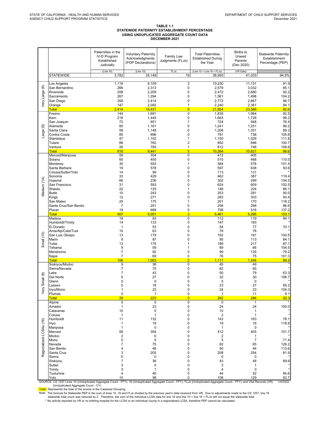#### TABLE 1.1 STATEWIDE PATERNITY ESTABLISHMENT PERCENTAGE USING UNDUPLICATED AGGREGATE COUNT DATA DECEMBER 2021

|                         |                                                                                                                                                                                                                                                                                                                                                                                                                             | Paternities in the<br><b>IV-D Program</b><br>Established<br>Judicially                                                  | <b>Voluntary Paternity</b><br>Acknowledgments<br>(POP Declarations)                                                                               | Family Law<br>Judgments (FLJs)                                                                                                                                                                      | <b>Total Paternities</b><br><b>Established During</b><br>the Year                                                                  | <b>Births to</b><br>Unwed<br>Parents<br>(Dec 2020)                                                                                                     | <b>Statewide Paternity</b><br>Establishment<br>Percentage (PEP)                                              |
|-------------------------|-----------------------------------------------------------------------------------------------------------------------------------------------------------------------------------------------------------------------------------------------------------------------------------------------------------------------------------------------------------------------------------------------------------------------------|-------------------------------------------------------------------------------------------------------------------------|---------------------------------------------------------------------------------------------------------------------------------------------------|-----------------------------------------------------------------------------------------------------------------------------------------------------------------------------------------------------|------------------------------------------------------------------------------------------------------------------------------------|--------------------------------------------------------------------------------------------------------------------------------------------------------|--------------------------------------------------------------------------------------------------------------|
|                         | <b>STATEWIDE</b>                                                                                                                                                                                                                                                                                                                                                                                                            | (Line 16)<br>3,782                                                                                                      | (Line 10)<br>35,149                                                                                                                               | FLJs<br>19                                                                                                                                                                                          | (Line $10 +$ Line $16 +$ FLJs)<br>38,950                                                                                           | (VR Data)<br>41,033                                                                                                                                    | 94.9%                                                                                                        |
| Very Large (6)          | Los Angeles<br>San Bernardino<br>Riverside<br>Sacramento<br>San Diego<br>Orange                                                                                                                                                                                                                                                                                                                                             | 1,118<br>266<br>258<br>267<br>358<br>147                                                                                | 9,109<br>2,313<br>2,209<br>1,294<br>2,414<br>2,092                                                                                                | $\overline{3}$<br>$\mathbf 0$<br>5<br>0<br>$\mathbf 0$<br>$\mathbf{1}$                                                                                                                              | 10,230<br>2,579<br>2,472<br>1,561<br>2,772<br>2,240                                                                                | 11,131<br>3,032<br>2,680<br>1,498<br>2,867<br>2,381                                                                                                    | 91.9<br>85.1<br>92.2<br>104.2<br>96.7<br>94.1                                                                |
| ම<br>Large              | <b>Total</b><br>Fresno<br>Kern<br>San Joaquin<br>Alameda<br>Santa Clara<br>Contra Costa<br>Stanislaus<br>Tulare<br>Ventura<br><b>Total</b>                                                                                                                                                                                                                                                                                  | 2,414<br>144<br>218<br>72<br>80<br>58<br>85<br>47<br>88<br>26<br>818                                                    | 19,431<br>1,691<br>1,445<br>651<br>1,161<br>1,148<br>696<br>1,102<br>762<br>785<br>9.441                                                          | 9<br>$\mathbf 0$<br>$\mathbf 0$<br>$\mathbf{1}$<br>0<br>0<br>$\mathbf 0$<br>1<br>$\overline{2}$<br>$\mathbf{1}$<br>$\overline{5}$                                                                   | 21,854<br>1,835<br>1,663<br>724<br>1,241<br>1,206<br>781<br>1,150<br>852<br>812<br>10,264                                          | 23,589<br>1,984<br>1,728<br>948<br>1,251<br>1,351<br>738<br>1,029<br>846<br>746<br>10,621                                                              | 92.6<br>92.5<br>96.2<br>76.4<br>99.2<br>89.3<br>105.8<br>111.8<br>100.7<br>108.8<br>96.6                     |
| Medium (14)             | Merced/Mariposa<br>Solano<br>Monterey<br>Santa Barbara<br>Colusa/Sutter/Yolo<br>Sonoma<br>Imperial<br>San Francisco<br>Shasta<br><b>Butte</b><br>Kings<br>San Mateo<br>Santa Cruz/San Benito<br>Placer<br><b>Total</b>                                                                                                                                                                                                      | 59<br>60<br>30<br>19<br>14<br>33<br>66<br>31<br>22<br>10<br>12<br>25<br>$\overline{7}$<br>19<br>407                     | 354<br>455<br>553<br>578<br>99<br>429<br>236<br>593<br>125<br>243<br>271<br>175<br>251<br>689<br>5,051                                            | $\mathbf 0$<br>$\mathbf 0$<br>1<br>$\mathbf 0$<br>$\mathbf 0$<br>$\mathbf 0$<br>0<br>$\mathbf 0$<br>1<br>0<br>$\mathbf 0$<br>$\mathbf{1}$<br>$\pmb{0}$<br>$\pmb{0}$<br>$\overline{3}$               | 413<br>515<br>584<br>597<br>113<br>462<br>302<br>624<br>148<br>253<br>283<br>201<br>258<br>708<br>5,461                            | 405<br>468<br>576<br>638<br>131<br>387<br>289<br>609<br>224<br>281<br>303<br>170<br>298<br>516<br>5,295                                                | 110.0<br>101.4<br>93.6<br>119.4<br>104.5<br>102.5<br>66.1<br>90.0<br>93.4<br>118.2<br>86.6<br>137.2<br>103.1 |
| Small $(10)$            | Madera<br>Humboldt/Trinity<br>El Dorado<br>Ama/Alp/Cala/Tuol<br>San Luis Obispo<br>Marin<br>Yuba<br>Tehama<br>Mendocino<br>Napa<br><b>Total</b>                                                                                                                                                                                                                                                                             | 19<br>14<br>$\mathbf{1}$<br>15<br>13<br>8<br>13<br>9<br>$\overline{7}$<br>$\overline{7}$<br>106                         | 93<br>133<br>53<br>63<br>179<br>87<br>175<br>59<br>92<br>69<br>003<br>$\overline{1}$                                                              | $\mathbf 0$<br>$\mathsf 0$<br>$\mathbf 0$<br>$\mathbf 0$<br>0<br>$\mathbf 0$<br>1<br>1<br>$\mathbf 0$<br>$\pmb{0}$<br>$\overline{2}$                                                                | 112<br>147<br>54<br>78<br>192<br>95<br>189<br>69<br>99<br>76<br>1,111                                                              | 119<br>183<br>77<br>78<br>191<br>113<br>217<br>66<br>125<br>75<br>1,244                                                                                | 94.1<br>70.1<br>100.5<br>84.1<br>87.1<br>104.5<br>79.2<br>101.3<br>89.3                                      |
| Small (8)<br>Very       | Siskiyou/Modoc<br>Sierra/Nevada<br>Lake<br>Del Norte<br>Glenn<br>Lassen<br>Inyo/Mono<br>Plumas<br><b>Total</b>                                                                                                                                                                                                                                                                                                              | 9<br>7<br>7<br>5<br>5<br>5<br>1<br>0<br>39                                                                              | 36<br>75<br>43<br>27<br>$\mathbf 0$<br>18<br>23<br>$\mathbf{1}$<br>223                                                                            | $\pmb{0}$<br>$\mathbf 0$<br>$\mathbf 0$<br>$\mathbf 0$<br>0<br>$\mathbf 0$<br>$\pmb{0}$<br>$\pmb{0}$<br>$\overline{0}$                                                                              | 45<br>82<br>50<br>32<br>5<br>23<br>24<br>$\mathbf{1}$<br>262                                                                       | 49<br>65<br>79<br>30<br>$\pmb{0}$<br>27<br>23<br>11<br>284                                                                                             | 63.3<br>106.7<br>85.2<br>104.3<br>9.1<br>92.3                                                                |
| Regionalized LCSAs (19) | Alpine<br>Amador<br>Calaveras<br>Colusa<br>Humboldt<br>Inyo<br>Mariposa<br>Merced<br>Modoc<br>Mono<br>Nevada<br>San Benito<br>Santa Cruz<br>Sierra<br>Siskiyou<br>Sutter<br>Trinity<br>Tuolumne<br>Yolo<br>SOURCE: CS 1257 Lines 10 (Unduplicated Aggregate Count - FFY), 16 (Unduplicated Aggregate Count - FFY), FLJs (Unduplicated Aggregate Count - FFY); and Vital Records (VR)<br>(Unduplicated Aggregate Count - CY) | 0<br>$\mathbf{1}$<br>10<br>1<br>11<br>1<br>1<br>58<br>$\overline{2}$<br>0<br>7<br>4<br>3<br>0<br>7<br>3<br>3<br>4<br>10 | $\mathsf 0$<br>23<br>$\mathbf 0$<br>1<br>132<br>18<br>$\mathbf 0$<br>354<br>0<br>5<br>75<br>46<br>205<br>0<br>36<br>0<br>$\mathbf{1}$<br>40<br>98 | $\mathsf 0$<br>$\mathbf 0$<br>$\mathbf 0$<br>0<br>0<br>$\mathbf 0$<br>$\mathbf 0$<br>0<br>0<br>0<br>$\mathbf 0$<br>0<br>$\Omega$<br>0<br>0<br>$\mathbf 0$<br>$\mathbf 0$<br>$\mathbf 0$<br>$\Omega$ | 0<br>24<br>10<br>$\overline{2}$<br>143<br>19<br>$\mathbf{1}$<br>412<br>2<br>5<br>82<br>50<br>208<br>0<br>43<br>3<br>4<br>44<br>108 | $\mathbf{1}$<br>24<br>$\mathbf{1}$<br>1<br>183<br>16<br>0<br>405<br>1<br>$\overline{7}$<br>65<br>44<br>254<br>0<br>48<br>1<br>$\mathbf 0$<br>52<br>129 | 100.0<br>78.1<br>118.8<br>101.7<br>71.4<br>126.2<br>113.6<br>81.9<br>89.6<br>84.6<br>83.7<br>1/4/2022        |
|                         | Total: Represents the total of the scores in the Caseload Grouping<br>Note: The formula for Statewide PEP is the sum of lines 10, 16 and FLJs divided by the previous year's data received from VR. Due to adjustments made to the CS 1257, line 16<br>statewide total count was reduced by 2. Therefore, the sum of the individual LCSA data for line 16 and line 10 + line 16 + FLJs will not equal the statewide total.  |                                                                                                                         |                                                                                                                                                   |                                                                                                                                                                                                     |                                                                                                                                    |                                                                                                                                                        |                                                                                                              |

\* No activity reported by VR or no birthing hospital for the LCSA or an individual county in a regionalized LCSA, therefore PEP cannot be calculated.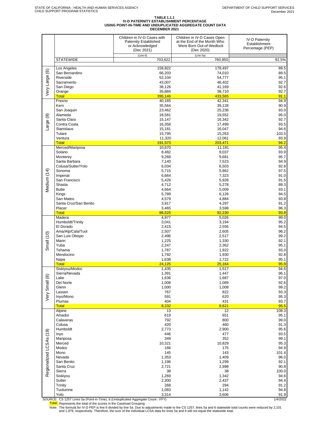# TABLE 1.1.1<br>IV-D PATERNITY ESTABLISHMENT PERCENTAGE<br>USING POINT-IN-TIME AND UNDUPLICATED AGGREGATE COUNT DATA<br>DECEMBER 2021

|                         |                                 | Children in IV-D Cases with<br><b>Paternity Established</b><br>or Acknowledged<br>(Dec 2021) | Children in IV-D Cases Open<br>at the End of the Month Who<br>Were Born Out-of-Wedlock<br>(Dec 2020) | <b>IV-D Paternity</b><br>Establishment<br>Percentage (PEP) |
|-------------------------|---------------------------------|----------------------------------------------------------------------------------------------|------------------------------------------------------------------------------------------------------|------------------------------------------------------------|
|                         | <b>STATEWIDE</b>                | (Line 6)<br>703,622                                                                          | (Line 5a)<br>760,950                                                                                 | 92.5%                                                      |
|                         | Los Angeles                     | 159.822                                                                                      | 178,497                                                                                              | 89.5                                                       |
| Very Large (6)          | San Bernardino                  | 66,203                                                                                       | 74,010                                                                                               | 89.5                                                       |
|                         | Riverside                       | 52,104                                                                                       | 54,777                                                                                               | 95.1                                                       |
|                         | Sacramento<br>San Diego         | 43,007<br>38,126                                                                             | 46,402<br>41,169                                                                                     | 92.7<br>92.6                                               |
|                         | Orange                          | 35,884                                                                                       | 38,710                                                                                               | 92.7                                                       |
|                         | <b>Total</b><br>Fresno          | 395,146                                                                                      | 433,565                                                                                              | 91.1<br>94.9                                               |
|                         | Kern                            | 40,165<br>35,564                                                                             | 42,341<br>39,128                                                                                     | 90.9                                                       |
|                         | San Joaquin                     | 23,462                                                                                       | 25,238                                                                                               | 93.0                                                       |
| ම                       | Alameda<br>Santa Clara          | 18,581<br>15,147                                                                             | 19,552<br>16,342                                                                                     | 95.0<br>92.7                                               |
| Large                   | Contra Costa                    | 16,358                                                                                       | 17,499                                                                                               | 93.5                                                       |
|                         | <b>Stanislaus</b>               | 15,181                                                                                       | 16,047                                                                                               | 94.6                                                       |
|                         | Tulare<br>Ventura               | 15,795<br>11,320                                                                             | 15,263<br>12,061                                                                                     | 103.5<br>93.9                                              |
|                         | <b>Total</b>                    | 191,573                                                                                      | 203,471                                                                                              | 94.2                                                       |
|                         | Merced/Mariposa                 | 10,670                                                                                       | 11,181                                                                                               | 95.4                                                       |
|                         | Solano<br>Monterey              | 8,482<br>9,268                                                                               | 9,037<br>9,681                                                                                       | 93.9<br>95.7                                               |
|                         | Santa Barbara                   | 7,140                                                                                        | 7,523                                                                                                | 94.9                                                       |
|                         | Colusa/Sutter/Yolo<br>Sonoma    | 6,034<br>5,715                                                                               | 6,503                                                                                                | 92.8<br>97.5                                               |
| Medium (14)             | Imperial                        | 6,664                                                                                        | 5,862<br>7,323                                                                                       | 91.0                                                       |
|                         | San Francisco                   | 5,426                                                                                        | 5,928                                                                                                | 91.5                                                       |
|                         | Shasta<br><b>Butte</b>          | 4,712<br>4,664                                                                               | 5,278<br>5,009                                                                                       | 89.3<br>93.1                                               |
|                         | Kings                           | 5,789                                                                                        | 6,126                                                                                                | 94.5                                                       |
|                         | San Mateo                       | 4,579                                                                                        | 4,884                                                                                                | 93.8                                                       |
|                         | Santa Cruz/San Benito<br>Placer | 3,917<br>3,465                                                                               | 4,297<br>3,598                                                                                       | 91.2<br>96.3                                               |
|                         | <b>Total</b>                    | 86,525                                                                                       | 92,230                                                                                               | 93.8                                                       |
|                         | Madera                          | 4,977                                                                                        | 5,026                                                                                                | 99.0<br>95.2                                               |
|                         | Humboldt/Trinity<br>El Dorado   | 3,041<br>2,415                                                                               | 3,194<br>2,556                                                                                       | 94.5                                                       |
|                         | Ama/Alp/Cala/Tuol               | 2,507                                                                                        | 2,605                                                                                                | 96.2                                                       |
|                         | San Luis Obispo<br>Marin        | 2,496<br>1,225                                                                               | 2,517<br>1,330                                                                                       | 99.2<br>92.1                                               |
| Small (10)              | Yuba                            | 2,247                                                                                        | 2,362                                                                                                | 95.1                                                       |
|                         | Tehama                          | 1,787                                                                                        | 1,922                                                                                                | 93.0                                                       |
|                         | Mendocino<br>Napa               | 1,792<br>1,638                                                                               | 1,930<br>1,722                                                                                       | 92.8<br>95.1                                               |
|                         | <b>Total</b>                    | 24,125                                                                                       | 25,164                                                                                               | 95.9                                                       |
|                         | Siskiyou/Modoc<br>Sierra/Nevada | 1,435                                                                                        | 1,517                                                                                                | 94.6<br>96.1                                               |
|                         | Lake                            | 1,391<br>1,636                                                                               | 1,447<br>1,687                                                                                       | 97.0                                                       |
|                         | Del Norte                       | 1,008                                                                                        | 1,089                                                                                                | 92.6                                                       |
|                         | Glenn<br>Lassen                 | 1,000<br>767                                                                                 | 1,008<br>822                                                                                         | 99.2<br>93.3                                               |
| Very Small (8)          | Inyo/Mono                       | 591                                                                                          | 620                                                                                                  | 95.3                                                       |
|                         | Plumas                          | 404                                                                                          | 431                                                                                                  | 93.7                                                       |
|                         | <b>Total</b><br>Alpine          | 8,232<br>13                                                                                  | 8,621<br>12                                                                                          | 95.5<br>108.3                                              |
|                         | Amador                          | 619                                                                                          | 651                                                                                                  | 95.1                                                       |
|                         | Calaveras<br>Colusa             | 792<br>420                                                                                   | 800<br>460                                                                                           | 99.0<br>91.3                                               |
|                         | Humboldt                        | 2,773                                                                                        | 2,900                                                                                                | 95.6                                                       |
|                         | Inyo                            | 446                                                                                          | 477                                                                                                  | 93.5                                                       |
|                         | Mariposa<br>Merced              | 349<br>10,321                                                                                | 352<br>10,829                                                                                        | 99.1<br>95.3                                               |
| Regionalized LCSAs (19) | Modoc                           | 166                                                                                          | 175                                                                                                  | 94.9                                                       |
|                         | Mono                            | 145                                                                                          | 143                                                                                                  | 101.4                                                      |
|                         | Nevada<br>San Benito            | 1,353<br>1,196                                                                               | 1,409<br>1,299                                                                                       | 96.0<br>92.1                                               |
|                         | Santa Cruz                      | 2,721                                                                                        | 2,998                                                                                                | 90.8                                                       |
|                         | Sierra<br>Siskiyou              | 38<br>1,269                                                                                  | 38<br>1,342                                                                                          | 100.0<br>94.6                                              |
|                         | Sutter                          | 2,300                                                                                        | 2,437                                                                                                | 94.4                                                       |
|                         | Trinity                         | 268                                                                                          | 294                                                                                                  | 91.2                                                       |
|                         | Tuolumne<br>Yolo                | 1,083<br>3,314                                                                               | 1,142<br>3,606                                                                                       | 94.8<br>91.9                                               |
|                         |                                 |                                                                                              |                                                                                                      |                                                            |

SOURCE: CS 1257 Lines 5a (Point-in-Time), 6 (Unduplicated Aggregate Count - FFY)<br>Total: Represents the total of the scores in the Caseload Grouping<br>Note: The formula for IV-D PEP is line 6 divided by line 5a. Due to adjust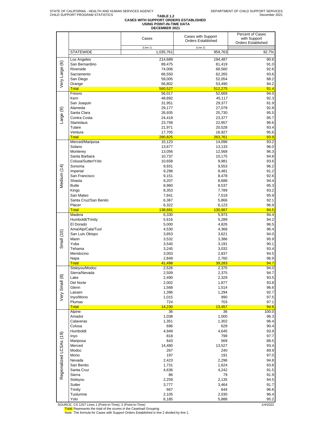# **TABLE 1.2 CASES WITH SUPPORT ORDERS ESTABLISHED USING POINT-IN-TIME DATA DECEMBER 2021**

|                         |                       |           |                           | Percent of Cases          |
|-------------------------|-----------------------|-----------|---------------------------|---------------------------|
|                         |                       | Cases     | Cases with Support        | with Support              |
|                         |                       |           | <b>Orders Established</b> | <b>Orders Established</b> |
|                         |                       |           |                           |                           |
|                         |                       | (Line 1)  | (Line 2)                  |                           |
|                         | <b>STATEWIDE</b>      | 1,035,761 | 959,763                   | 92.7%                     |
|                         |                       |           |                           |                           |
|                         | Los Angeles           | 214,689   | 194,487                   | 90.6                      |
| Very Large (6)          | San Bernardino        | 89,475    | 81,419                    | 91.0                      |
|                         | Riverside             | 74,006    | 68,560                    | 92.6                      |
|                         |                       |           |                           |                           |
|                         | Sacramento            | 66,550    | 62,265                    | 93.6                      |
|                         | San Diego             | 59,005    | 52,054                    | 88.2                      |
|                         | Orange                | 56,802    | 53,490                    | 94.2                      |
|                         |                       |           |                           |                           |
|                         | <b>Total</b>          | 560,527   | 512,275                   | 91.4                      |
|                         | Fresno                | 56,017    | 52,669                    | 94.0                      |
|                         | Kern                  | 48,892    | 45,117                    | 92.3                      |
|                         |                       |           |                           |                           |
|                         | San Joaquin           | 31,951    | 29,377                    | 91.9                      |
|                         | Alameda               | 29,177    | 27,079                    | 92.8                      |
| Large (9)               | Santa Clara           | 26,935    | 25,730                    | 95.5                      |
|                         |                       |           |                           |                           |
|                         | Contra Costa          | 24,419    | 23,377                    | 95.7                      |
|                         | Stanislaus            | 23,758    | 22,957                    | 96.6                      |
|                         | Tulare                | 21,971    | 20,528                    | 93.4                      |
|                         |                       |           |                           |                           |
|                         | Ventura               | 17,705    | 16,927                    | 95.6                      |
|                         | <b>Total</b>          | 280,825   | 263,761                   | 93.9                      |
|                         | Merced/Mariposa       | 15,123    | 14,096                    | 93.2                      |
|                         |                       | 13,677    |                           |                           |
|                         | Solano                |           | 13,133                    | 96.0                      |
|                         | Monterey              | 13,056    | 12,568                    | 96.3                      |
|                         | Santa Barbara         | 10,737    | 10,175                    | 94.8                      |
|                         |                       |           |                           |                           |
|                         | Colusa/Sutter/Yolo    | 10,658    | 9,981                     | 93.6                      |
| Medium (14)             | Sonoma                | 9,931     | 9,553                     | 96.2                      |
|                         | Imperial              | 9,298     | 8,481                     | 91.2                      |
|                         |                       |           |                           |                           |
|                         | San Francisco         | 9,151     | 8,478                     | 92.6                      |
|                         | Shasta                | 9,207     | 8,688                     | 94.4                      |
|                         | <b>Butte</b>          | 8,960     | 8,537                     | 95.3                      |
|                         |                       |           |                           |                           |
|                         | Kings                 | 8,353     | 7,789                     | 93.2                      |
|                         | San Mateo             | 7,841     | 7,519                     | 95.9                      |
|                         | Santa Cruz/San Benito | 6,367     | 5,866                     | 92.1                      |
|                         |                       |           |                           |                           |
|                         | Placer                | 6,322     | 6,123                     | 96.9                      |
|                         | <b>Total</b>          | 138,681   | 130,987                   | 94.5                      |
|                         | Madera                | 6,330     | 5,973                     | 94.4                      |
|                         | Humboldt/Trinity      | 5,616     | 5,289                     | 94.2                      |
|                         |                       |           |                           |                           |
|                         | El Dorado             | 5,000     | 4,826                     | 96.5                      |
|                         | Ama/Alp/Cala/Tuol     | 4,530     | 4,368                     | 96.4                      |
| Small (10)              | San Luis Obispo       | 3,853     | 3,621                     | 94.0                      |
|                         |                       |           |                           |                           |
|                         | Marin                 | 3,532     | 3,386                     | 95.9                      |
|                         | Yuba                  | 3,540     | 3,191                     | 90.1                      |
|                         | Tehama                | 3,245     | 3,032                     | 93.4                      |
|                         |                       |           |                           |                           |
|                         | Mendocino             | 3,003     | 2,837                     | 94.5                      |
|                         | Napa                  | 2,849     | 2,760                     | 96.9                      |
|                         | <b>Total</b>          | 41,498    | 39,283                    | 94.7                      |
|                         |                       |           |                           |                           |
|                         | Siskiyou/Modoc        | 2,526     | 2,375                     | 94.0                      |
|                         | Sierra/Nevada         | 2,509     | 2,375                     | 94.7                      |
| Very Small (8)          | Lake                  | 2,490     | 2,329                     | 93.5                      |
|                         |                       |           |                           |                           |
|                         | Del Norte             | 2,002     | 1,877                     | 93.8                      |
|                         | Glenn                 | 1,568     | 1,514                     | 96.6                      |
|                         | Lassen                | 1,396     | 1,294                     | 92.7                      |
|                         |                       |           |                           |                           |
|                         | Inyo/Mono             | 1,015     | 990                       | 97.5                      |
|                         | Plumas                | 724       | 703                       | 97.1                      |
|                         | <b>Total</b>          | 14,230    | 13,457                    | 94.6                      |
|                         | Alpine                | 36        | 36                        | 100.0                     |
|                         |                       |           |                           |                           |
|                         | Amador                | 1,038     | 1,000                     | 96.3                      |
|                         | Calaveras             | 1,351     | 1,302                     | 96.4                      |
|                         | Colusa                | 696       | 629                       | 90.4                      |
|                         |                       |           |                           |                           |
|                         | Humboldt              | 4,949     | 4,645                     | 93.9                      |
|                         | Inyo                  | 818       | 799                       | 97.7                      |
|                         | Mariposa              | 643       | 569                       | 88.5                      |
|                         |                       |           |                           |                           |
| Regionalized LCSAs (19) | Merced                | 14,480    | 13,527                    | 93.4                      |
|                         | Modoc                 | 267       | 240                       | 89.9                      |
|                         | Mono                  | 197       | 191                       | 97.0                      |
|                         |                       |           |                           |                           |
|                         | Nevada                | 2,423     | 2,296                     | 94.8                      |
|                         | San Benito            | 1,731     | 1,624                     | 93.8                      |
|                         | Santa Cruz            | 4,636     | 4,242                     | 91.5                      |
|                         |                       |           |                           |                           |
|                         | Sierra                | 86        | 79                        | 91.9                      |
|                         | Siskiyou              | 2,259     | 2,135                     | 94.5                      |
|                         | Sutter                | 3,777     | 3,464                     | 91.7                      |
|                         |                       |           |                           |                           |
|                         | Trinity               | 667       | 644                       | 96.6                      |
|                         | Tuolumne              | 2,105     | 2,030                     | 96.4                      |
|                         | Yolo                  | 6,185     | 5,888                     | 95.2                      |
|                         |                       |           |                           |                           |

SOURCE: CS 1257 Lines 1 (Point-in-Time), 2 (Point-in-Time)<br>Total: Represents the total of the scores in the Caseload Grouping<br>Note: The formula for Cases with Support Orders Established is line 2 divided by line 1.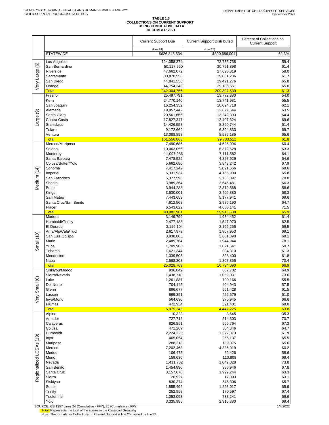# **TABLE 1.3 COLLECTIONS ON CURRENT SUPPORT USING CUMULATIVE DATA DECEMBER 2021**

|                         |                                                                     | <b>Current Support Due</b><br>(Line 24) | <b>Current Support Distributed</b><br>(Line 25) | Percent of Collections on<br><b>Current Support</b> |
|-------------------------|---------------------------------------------------------------------|-----------------------------------------|-------------------------------------------------|-----------------------------------------------------|
|                         | <b>STATEWIDE</b>                                                    | \$626,848,534                           | \$390,686,004                                   | 62.3%                                               |
|                         | Los Angeles                                                         | 124,058,374                             | 73,735,758                                      | 59.4                                                |
|                         | San Bernardino                                                      | 50,117,950                              | 30,791,898                                      | 61.4                                                |
|                         | Riverside                                                           | 47,662,072                              | 27,620,819                                      | 58.0                                                |
|                         | Sacramento                                                          | 30,870,556                              | 19,061,236                                      | 61.7                                                |
| Very Large (6)          | San Diego                                                           | 44,841,556                              | 29,491,276                                      | 65.8                                                |
|                         | Orange                                                              | 44,754,248                              | 29,106,551                                      | 65.0                                                |
|                         | <b>Total</b><br>Fresno                                              | 342,304,756<br>25,497,791               | 209,807,539<br>13,772,880                       | 61.3<br>54.0                                        |
|                         | Kern                                                                | 24,770,140                              | 13,741,981                                      | 55.5                                                |
|                         | San Joaquin                                                         | 16,254,352                              | 10,094,718                                      | 62.1                                                |
| ම                       | Alameda                                                             | 19,957,442                              | 12,679,544                                      | 63.5                                                |
|                         | Santa Clara                                                         | 20,561,666                              | 13,242,303                                      | 64.4                                                |
| Large                   | Contra Costa                                                        | 17,827,347                              | 12,407,324                                      | 69.6                                                |
|                         | Stanislaus                                                          | 14,426,558                              | 8,860,744                                       | 61.4                                                |
|                         | Tulare<br>Ventura                                                   | 9,172,669<br>13,088,898                 | 6,394,833<br>8,589,185                          | 69.7<br>65.6                                        |
|                         | <b>Total</b>                                                        | 161,556,863                             | 99,783,511                                      | 61.8                                                |
|                         | Merced/Mariposa                                                     | 7,490,686                               | 4,525,094                                       | 60.4                                                |
|                         | Solano                                                              | 10,063,056                              | 6,372,628                                       | 63.3                                                |
|                         | Monterey                                                            | 11,097,286                              | 7,111,582                                       | 64.1                                                |
|                         | Santa Barbara                                                       | 7,478,925                               | 4,827,929                                       | 64.6                                                |
|                         | Colusa/Sutter/Yolo                                                  | 5,662,686                               | 3,843,242                                       | 67.9                                                |
| Medium (14)             | Sonoma<br>Imperial                                                  | 7,417,242<br>6,331,937                  | 5,091,666<br>4,165,900                          | 68.6<br>65.8                                        |
|                         | San Francisco                                                       | 5,377,595                               | 3,763,397                                       | 70.0                                                |
|                         | Shasta                                                              | 3,989,364                               | 2,645,481                                       | 66.3                                                |
|                         | <b>Butte</b>                                                        | 3,944,283                               | 2,312,568                                       | 58.6                                                |
|                         | Kings                                                               | 3,530,001                               | 2,409,880                                       | 68.3                                                |
|                         | San Mateo                                                           | 7,443,653                               | 5,177,941                                       | 69.6                                                |
|                         | Santa Cruz/San Benito                                               | 4,612,568                               | 2,986,190                                       | 64.7                                                |
|                         | Placer<br><b>Total</b>                                              | 6,543,622<br>90,982,901                 | 4,680,141<br>59,913,638                         | 71.5<br>65.9                                        |
|                         | Madera                                                              | 3,149,799                               | 1,934,452                                       | 61.4                                                |
|                         | Humboldt/Trinity                                                    | 2,477,183                               | 1,547,970                                       | 62.5                                                |
|                         | El Dorado                                                           | 3,116,104                               | 2,165,265                                       | 69.5                                                |
|                         | Ama/Alp/Cala/Tuol                                                   | 2,617,979                               | 1,807,953                                       | 69.1                                                |
| Small (10)              | San Luis Obispo                                                     | 3,938,805                               | 2,681,390                                       | 68.1                                                |
|                         | Marin<br>Yuba                                                       | 2,489,764<br>1,709,983                  | 1,944,944<br>1,021,541                          | 78.1<br>59.7                                        |
|                         | Tehama                                                              | 1,621,344                               | 994,310                                         | 61.3                                                |
|                         | Mendocino                                                           | 1,339,505                               | 828,400                                         | 61.8                                                |
|                         | Napa                                                                | 2,568,303                               | 1,807,865                                       | 70.4                                                |
|                         | Total                                                               | 25,028,769                              | 16,734,090                                      | 66.9                                                |
|                         | Siskiyou/Modoc                                                      | 936,849                                 | 607,732                                         | 64.9                                                |
|                         | Sierra/Nevada                                                       | 1,438,710                               | 1,059,031                                       | 73.6                                                |
|                         | Lake<br>Del Norte                                                   | 1,261,887<br>704,145                    | 700,166<br>404,943                              | 55.5<br>57.5                                        |
| Small (8)               | Glenn                                                               | 896,677                                 | 551,428                                         | 61.5                                                |
|                         | Lassen                                                              | 699,351                                 | 426,579                                         | 61.0                                                |
| Very                    | Inyo/Mono                                                           | 564,690                                 | 375,945                                         | 66.6                                                |
|                         | Plumas                                                              | 472,934                                 | 321,401                                         | 68.0                                                |
|                         | <b>Total</b>                                                        | 6,975,245                               | 4,447,225                                       | 63.8                                                |
|                         | Alpine<br>Amador                                                    | 10,323<br>727,712                       | 3,645<br>514,303                                | 35.3<br>70.7                                        |
|                         | Calaveras                                                           | 826,851                                 | 556,764                                         | 67.3                                                |
|                         | Colusa                                                              | 471,209                                 | 304,846                                         | 64.7                                                |
|                         | Humboldt                                                            | 2,224,225                               | 1,377,373                                       | 61.9                                                |
|                         | Inyo                                                                | 405,054                                 | 265,137                                         | 65.5                                                |
|                         | Mariposa                                                            | 288,218                                 | 189,075                                         | 65.6                                                |
|                         | Merced<br>Modoc                                                     | 7,202,468<br>106,475                    | 4,336,019<br>62,426                             | 60.2<br>58.6                                        |
|                         | Mono                                                                | 159,636                                 | 110,808                                         | 69.4                                                |
|                         | Nevada                                                              | 1,411,782                               | 1,042,028                                       | 73.8                                                |
|                         | San Benito                                                          | 1,454,890                               | 986,946                                         | 67.8                                                |
| Regionalized LCSAs (19) | Santa Cruz                                                          | 3,157,678                               | 1,999,244                                       | 63.3                                                |
|                         | Sierra                                                              | 26,927                                  | 17,003                                          | 63.1                                                |
|                         | Siskiyou                                                            | 830,374                                 | 545,306                                         | 65.7                                                |
|                         | Sutter<br>Trinity                                                   | 1,855,492<br>252,958                    | 1,223,017<br>170,597                            | 65.9<br>67.4                                        |
|                         | Tuolumne                                                            | 1,053,093                               | 733,241                                         | 69.6                                                |
|                         | Yolo                                                                | 3,335,985                               | 2,315,380                                       | 69.4                                                |
|                         | SOLIDCE: CS 1257 Lines 24 (Cumulative - EEV), 25 (Cumulative - EEV) |                                         |                                                 | 1112022                                             |

SOURCE: CS 1257 Lines 24 (Cumulative - FFY), 25 (Cumulative - FFY) 1/4/2022 Total: Represents the total of the scores in the Caseload Grouping Note: The formula for Collections on Current Support is line 25 divided by line 24.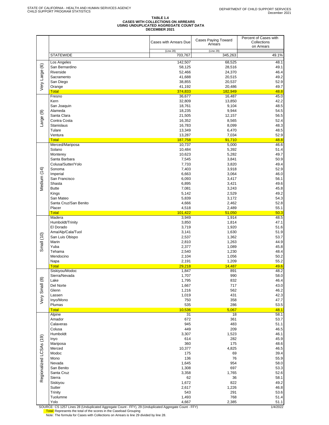# **TABLE 1.4 CASES WITH COLLECTIONS ON ARREARS USING UNDUPLICATED AGGREGATE COUNT DATA DECEMBER 2021**

|                         |                                                                                                          | Cases with Arrears Due | Cases Paying Toward<br>Arrears | Percent of Cases with<br>Collections<br>on Arrears |
|-------------------------|----------------------------------------------------------------------------------------------------------|------------------------|--------------------------------|----------------------------------------------------|
|                         | <b>STATEWIDE</b>                                                                                         | (Line 28)<br>703,767   | (Line 29)<br>345,263           | 49.1%                                              |
|                         | Los Angeles                                                                                              | 142,507                | 68,525                         | 48.1                                               |
| Very Large (6)          | San Bernardino                                                                                           | 58,125                 | 28,516                         | 49.1                                               |
|                         | Riverside                                                                                                | 52,466                 | 24,370                         | 46.4                                               |
|                         | Sacramento                                                                                               | 41,688                 | 20,515                         | 49.2                                               |
|                         | San Diego<br>Orange                                                                                      | 38,855<br>41,192       | 20,537<br>20,486               | 52.9<br>49.7                                       |
|                         | <b>Total</b>                                                                                             | 374,833                | 182,949                        | 48.8                                               |
|                         | Fresno                                                                                                   | 36,677                 | 16,487                         | 45.0                                               |
|                         | Kern                                                                                                     | 32,809<br>18,761       | 13,850<br>9,104                | 42.2<br>48.5                                       |
|                         | San Joaquin<br>Alameda                                                                                   | 18,235                 | 9,944                          | 54.5                                               |
| Large (9)               | Santa Clara                                                                                              | 21,505                 | 12,157                         | 56.5                                               |
|                         | Contra Costa                                                                                             | 16,352                 | 8,565                          | 52.4                                               |
|                         | <b>Stanislaus</b>                                                                                        | 16,783                 | 8,099                          | 48.3                                               |
|                         | Tulare<br>Ventura                                                                                        | 13,349<br>13,287       | 6,470<br>7,034                 | 48.5<br>52.9                                       |
|                         | <b>Total</b>                                                                                             | 187,758                | 91,710                         | 48.8                                               |
|                         | Merced/Mariposa                                                                                          | 10,737                 | 5,000                          | 46.6                                               |
|                         | Solano                                                                                                   | 10,484                 | 5,392                          | 51.4                                               |
|                         | Monterey<br>Santa Barbara                                                                                | 10,623<br>7,545        | 5,282<br>3,841                 | 49.7<br>50.9                                       |
|                         | Colusa/Sutter/Yolo                                                                                       | 7,733                  | 3,820                          | 49.4                                               |
|                         | Sonoma                                                                                                   | 7,403                  | 3,918                          | 52.9                                               |
| Medium (14)             | Imperial                                                                                                 | 6,663                  | 3,064                          | 46.0                                               |
|                         | San Francisco                                                                                            | 6,093                  | 3,417                          | 56.1                                               |
|                         | Shasta<br><b>Butte</b>                                                                                   | 6,895<br>7,081         | 3,421<br>3,243                 | 49.6<br>45.8                                       |
|                         | Kings                                                                                                    | 5,142                  | 2,529                          | 49.2                                               |
|                         | San Mateo                                                                                                | 5,839                  | 3,172                          | 54.3                                               |
|                         | Santa Cruz/San Benito                                                                                    | 4,666                  | 2,462                          | 52.8                                               |
|                         | Placer                                                                                                   | 4,518                  | 2,489                          | 55.1                                               |
|                         | <b>Total</b><br>Madera                                                                                   | 101,422<br>3,949       | 51,050<br>1,914                | 50.3<br>48.5                                       |
|                         | Humboldt/Trinity                                                                                         | 3,850                  | 1,814                          | 47.1                                               |
|                         | El Dorado                                                                                                | 3,719                  | 1,920                          | 51.6                                               |
|                         | Ama/Alp/Cala/Tuol                                                                                        | 3,141                  | 1,630                          | 51.9                                               |
| Small (10)              | San Luis Obispo<br>Marin                                                                                 | 2,537<br>2,810         | 1,362<br>1,263                 | 53.7<br>44.9                                       |
|                         | Yuba                                                                                                     | 2,377                  | 1,089                          | 45.8                                               |
|                         | Tehama                                                                                                   | 2,540                  | 1,230                          | 48.4                                               |
|                         | Mendocino                                                                                                | 2,104                  | 1,056                          | 50.2                                               |
|                         | Napa<br><b>Total</b>                                                                                     | 2,191<br>29,218        | 1,209<br>14,487                | 55.2                                               |
|                         | Siskiyou/Modoc                                                                                           | 1,847                  | 891                            | 49.6<br>48.2                                       |
|                         | Sierra/Nevada                                                                                            | 1,707                  | 990                            | 58.0                                               |
|                         | Lake                                                                                                     | 1,795                  | 832                            | 46.4                                               |
|                         | Del Norte                                                                                                | 1,667                  | 717                            | 43.0                                               |
| Very Small (8)          | Glenn<br>Lassen                                                                                          | 1,216<br>1,019         | 562<br>431                     | 46.2<br>42.3                                       |
|                         | Inyo/Mono                                                                                                | 750                    | 358                            | 47.7                                               |
|                         | Plumas                                                                                                   | 535                    | 286                            | 53.5                                               |
|                         | <b>Total</b>                                                                                             | 10,536                 | 5,067                          | 48.1                                               |
|                         | Alpine<br>Amador                                                                                         | 31<br>672              | 18<br>361                      | 58.1<br>53.7                                       |
|                         | Calaveras                                                                                                | 945                    | 483                            | 51.1                                               |
|                         | Colusa                                                                                                   | 449                    | 209                            | 46.5                                               |
|                         | Humboldt                                                                                                 | 3,307                  | 1,523                          | 46.1                                               |
|                         | Inyo                                                                                                     | 614                    | 282                            | 45.9                                               |
| Regionalized LCSAs (19) | Mariposa<br>Merced                                                                                       | 360<br>10,377          | 175<br>4,825                   | 48.6<br>46.5                                       |
|                         | Modoc                                                                                                    | 175                    | 69                             | 39.4                                               |
|                         | Mono                                                                                                     | 136                    | 76                             | 55.9                                               |
|                         | Nevada                                                                                                   | 1,645                  | 954                            | 58.0                                               |
|                         | San Benito<br>Santa Cruz                                                                                 | 1,308<br>3,358         | 697<br>1,765                   | 53.3<br>52.6                                       |
|                         | Sierra                                                                                                   | 62                     | 36                             | 58.1                                               |
|                         | Siskiyou                                                                                                 | 1,672                  | 822                            | 49.2                                               |
|                         | Sutter                                                                                                   | 2,617                  | 1,226                          | 46.8                                               |
|                         | Trinity                                                                                                  | 543                    | 291                            | 53.6                                               |
|                         | Tuolumne<br>Yolo                                                                                         | 1,493<br>4,667         | 768<br>2,385                   | 51.4<br>51.1                                       |
|                         | SOLIBCE: CS 1257 Lines 28 (Linduplicated Aggregate Count - EEV) 20 (Linduplicated Aggregate Count - EEV) |                        |                                | 1/1/2022                                           |

SOURCE: CS 1257 Lines 28 (Unduplicated Aggregate Count - FFY), 29 (Unduplicated Aggregate Count - FFY)<br><mark>Total:</mark> Represents the total of the scores in the Caseload Grouping<br>Note: The formula for Cases with Collections on Ar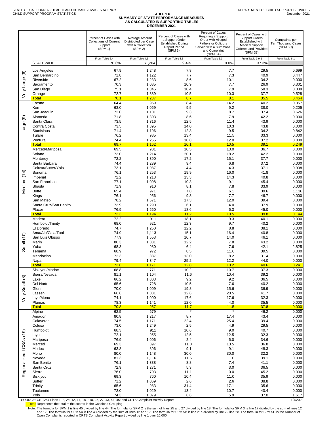### **TABLE 1.6 SUMMARY OF STATE PERFORMANCE MEASURES AS CALCULATED IN SUPPORTING TABLES DECEMBER 2021**

|                         |                                 | Percent of Cases with<br><b>Collections of Current</b><br>Support<br>(SPM 1) | Average Amount<br>Distributed per Case<br>with a Collection<br>(SPM 2) | Percent of Cases with<br>a Support Order<br><b>Established During</b><br><b>Report Period</b><br>(SPM 3) | Percent of Cases<br>Requiring a Support<br>Order with Alleged<br>Fathers or Obligors<br>Served with a Summons<br>and Complaint<br>(SPM 5A) | Percent of Cases with<br><b>Support Orders</b><br>Established with<br><b>Medical Support</b><br>Ordered and Provided<br>(SPM 5B) | Complaints per<br>Ten Thousand Cases<br>(SPM 5C) |
|-------------------------|---------------------------------|------------------------------------------------------------------------------|------------------------------------------------------------------------|----------------------------------------------------------------------------------------------------------|--------------------------------------------------------------------------------------------------------------------------------------------|----------------------------------------------------------------------------------------------------------------------------------|--------------------------------------------------|
|                         | <b>STATEWIDE</b>                | From Table 6.4<br>70.6%                                                      | From Table 4.3<br>\$1,204                                              | From Table 3.5<br>9.4%                                                                                   | From Table 3.3<br>9.0%                                                                                                                     | From Table 3.9.2<br>37.3%                                                                                                        | From Table 8.1                                   |
|                         | Los Angeles                     | 67.9                                                                         | 1,248                                                                  | 7.8                                                                                                      | 7.7                                                                                                                                        | 29.5                                                                                                                             | 0.699                                            |
| $\circlede$             | San Bernardino                  | 71.8                                                                         | 1,122                                                                  | 7.7                                                                                                      | 7.3                                                                                                                                        | 40.9                                                                                                                             | 0.447                                            |
|                         | Riverside                       | 67.2                                                                         | 1,233                                                                  | 8.6                                                                                                      | 10.1                                                                                                                                       | 34.2                                                                                                                             | 0.000                                            |
|                         | Sacramento<br>San Diego         | 70.3<br>75.1                                                                 | 1,085<br>1,345                                                         | 10.9<br>10.4                                                                                             | 7.7<br>7.9                                                                                                                                 | 26.9<br>58.3                                                                                                                     | 0.301<br>0.339                                   |
| Very Large              | Orange                          | 72.7                                                                         | 1,389                                                                  | 10.5                                                                                                     | 10.3                                                                                                                                       | 37.7                                                                                                                             | 0.528                                            |
|                         | <b>Total</b><br>Fresno          | 70.1<br>64.4                                                                 | 1,237<br>959                                                           | 8.7<br>8.4                                                                                               | 8.1<br>14.2                                                                                                                                | 35.5<br>40.2                                                                                                                     | 0.464<br>0.357                                   |
|                         | Kern                            | 63.0                                                                         | 1,069                                                                  | 9.5                                                                                                      | 9.2                                                                                                                                        | 38.0                                                                                                                             | 0.205                                            |
|                         | San Joaquin                     | 72.0                                                                         | 1,101                                                                  | 9.3                                                                                                      | 8.7                                                                                                                                        | 37.4                                                                                                                             | 0.626                                            |
| ම                       | Alameda<br>Santa Clara          | 71.8<br>73.5                                                                 | 1,303<br>1,316                                                         | 8.6<br>12.5                                                                                              | 7.9<br>11.4                                                                                                                                | 42.2<br>43.9                                                                                                                     | 0.000<br>0.000                                   |
| Large                   | Contra Costa                    | 73.5                                                                         | 1,395                                                                  | 14.0                                                                                                     | 10.3                                                                                                                                       | 43.8                                                                                                                             | 0.000                                            |
|                         | <b>Stanislaus</b>               | 71.4                                                                         | 1,196                                                                  | 12.8                                                                                                     | 9.5                                                                                                                                        | 34.2                                                                                                                             | 0.842                                            |
|                         | Tulare<br>Ventura               | 76.2<br>74.4                                                                 | 985<br>1,265                                                           | 13.4<br>10.8                                                                                             | 11.5<br>12.0                                                                                                                               | 33.3<br>37.2                                                                                                                     | 0.000<br>0.000                                   |
|                         | <b>Total</b>                    | 69.7                                                                         | 1,162                                                                  | 10.1                                                                                                     | 10.5                                                                                                                                       | 39.1                                                                                                                             | 0.249                                            |
|                         | Merced/Mariposa<br>Solano       | 69.5<br>73.0                                                                 | 901<br>1,214                                                           | 10.5<br>20.1                                                                                             | 13.0<br>18.2                                                                                                                               | 36.7<br>42.2                                                                                                                     | 0.000<br>0.000                                   |
|                         | Monterev                        | 72.2                                                                         | 1,390                                                                  | 17.2                                                                                                     | 15.1                                                                                                                                       | 37.7                                                                                                                             | 0.000                                            |
|                         | Santa Barbara                   | 74.4                                                                         | 1,239                                                                  | 9.4                                                                                                      | 6.8                                                                                                                                        | 37.2                                                                                                                             | 0.000                                            |
|                         | Colusa/Sutter/Yolo<br>Sonoma    | 73.1<br>76.1                                                                 | 1,087<br>1,253                                                         | 4.4<br>19.9                                                                                              | 4.3<br>16.0                                                                                                                                | 37.1<br>41.8                                                                                                                     | 0.938<br>0.000                                   |
| Medium (14)             | Imperial                        | 72.2                                                                         | 1,213                                                                  | 13.3                                                                                                     | 14.3                                                                                                                                       | 40.8                                                                                                                             | 0.000                                            |
|                         | San Francisco                   | 77.1                                                                         | 1,098                                                                  | 10.3                                                                                                     | 9.1                                                                                                                                        | 45.4                                                                                                                             | 0.000                                            |
|                         | Shasta<br><b>Butte</b>          | 71.9<br>65.4                                                                 | 910<br>971                                                             | 8.1<br>7.8                                                                                               | 7.8<br>6.1                                                                                                                                 | 33.9<br>39.6                                                                                                                     | 0.000<br>1.116                                   |
|                         | Kings                           | 76.1                                                                         | 956                                                                    | 9.3                                                                                                      | 7.7                                                                                                                                        | 46.7                                                                                                                             | 0.000                                            |
|                         | San Mateo                       | 78.2                                                                         | 1,571                                                                  | 17.3                                                                                                     | 12.0                                                                                                                                       | 39.4                                                                                                                             | 0.000                                            |
|                         | Santa Cruz/San Benito<br>Placer | 73.9<br>76.9                                                                 | 1,290<br>1,660                                                         | 6.1<br>18.6                                                                                              | 4.0<br>6.3                                                                                                                                 | 37.9<br>45.0                                                                                                                     | 0.000<br>0.000                                   |
|                         | <b>Total</b>                    | 73.3                                                                         | 1,194                                                                  | 11.7                                                                                                     | 10.5                                                                                                                                       | 39.8                                                                                                                             | 0.144                                            |
|                         | Madera<br>Humboldt/Trinity      | 72.2<br>68.0                                                                 | 911<br>921                                                             | 18.1<br>12.3                                                                                             | 9.3<br>9.7                                                                                                                                 | 40.1<br>40.2                                                                                                                     | 0.000<br>0.000                                   |
|                         | El Dorado                       | 74.7                                                                         | 1,250                                                                  | 12.2                                                                                                     | 8.8                                                                                                                                        | 38.1                                                                                                                             | 0.000                                            |
|                         | Ama/Alp/Cala/Tuol               | 74.9                                                                         | 1,113                                                                  | 15.1                                                                                                     | 16.4                                                                                                                                       | 40.8                                                                                                                             | 0.000                                            |
| Small (10)              | San Luis Obispo<br>Marin        | 77.9<br>80.3                                                                 | 1,553<br>1,831                                                         | 10.7<br>12.2                                                                                             | 14.0<br>7.8                                                                                                                                | 46.1<br>43.2                                                                                                                     | 0.000<br>0.000                                   |
|                         | Yuba                            | 68.3                                                                         | 980                                                                    | 6.4                                                                                                      | 7.6                                                                                                                                        | 42.1                                                                                                                             | 2.825                                            |
|                         | Tehama<br>Mendocino             | 68.9<br>72.3                                                                 | 972<br>887                                                             | 8.5                                                                                                      | 11.6<br>8.2                                                                                                                                | 39.5                                                                                                                             | 0.000<br>0.000                                   |
|                         | Napa                            | 79.4                                                                         | 1,347                                                                  | 13.0<br>25.2                                                                                             | 12.2                                                                                                                                       | 31.4<br>44.0                                                                                                                     | 0.000                                            |
|                         | <b>Total</b>                    | 73.6                                                                         | 1,171                                                                  | 12.8                                                                                                     | 10.2                                                                                                                                       | 40.6                                                                                                                             | 0.241                                            |
|                         | Siskiyou/Modoc<br>Sierra/Nevada | 68.8<br>81.1                                                                 | 771<br>1,104                                                           | 10.2<br>11.6                                                                                             | 10.7<br>10.4                                                                                                                               | 37.3<br>39.2                                                                                                                     | 0.000<br>0.000                                   |
| $\circledR$             | Lake                            | 66.2                                                                         | 1,003                                                                  | 9.2                                                                                                      | 9.2                                                                                                                                        | 36.5                                                                                                                             | 0.000                                            |
|                         | Del Norte                       | 65.6                                                                         | 728                                                                    | 10.5                                                                                                     | 7.6                                                                                                                                        | 40.2                                                                                                                             | 0.000                                            |
|                         | Glenn<br>Lassen                 | 70.0<br>66.6                                                                 | 1,009<br>1,031                                                         | 19.8<br>12.6                                                                                             | 15.6<br>20.5                                                                                                                               | 36.9<br>41.7                                                                                                                     | 0.000<br>0.000                                   |
| Very Small              | Inyo/Mono                       | 74.1                                                                         | 1,000                                                                  | 17.6                                                                                                     | 17.6                                                                                                                                       | 32.3                                                                                                                             | 0.000                                            |
|                         | Plumas<br><u>Total</u>          | 78.3<br>70.8                                                                 | 1,141<br>957                                                           | 12.0<br>11.7                                                                                             | 4.0<br>11.5                                                                                                                                | 35.5<br>37.8                                                                                                                     | 0.000<br>0.000                                   |
|                         | Alpine                          | 62.5                                                                         | 679                                                                    |                                                                                                          | $\star$                                                                                                                                    | 46.2                                                                                                                             | 0.000                                            |
|                         | Amador                          | 80.8                                                                         | 1,217                                                                  | 8.7                                                                                                      | 17.4                                                                                                                                       | 43.4                                                                                                                             | 0.000                                            |
|                         | Calaveras<br>Colusa             | 74.5<br>73.0                                                                 | 1,171<br>1,249                                                         | 22.4<br>2.5                                                                                              | 25.4<br>4.9                                                                                                                                | 39.4<br>29.5                                                                                                                     | 0.000<br>0.000                                   |
|                         | Humboldt                        | 68.3                                                                         | 911                                                                    | 10.6                                                                                                     | 9.0                                                                                                                                        | 40.7                                                                                                                             | 0.000                                            |
|                         | Inyo                            | 72.1                                                                         | 955                                                                    | 12.5                                                                                                     | 12.5                                                                                                                                       | 32.3                                                                                                                             | 0.000                                            |
|                         | Mariposa<br>Merced              | 76.9<br>69.3                                                                 | 1,006<br>897                                                           | 2.4<br>11.0                                                                                              | 6.0<br>13.5                                                                                                                                | 34.6<br>36.8                                                                                                                     | 0.000<br>0.000                                   |
| Regionalized LCSAs (19) | Modoc                           | 63.8                                                                         | 896                                                                    | 9.1                                                                                                      | 9.1                                                                                                                                        | 48.3                                                                                                                             | 0.000                                            |
|                         | Mono<br>Nevada                  | 80.0<br>81.3                                                                 | 1,148<br>1,116                                                         | 30.0<br>11.6                                                                                             | 30.0<br>11.0                                                                                                                               | 32.2<br>39.1                                                                                                                     | 0.000<br>0.000                                   |
|                         | San Benito                      | 76.1                                                                         | 1,338                                                                  | 8.8                                                                                                      | 7.4                                                                                                                                        | 41.1                                                                                                                             | 0.000                                            |
|                         | Santa Cruz                      | 72.9                                                                         | 1,271                                                                  | 5.3                                                                                                      | 3.0                                                                                                                                        | 36.5                                                                                                                             | 0.000                                            |
|                         | Sierra<br>Siskiyou              | 76.0<br>69.3                                                                 | 703<br>760                                                             | 11.1<br>10.4                                                                                             | 0.0<br>11.0                                                                                                                                | 45.2<br>35.9                                                                                                                     | 0.000<br>0.000                                   |
|                         | Sutter                          | 71.2                                                                         | 1,069                                                                  | 2.6                                                                                                      | 2.6                                                                                                                                        | 38.8                                                                                                                             | 0.000                                            |
|                         | Trinity<br>Tuolumne             | 65.6<br>72.0                                                                 | 983                                                                    | 31.4                                                                                                     | 17.1                                                                                                                                       | 35.6<br>40.4                                                                                                                     | 0.000                                            |
|                         | Yolo                            | 74.3                                                                         | 1,029<br>1,079                                                         | 13.4<br>6.6                                                                                              | 10.7<br>5.9                                                                                                                                | 37.0                                                                                                                             | 0.000<br>1.617                                   |

SOURCE: CS 1257 Lines 1, 2, 2e, 12, 17, 18, 21a, 25, 27, 43, 44, 45; and CRTS Complaint Activity Report 1/4/2022

**Total:** Represents the total of the scores in the Caseload Grouping

21 Note: The formula for SPM 1 is line 45 divided by line 44. The formula for SPM 2 is the sum of lines 25 and 27 divided by line 18. The formula for SPM 3 is line 17 divided by the sum of lines 12<br>and 17. The formula for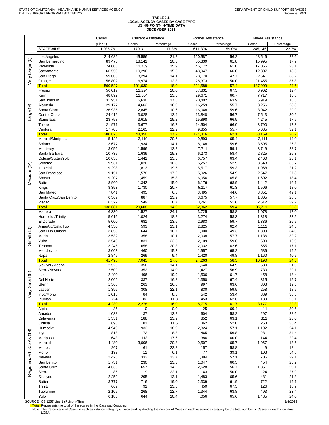# TABLE 2.1<br>LOCAL AGENCY CASES BY CASE TYPE<br>USING POINT-IN-TIME DATA<br>DECEMBER 2021

|                         |                                                   | Cases            | <b>Current Assistance</b> |              | Former Assistance |              | <b>Never Assistance</b> |              |
|-------------------------|---------------------------------------------------|------------------|---------------------------|--------------|-------------------|--------------|-------------------------|--------------|
|                         |                                                   | (Line 1)         | Cases                     | Percentage   | Cases             | Percentage   | Cases                   | Percentage   |
|                         | <b>STATEWIDE</b>                                  | 1,035,761        | 179,311                   | 17.3%        | 611.304           | 59.0%        | 245,146                 | 23.7%        |
|                         | Los Angeles                                       | 214,689          | 45,556                    | 21.2         | 120,587           | 56.2         | 48,546                  | 22.6         |
| $\circledcirc$          | San Bernardino                                    | 89,475           | 18,141                    | 20.3         | 55,339            | 61.8         | 15,995                  | 17.9         |
|                         | Riverside                                         | 74,006           | 11,769                    | 15.9         | 45,172            | 61.0         | 17,065                  | 23.1         |
|                         | Sacramento<br>San Diego                           | 66,550<br>59,005 | 10,296<br>8,294           | 15.5<br>14.1 | 43,947<br>28,170  | 66.0<br>47.7 | 12,307<br>22,541        | 18.5<br>38.2 |
| Very Large              | Orange                                            | 56,802           | 6,974                     | 12.3         | 28,373            | 50.0         | 21,455                  | 37.8         |
|                         | <b>Total</b>                                      | 560,527          | 101,030                   | 18.0         | 321,588           | 57.4         | 137,909                 | 24.6         |
|                         | Fresno                                            | 56,017           | 11,224                    | 20.0         | 37,831            | 67.5         | 6,962                   | 12.4         |
|                         | Kern                                              | 48,892           | 11,504                    | 23.5         | 29,671            | 60.7         | 7,717                   | 15.8         |
|                         | San Joaquin                                       | 31,951           | 5,630                     | 17.6         | 20,402            | 63.9         | 5,919                   | 18.5         |
| Large (9)               | Alameda<br>Santa Clara                            | 29,177<br>26,935 | 4,662<br>2,845            | 16.0<br>10.6 | 16,259<br>16,048  | 55.7<br>59.6 | 8,256<br>8,042          | 28.3<br>29.9 |
|                         | Contra Costa                                      | 24,419           | 3,028                     | 12.4         | 13,848            | 56.7         | 7,543                   | 30.9         |
|                         | Stanislaus                                        | 23,758           | 3,615                     | 15.2         | 15,898            | 66.9         | 4,245                   | 17.9         |
|                         | Tulare                                            | 21,971           | 3,677                     | 16.7         | 14,504            | 66.0         | 3,790                   | 17.3         |
|                         | Ventura                                           | 17,705           | 2,165                     | 12.2         | 9,855             | 55.7         | 5,685                   | 32.1         |
|                         | <b>Total</b>                                      | 280,825          | 48,350                    | 17.2<br>20.6 | 174,316           | 62.1<br>65.4 | 58,159                  | 20.7         |
|                         | Merced/Mariposa<br>Solano                         | 15,123<br>13,677 | 3,119<br>1,934            | 14.1         | 9,893<br>8,148    | 59.6         | 2,111<br>3,595          | 14.0<br>26.3 |
|                         | Monterey                                          | 13,056           | 1,596                     | 12.2         | 7,711             | 59.1         | 3,749                   | 28.7         |
|                         | Santa Barbara                                     | 10,737           | 1,639                     | 15.3         | 6,273             | 58.4         | 2,825                   | 26.3         |
|                         | Colusa/Sutter/Yolo                                | 10,658           | 1,441                     | 13.5         | 6,757             | 63.4         | 2,460                   | 23.1         |
|                         | Sonoma                                            | 9,931            | 1,026                     | 10.3         | 5,257             | 52.9         | 3,648                   | 36.7         |
|                         | Imperial<br>San Francisco                         | 9,298            | 1,813                     | 19.5         | 5,517             | 59.3         | 1,968                   | 21.2         |
|                         | Shasta                                            | 9,151<br>9,207   | 1,578<br>1,459            | 17.2<br>15.8 | 5,026<br>6,056    | 54.9<br>65.8 | 2,547<br>1,692          | 27.8<br>18.4 |
| Medium (14)             | <b>Butte</b>                                      | 8,960            | 1,342                     | 15.0         | 6,176             | 68.9         | 1,442                   | 16.1         |
|                         | Kings                                             | 8,353            | 1,730                     | 20.7         | 5,117             | 61.3         | 1,506                   | 18.0         |
|                         | San Mateo                                         | 7,841            | 495                       | 6.3          | 3,495             | 44.6         | 3,851                   | 49.1         |
|                         | Santa Cruz/San Benito                             | 6,367            | 887                       | 13.9         | 3,675             | 57.7         | 1,805                   | 28.3         |
|                         | Placer                                            | 6,322            | 549                       | 8.7          | 3,261             | 51.6         | 2,512                   | 39.7         |
|                         | <b>Total</b><br>Madera                            | 138,681<br>6,330 | 20,608<br>1,527           | 14.9<br>24.1 | 82,362<br>3,725   | 59.4<br>58.8 | 35,711<br>1,078         | 25.8<br>17.0 |
|                         | Humboldt/Trinity                                  | 5,616            | 1,024                     | 18.2         | 3,274             | 58.3         | 1,318                   | 23.5         |
|                         | El Dorado                                         | 5,000            | 681                       | 13.6         | 2,983             | 59.7         | 1,336                   | 26.7         |
|                         | Ama/Alp/Cala/Tuol                                 | 4,530            | 593                       | 13.1         | 2,825             | 62.4         | 1,112                   | 24.5         |
| Small (10)              | San Luis Obispo                                   | 3,853            | 644                       | 16.7         | 1,900             | 49.3         | 1,309                   | 34.0         |
|                         | Marin<br>Yuba                                     | 3,532<br>3,540   | 358<br>831                | 10.1<br>23.5 | 2,038<br>2,109    | 57.7<br>59.6 | 1,136<br>600            | 32.2<br>16.9 |
|                         | Tehama                                            | 3,245            | 658                       | 20.3         | 2,032             | 62.6         | 555                     | 17.1         |
|                         | Mendocino                                         | 3,003            | 460                       | 15.3         | 1,957             | 65.2         | 586                     | 19.5         |
|                         | Napa                                              | 2,849            | 269                       | 9.4          | 1,420             | 49.8         | 1,160                   | 40.7         |
|                         | <b>Total</b>                                      | 41,498           | 7,045                     | 17.0         | 24,263            | 58.5         | 10,190                  | 24.6         |
|                         | Siskiyou/Modoc<br>Sierra/Nevada                   | 2,526<br>2,509   | 356<br>352                | 14.1<br>14.0 | 1,640<br>1,427    | 64.9<br>56.9 | 530<br>730              | 21.0<br>29.1 |
|                         | Lake                                              | 2,490            | 496                       | 19.9         | 1,536             | 61.7         | 458                     | 18.4         |
| Very Small (8           | Del Norte                                         | 2,002            | 337                       | 16.8         | 1,350             | 67.4         | 315                     | 15.7         |
|                         | Glenn                                             | 1,568            | 263                       | 16.8         | 997               | 63.6         | 308                     | 19.6         |
|                         | Lassen                                            | 1,396            | 308                       | 22.1         | 830               | 59.5         | 258                     | 18.5         |
|                         | Inyo/Mono                                         | 1,015<br>724     | 84<br>82                  | 8.3<br>11.3  | 542<br>453        | 53.4<br>62.6 | 389<br>189              | 38.3<br>26.1 |
|                         | Plumas<br><b>Total</b>                            | 14,230           | 2,278                     | 16.0         | 8,775             | 61.7         | 3,177                   | 22.3         |
|                         | Alpine                                            | 36               | $\overline{0}$            | 0.0          | $\overline{25}$   | 69.4         | $\overline{11}$         | 30.6         |
|                         | Amador                                            | 1,038            | 137                       | 13.2         | 604               | 58.2         | 297                     | 28.6         |
|                         | Calaveras                                         | 1,351            | 188                       | 13.9         | 852               | 63.1         | 311                     | 23.0         |
|                         | Colusa<br>Humboldt                                | 696              | 81                        | 11.6         | 362               | 52.0         | 253                     | 36.4         |
|                         | Inyo                                              | 4,949<br>818     | 933<br>72                 | 18.9<br>8.8  | 2,824<br>465      | 57.1<br>56.8 | 1,192<br>281            | 24.1<br>34.4 |
|                         | Mariposa                                          | 643              | 113                       | 17.6         | 386               | 60.0         | 144                     | 22.4         |
|                         | Merced                                            | 14,480           | 3,006                     | 20.8         | 9,507             | 65.7         | 1,967                   | 13.6         |
|                         | Modoc                                             | 267              | 61                        | 22.8         | 157               | 58.8         | 49                      | 18.4         |
|                         | Mono                                              | 197              | 12                        | 6.1          | 77                | 39.1         | 108                     | 54.8         |
|                         | Nevada                                            | 2,423<br>1,731   | 333<br>230                | 13.7<br>13.3 | 1,384             | 57.1<br>60.5 | 706<br>454              | 29.1<br>26.2 |
|                         | San Benito<br>Santa Cruz                          | 4,636            | 657                       | 14.2         | 1,047<br>2,628    | 56.7         | 1,351                   | 29.1         |
| Regionalized LCSAs (19) | Sierra                                            | 86               | 19                        | 22.1         | 43                | 50.0         | 24                      | 27.9         |
|                         | Siskiyou                                          | 2,259            | 295                       | 13.1         | 1,483             | 65.6         | 481                     | 21.3         |
|                         | Sutter                                            | 3,777            | 716                       | 19.0         | 2,339             | 61.9         | 722                     | 19.1         |
|                         | Trinity                                           | 667              | 91                        | 13.6         | 450               | 67.5         | 126                     | 18.9         |
|                         | Tuolumne<br>Yolo                                  | 2,105<br>6,185   | 268<br>644                | 12.7<br>10.4 | 1,344<br>4,056    | 63.8<br>65.6 | 493<br>1,485            | 23.4<br>24.0 |
|                         | $00 \text{ m} \Omega F$ , $00 \text{ m} \Omega T$ |                  |                           |              |                   |              |                         | 11,0000      |

SOURCE: CS 1257 Line 1 (Point-in-Time)<br><mark>Total:</mark> Represents the total of the scores in the Caseload Grouping<br>Note: The Percentage of Cases in each assistance category is calculated by dividing the number of Cases in each as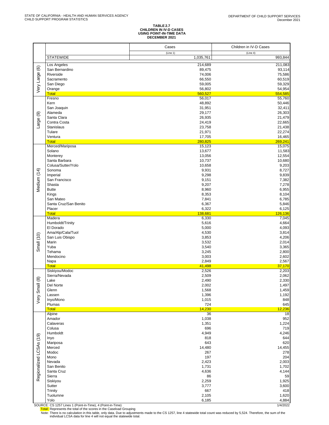#### **TABLE 2.7 CHILDREN IN IV-D CASES USING POINT-IN-TIME DATA DECEMBER 2021**

| (Line 1)<br>(Line 4)<br><b>STATEWIDE</b><br>1,035,761<br>993,844<br>Los Angeles<br>214,689<br>211,083<br>Very Large (6)<br>San Bernardino<br>89,475<br>93,114<br>74,006<br>Riverside<br>75,586<br>Sacramento<br>66,550<br>60,519<br>San Diego<br>59,005<br>59,329<br>Orange<br>56,802<br><b>Total</b><br>560,527<br>Fresno<br>56,017<br>Kern<br>48,892<br>50,446<br>San Joaquin<br>31,951<br>32,411<br>Alameda<br>29,177<br>26,303<br>Large (9)<br>Santa Clara<br>26,935<br>21,479<br>Contra Costa<br>24,419<br>22,665<br>Stanislaus<br>23,758<br>Tulare<br>21,971<br>22,274<br>Ventura<br>17,705<br>16,465<br>280,825<br>269,241<br><b>Total</b><br>Merced/Mariposa<br>15,123<br>15,075<br>Solano<br>13,677<br>11,583<br>Monterey<br>13,056<br>Santa Barbara<br>10,737<br>Colusa/Sutter/Yolo<br>10,658<br>9,203<br>Sonoma<br>9,931<br>8,727<br>Medium (14)<br>Imperial<br>9,298<br>9,839<br>San Francisco<br>9,151<br>7,382<br>Shasta<br>9,207<br>7,278<br>8,960<br><b>Butte</b><br>8,353<br>Kings<br>San Mateo<br>7,841<br>6,785<br>Santa Cruz/San Benito<br>6,367<br>5,846<br>Placer<br>6,322<br>6,125<br><b>Total</b><br>138,681<br>126,136<br>6,330<br>Madera<br>Humboldt/Trinity<br>5,616<br>El Dorado<br>5,000<br>4,093<br>Ama/Alp/Cala/Tuol<br>4,530<br>3,814<br>Small (10)<br>San Luis Obispo<br>3,853<br>4,206<br>Marin<br>3,532<br>2,014<br>Yuba<br>3,540<br>3,365<br>3,245<br>Tehama<br>3,003<br>Mendocino<br>2,849<br>Napa<br>2,567<br><b>Total</b><br>41,498<br>37,170<br>Siskiyou/Modoc<br>2,526<br>2,203<br>Sierra/Nevada<br>2,509<br>2,062<br>$\circledast$<br>2,490<br>Lake<br>Del Norte<br>2,002<br>Very Sma<br>1,568<br>1,459<br>Glenn<br>Lassen<br>1,396<br>1,192<br>848<br>1,015<br>Inyo/Mono<br>724<br>645<br>Plumas<br>12,236<br><b>Total</b><br>14,230<br>Alpine<br>36<br>952<br>Amador<br>1,038<br>Calaveras<br>1,351<br>1,224<br>719<br>Colusa<br>696<br>Humboldt<br>4,949<br>4,246<br>Regionalized LCSAs (19)<br>818<br>644<br>Inyo<br>Mariposa<br>643<br>Merced<br>14,480<br>Modoc<br>267<br>204<br>Mono<br>197<br>Nevada<br>2,423<br>2,003<br>San Benito<br>1,731<br>1,702<br>Santa Cruz<br>4,636<br>Sierra<br>86<br>2,259<br>Siskiyou<br>3,600<br>Sutter<br>3,777<br>Trinity<br>667<br>418<br>Tuolumne<br>2,105<br>1,620<br>Yolo<br>6,185<br>4,884 |  | Cases | Children in IV-D Cases |
|-----------------------------------------------------------------------------------------------------------------------------------------------------------------------------------------------------------------------------------------------------------------------------------------------------------------------------------------------------------------------------------------------------------------------------------------------------------------------------------------------------------------------------------------------------------------------------------------------------------------------------------------------------------------------------------------------------------------------------------------------------------------------------------------------------------------------------------------------------------------------------------------------------------------------------------------------------------------------------------------------------------------------------------------------------------------------------------------------------------------------------------------------------------------------------------------------------------------------------------------------------------------------------------------------------------------------------------------------------------------------------------------------------------------------------------------------------------------------------------------------------------------------------------------------------------------------------------------------------------------------------------------------------------------------------------------------------------------------------------------------------------------------------------------------------------------------------------------------------------------------------------------------------------------------------------------------------------------------------------------------------------------------------------------------------------------------------------------------------------------------------------------------------------------------------------------------------------------------------------------------------------------------------------|--|-------|------------------------|
|                                                                                                                                                                                                                                                                                                                                                                                                                                                                                                                                                                                                                                                                                                                                                                                                                                                                                                                                                                                                                                                                                                                                                                                                                                                                                                                                                                                                                                                                                                                                                                                                                                                                                                                                                                                                                                                                                                                                                                                                                                                                                                                                                                                                                                                                                   |  |       |                        |
|                                                                                                                                                                                                                                                                                                                                                                                                                                                                                                                                                                                                                                                                                                                                                                                                                                                                                                                                                                                                                                                                                                                                                                                                                                                                                                                                                                                                                                                                                                                                                                                                                                                                                                                                                                                                                                                                                                                                                                                                                                                                                                                                                                                                                                                                                   |  |       |                        |
|                                                                                                                                                                                                                                                                                                                                                                                                                                                                                                                                                                                                                                                                                                                                                                                                                                                                                                                                                                                                                                                                                                                                                                                                                                                                                                                                                                                                                                                                                                                                                                                                                                                                                                                                                                                                                                                                                                                                                                                                                                                                                                                                                                                                                                                                                   |  |       |                        |
|                                                                                                                                                                                                                                                                                                                                                                                                                                                                                                                                                                                                                                                                                                                                                                                                                                                                                                                                                                                                                                                                                                                                                                                                                                                                                                                                                                                                                                                                                                                                                                                                                                                                                                                                                                                                                                                                                                                                                                                                                                                                                                                                                                                                                                                                                   |  |       |                        |
|                                                                                                                                                                                                                                                                                                                                                                                                                                                                                                                                                                                                                                                                                                                                                                                                                                                                                                                                                                                                                                                                                                                                                                                                                                                                                                                                                                                                                                                                                                                                                                                                                                                                                                                                                                                                                                                                                                                                                                                                                                                                                                                                                                                                                                                                                   |  |       |                        |
|                                                                                                                                                                                                                                                                                                                                                                                                                                                                                                                                                                                                                                                                                                                                                                                                                                                                                                                                                                                                                                                                                                                                                                                                                                                                                                                                                                                                                                                                                                                                                                                                                                                                                                                                                                                                                                                                                                                                                                                                                                                                                                                                                                                                                                                                                   |  |       |                        |
|                                                                                                                                                                                                                                                                                                                                                                                                                                                                                                                                                                                                                                                                                                                                                                                                                                                                                                                                                                                                                                                                                                                                                                                                                                                                                                                                                                                                                                                                                                                                                                                                                                                                                                                                                                                                                                                                                                                                                                                                                                                                                                                                                                                                                                                                                   |  |       | 54,954                 |
|                                                                                                                                                                                                                                                                                                                                                                                                                                                                                                                                                                                                                                                                                                                                                                                                                                                                                                                                                                                                                                                                                                                                                                                                                                                                                                                                                                                                                                                                                                                                                                                                                                                                                                                                                                                                                                                                                                                                                                                                                                                                                                                                                                                                                                                                                   |  |       | 554,585                |
|                                                                                                                                                                                                                                                                                                                                                                                                                                                                                                                                                                                                                                                                                                                                                                                                                                                                                                                                                                                                                                                                                                                                                                                                                                                                                                                                                                                                                                                                                                                                                                                                                                                                                                                                                                                                                                                                                                                                                                                                                                                                                                                                                                                                                                                                                   |  |       | 55,760                 |
|                                                                                                                                                                                                                                                                                                                                                                                                                                                                                                                                                                                                                                                                                                                                                                                                                                                                                                                                                                                                                                                                                                                                                                                                                                                                                                                                                                                                                                                                                                                                                                                                                                                                                                                                                                                                                                                                                                                                                                                                                                                                                                                                                                                                                                                                                   |  |       |                        |
|                                                                                                                                                                                                                                                                                                                                                                                                                                                                                                                                                                                                                                                                                                                                                                                                                                                                                                                                                                                                                                                                                                                                                                                                                                                                                                                                                                                                                                                                                                                                                                                                                                                                                                                                                                                                                                                                                                                                                                                                                                                                                                                                                                                                                                                                                   |  |       |                        |
|                                                                                                                                                                                                                                                                                                                                                                                                                                                                                                                                                                                                                                                                                                                                                                                                                                                                                                                                                                                                                                                                                                                                                                                                                                                                                                                                                                                                                                                                                                                                                                                                                                                                                                                                                                                                                                                                                                                                                                                                                                                                                                                                                                                                                                                                                   |  |       |                        |
|                                                                                                                                                                                                                                                                                                                                                                                                                                                                                                                                                                                                                                                                                                                                                                                                                                                                                                                                                                                                                                                                                                                                                                                                                                                                                                                                                                                                                                                                                                                                                                                                                                                                                                                                                                                                                                                                                                                                                                                                                                                                                                                                                                                                                                                                                   |  |       |                        |
|                                                                                                                                                                                                                                                                                                                                                                                                                                                                                                                                                                                                                                                                                                                                                                                                                                                                                                                                                                                                                                                                                                                                                                                                                                                                                                                                                                                                                                                                                                                                                                                                                                                                                                                                                                                                                                                                                                                                                                                                                                                                                                                                                                                                                                                                                   |  |       | 21,438                 |
|                                                                                                                                                                                                                                                                                                                                                                                                                                                                                                                                                                                                                                                                                                                                                                                                                                                                                                                                                                                                                                                                                                                                                                                                                                                                                                                                                                                                                                                                                                                                                                                                                                                                                                                                                                                                                                                                                                                                                                                                                                                                                                                                                                                                                                                                                   |  |       |                        |
|                                                                                                                                                                                                                                                                                                                                                                                                                                                                                                                                                                                                                                                                                                                                                                                                                                                                                                                                                                                                                                                                                                                                                                                                                                                                                                                                                                                                                                                                                                                                                                                                                                                                                                                                                                                                                                                                                                                                                                                                                                                                                                                                                                                                                                                                                   |  |       |                        |
|                                                                                                                                                                                                                                                                                                                                                                                                                                                                                                                                                                                                                                                                                                                                                                                                                                                                                                                                                                                                                                                                                                                                                                                                                                                                                                                                                                                                                                                                                                                                                                                                                                                                                                                                                                                                                                                                                                                                                                                                                                                                                                                                                                                                                                                                                   |  |       |                        |
|                                                                                                                                                                                                                                                                                                                                                                                                                                                                                                                                                                                                                                                                                                                                                                                                                                                                                                                                                                                                                                                                                                                                                                                                                                                                                                                                                                                                                                                                                                                                                                                                                                                                                                                                                                                                                                                                                                                                                                                                                                                                                                                                                                                                                                                                                   |  |       |                        |
|                                                                                                                                                                                                                                                                                                                                                                                                                                                                                                                                                                                                                                                                                                                                                                                                                                                                                                                                                                                                                                                                                                                                                                                                                                                                                                                                                                                                                                                                                                                                                                                                                                                                                                                                                                                                                                                                                                                                                                                                                                                                                                                                                                                                                                                                                   |  |       | 12,554                 |
|                                                                                                                                                                                                                                                                                                                                                                                                                                                                                                                                                                                                                                                                                                                                                                                                                                                                                                                                                                                                                                                                                                                                                                                                                                                                                                                                                                                                                                                                                                                                                                                                                                                                                                                                                                                                                                                                                                                                                                                                                                                                                                                                                                                                                                                                                   |  |       | 10,680                 |
|                                                                                                                                                                                                                                                                                                                                                                                                                                                                                                                                                                                                                                                                                                                                                                                                                                                                                                                                                                                                                                                                                                                                                                                                                                                                                                                                                                                                                                                                                                                                                                                                                                                                                                                                                                                                                                                                                                                                                                                                                                                                                                                                                                                                                                                                                   |  |       |                        |
|                                                                                                                                                                                                                                                                                                                                                                                                                                                                                                                                                                                                                                                                                                                                                                                                                                                                                                                                                                                                                                                                                                                                                                                                                                                                                                                                                                                                                                                                                                                                                                                                                                                                                                                                                                                                                                                                                                                                                                                                                                                                                                                                                                                                                                                                                   |  |       |                        |
|                                                                                                                                                                                                                                                                                                                                                                                                                                                                                                                                                                                                                                                                                                                                                                                                                                                                                                                                                                                                                                                                                                                                                                                                                                                                                                                                                                                                                                                                                                                                                                                                                                                                                                                                                                                                                                                                                                                                                                                                                                                                                                                                                                                                                                                                                   |  |       |                        |
|                                                                                                                                                                                                                                                                                                                                                                                                                                                                                                                                                                                                                                                                                                                                                                                                                                                                                                                                                                                                                                                                                                                                                                                                                                                                                                                                                                                                                                                                                                                                                                                                                                                                                                                                                                                                                                                                                                                                                                                                                                                                                                                                                                                                                                                                                   |  |       |                        |
|                                                                                                                                                                                                                                                                                                                                                                                                                                                                                                                                                                                                                                                                                                                                                                                                                                                                                                                                                                                                                                                                                                                                                                                                                                                                                                                                                                                                                                                                                                                                                                                                                                                                                                                                                                                                                                                                                                                                                                                                                                                                                                                                                                                                                                                                                   |  |       | 6,955                  |
|                                                                                                                                                                                                                                                                                                                                                                                                                                                                                                                                                                                                                                                                                                                                                                                                                                                                                                                                                                                                                                                                                                                                                                                                                                                                                                                                                                                                                                                                                                                                                                                                                                                                                                                                                                                                                                                                                                                                                                                                                                                                                                                                                                                                                                                                                   |  |       | 8,104                  |
|                                                                                                                                                                                                                                                                                                                                                                                                                                                                                                                                                                                                                                                                                                                                                                                                                                                                                                                                                                                                                                                                                                                                                                                                                                                                                                                                                                                                                                                                                                                                                                                                                                                                                                                                                                                                                                                                                                                                                                                                                                                                                                                                                                                                                                                                                   |  |       |                        |
|                                                                                                                                                                                                                                                                                                                                                                                                                                                                                                                                                                                                                                                                                                                                                                                                                                                                                                                                                                                                                                                                                                                                                                                                                                                                                                                                                                                                                                                                                                                                                                                                                                                                                                                                                                                                                                                                                                                                                                                                                                                                                                                                                                                                                                                                                   |  |       |                        |
|                                                                                                                                                                                                                                                                                                                                                                                                                                                                                                                                                                                                                                                                                                                                                                                                                                                                                                                                                                                                                                                                                                                                                                                                                                                                                                                                                                                                                                                                                                                                                                                                                                                                                                                                                                                                                                                                                                                                                                                                                                                                                                                                                                                                                                                                                   |  |       |                        |
|                                                                                                                                                                                                                                                                                                                                                                                                                                                                                                                                                                                                                                                                                                                                                                                                                                                                                                                                                                                                                                                                                                                                                                                                                                                                                                                                                                                                                                                                                                                                                                                                                                                                                                                                                                                                                                                                                                                                                                                                                                                                                                                                                                                                                                                                                   |  |       | 7,045                  |
|                                                                                                                                                                                                                                                                                                                                                                                                                                                                                                                                                                                                                                                                                                                                                                                                                                                                                                                                                                                                                                                                                                                                                                                                                                                                                                                                                                                                                                                                                                                                                                                                                                                                                                                                                                                                                                                                                                                                                                                                                                                                                                                                                                                                                                                                                   |  |       | 4,664                  |
|                                                                                                                                                                                                                                                                                                                                                                                                                                                                                                                                                                                                                                                                                                                                                                                                                                                                                                                                                                                                                                                                                                                                                                                                                                                                                                                                                                                                                                                                                                                                                                                                                                                                                                                                                                                                                                                                                                                                                                                                                                                                                                                                                                                                                                                                                   |  |       |                        |
|                                                                                                                                                                                                                                                                                                                                                                                                                                                                                                                                                                                                                                                                                                                                                                                                                                                                                                                                                                                                                                                                                                                                                                                                                                                                                                                                                                                                                                                                                                                                                                                                                                                                                                                                                                                                                                                                                                                                                                                                                                                                                                                                                                                                                                                                                   |  |       |                        |
|                                                                                                                                                                                                                                                                                                                                                                                                                                                                                                                                                                                                                                                                                                                                                                                                                                                                                                                                                                                                                                                                                                                                                                                                                                                                                                                                                                                                                                                                                                                                                                                                                                                                                                                                                                                                                                                                                                                                                                                                                                                                                                                                                                                                                                                                                   |  |       |                        |
|                                                                                                                                                                                                                                                                                                                                                                                                                                                                                                                                                                                                                                                                                                                                                                                                                                                                                                                                                                                                                                                                                                                                                                                                                                                                                                                                                                                                                                                                                                                                                                                                                                                                                                                                                                                                                                                                                                                                                                                                                                                                                                                                                                                                                                                                                   |  |       |                        |
|                                                                                                                                                                                                                                                                                                                                                                                                                                                                                                                                                                                                                                                                                                                                                                                                                                                                                                                                                                                                                                                                                                                                                                                                                                                                                                                                                                                                                                                                                                                                                                                                                                                                                                                                                                                                                                                                                                                                                                                                                                                                                                                                                                                                                                                                                   |  |       | 2,800                  |
|                                                                                                                                                                                                                                                                                                                                                                                                                                                                                                                                                                                                                                                                                                                                                                                                                                                                                                                                                                                                                                                                                                                                                                                                                                                                                                                                                                                                                                                                                                                                                                                                                                                                                                                                                                                                                                                                                                                                                                                                                                                                                                                                                                                                                                                                                   |  |       | 2,602                  |
|                                                                                                                                                                                                                                                                                                                                                                                                                                                                                                                                                                                                                                                                                                                                                                                                                                                                                                                                                                                                                                                                                                                                                                                                                                                                                                                                                                                                                                                                                                                                                                                                                                                                                                                                                                                                                                                                                                                                                                                                                                                                                                                                                                                                                                                                                   |  |       |                        |
|                                                                                                                                                                                                                                                                                                                                                                                                                                                                                                                                                                                                                                                                                                                                                                                                                                                                                                                                                                                                                                                                                                                                                                                                                                                                                                                                                                                                                                                                                                                                                                                                                                                                                                                                                                                                                                                                                                                                                                                                                                                                                                                                                                                                                                                                                   |  |       |                        |
|                                                                                                                                                                                                                                                                                                                                                                                                                                                                                                                                                                                                                                                                                                                                                                                                                                                                                                                                                                                                                                                                                                                                                                                                                                                                                                                                                                                                                                                                                                                                                                                                                                                                                                                                                                                                                                                                                                                                                                                                                                                                                                                                                                                                                                                                                   |  |       |                        |
|                                                                                                                                                                                                                                                                                                                                                                                                                                                                                                                                                                                                                                                                                                                                                                                                                                                                                                                                                                                                                                                                                                                                                                                                                                                                                                                                                                                                                                                                                                                                                                                                                                                                                                                                                                                                                                                                                                                                                                                                                                                                                                                                                                                                                                                                                   |  |       | 2,330                  |
|                                                                                                                                                                                                                                                                                                                                                                                                                                                                                                                                                                                                                                                                                                                                                                                                                                                                                                                                                                                                                                                                                                                                                                                                                                                                                                                                                                                                                                                                                                                                                                                                                                                                                                                                                                                                                                                                                                                                                                                                                                                                                                                                                                                                                                                                                   |  |       | 1,497                  |
|                                                                                                                                                                                                                                                                                                                                                                                                                                                                                                                                                                                                                                                                                                                                                                                                                                                                                                                                                                                                                                                                                                                                                                                                                                                                                                                                                                                                                                                                                                                                                                                                                                                                                                                                                                                                                                                                                                                                                                                                                                                                                                                                                                                                                                                                                   |  |       |                        |
|                                                                                                                                                                                                                                                                                                                                                                                                                                                                                                                                                                                                                                                                                                                                                                                                                                                                                                                                                                                                                                                                                                                                                                                                                                                                                                                                                                                                                                                                                                                                                                                                                                                                                                                                                                                                                                                                                                                                                                                                                                                                                                                                                                                                                                                                                   |  |       |                        |
|                                                                                                                                                                                                                                                                                                                                                                                                                                                                                                                                                                                                                                                                                                                                                                                                                                                                                                                                                                                                                                                                                                                                                                                                                                                                                                                                                                                                                                                                                                                                                                                                                                                                                                                                                                                                                                                                                                                                                                                                                                                                                                                                                                                                                                                                                   |  |       |                        |
|                                                                                                                                                                                                                                                                                                                                                                                                                                                                                                                                                                                                                                                                                                                                                                                                                                                                                                                                                                                                                                                                                                                                                                                                                                                                                                                                                                                                                                                                                                                                                                                                                                                                                                                                                                                                                                                                                                                                                                                                                                                                                                                                                                                                                                                                                   |  |       |                        |
|                                                                                                                                                                                                                                                                                                                                                                                                                                                                                                                                                                                                                                                                                                                                                                                                                                                                                                                                                                                                                                                                                                                                                                                                                                                                                                                                                                                                                                                                                                                                                                                                                                                                                                                                                                                                                                                                                                                                                                                                                                                                                                                                                                                                                                                                                   |  |       | 18                     |
|                                                                                                                                                                                                                                                                                                                                                                                                                                                                                                                                                                                                                                                                                                                                                                                                                                                                                                                                                                                                                                                                                                                                                                                                                                                                                                                                                                                                                                                                                                                                                                                                                                                                                                                                                                                                                                                                                                                                                                                                                                                                                                                                                                                                                                                                                   |  |       |                        |
|                                                                                                                                                                                                                                                                                                                                                                                                                                                                                                                                                                                                                                                                                                                                                                                                                                                                                                                                                                                                                                                                                                                                                                                                                                                                                                                                                                                                                                                                                                                                                                                                                                                                                                                                                                                                                                                                                                                                                                                                                                                                                                                                                                                                                                                                                   |  |       |                        |
|                                                                                                                                                                                                                                                                                                                                                                                                                                                                                                                                                                                                                                                                                                                                                                                                                                                                                                                                                                                                                                                                                                                                                                                                                                                                                                                                                                                                                                                                                                                                                                                                                                                                                                                                                                                                                                                                                                                                                                                                                                                                                                                                                                                                                                                                                   |  |       |                        |
|                                                                                                                                                                                                                                                                                                                                                                                                                                                                                                                                                                                                                                                                                                                                                                                                                                                                                                                                                                                                                                                                                                                                                                                                                                                                                                                                                                                                                                                                                                                                                                                                                                                                                                                                                                                                                                                                                                                                                                                                                                                                                                                                                                                                                                                                                   |  |       |                        |
|                                                                                                                                                                                                                                                                                                                                                                                                                                                                                                                                                                                                                                                                                                                                                                                                                                                                                                                                                                                                                                                                                                                                                                                                                                                                                                                                                                                                                                                                                                                                                                                                                                                                                                                                                                                                                                                                                                                                                                                                                                                                                                                                                                                                                                                                                   |  |       | 620                    |
|                                                                                                                                                                                                                                                                                                                                                                                                                                                                                                                                                                                                                                                                                                                                                                                                                                                                                                                                                                                                                                                                                                                                                                                                                                                                                                                                                                                                                                                                                                                                                                                                                                                                                                                                                                                                                                                                                                                                                                                                                                                                                                                                                                                                                                                                                   |  |       | 14,455                 |
|                                                                                                                                                                                                                                                                                                                                                                                                                                                                                                                                                                                                                                                                                                                                                                                                                                                                                                                                                                                                                                                                                                                                                                                                                                                                                                                                                                                                                                                                                                                                                                                                                                                                                                                                                                                                                                                                                                                                                                                                                                                                                                                                                                                                                                                                                   |  |       | 278                    |
|                                                                                                                                                                                                                                                                                                                                                                                                                                                                                                                                                                                                                                                                                                                                                                                                                                                                                                                                                                                                                                                                                                                                                                                                                                                                                                                                                                                                                                                                                                                                                                                                                                                                                                                                                                                                                                                                                                                                                                                                                                                                                                                                                                                                                                                                                   |  |       |                        |
|                                                                                                                                                                                                                                                                                                                                                                                                                                                                                                                                                                                                                                                                                                                                                                                                                                                                                                                                                                                                                                                                                                                                                                                                                                                                                                                                                                                                                                                                                                                                                                                                                                                                                                                                                                                                                                                                                                                                                                                                                                                                                                                                                                                                                                                                                   |  |       |                        |
|                                                                                                                                                                                                                                                                                                                                                                                                                                                                                                                                                                                                                                                                                                                                                                                                                                                                                                                                                                                                                                                                                                                                                                                                                                                                                                                                                                                                                                                                                                                                                                                                                                                                                                                                                                                                                                                                                                                                                                                                                                                                                                                                                                                                                                                                                   |  |       | 4,144                  |
|                                                                                                                                                                                                                                                                                                                                                                                                                                                                                                                                                                                                                                                                                                                                                                                                                                                                                                                                                                                                                                                                                                                                                                                                                                                                                                                                                                                                                                                                                                                                                                                                                                                                                                                                                                                                                                                                                                                                                                                                                                                                                                                                                                                                                                                                                   |  |       | 59                     |
|                                                                                                                                                                                                                                                                                                                                                                                                                                                                                                                                                                                                                                                                                                                                                                                                                                                                                                                                                                                                                                                                                                                                                                                                                                                                                                                                                                                                                                                                                                                                                                                                                                                                                                                                                                                                                                                                                                                                                                                                                                                                                                                                                                                                                                                                                   |  |       | 1,925                  |
|                                                                                                                                                                                                                                                                                                                                                                                                                                                                                                                                                                                                                                                                                                                                                                                                                                                                                                                                                                                                                                                                                                                                                                                                                                                                                                                                                                                                                                                                                                                                                                                                                                                                                                                                                                                                                                                                                                                                                                                                                                                                                                                                                                                                                                                                                   |  |       |                        |
|                                                                                                                                                                                                                                                                                                                                                                                                                                                                                                                                                                                                                                                                                                                                                                                                                                                                                                                                                                                                                                                                                                                                                                                                                                                                                                                                                                                                                                                                                                                                                                                                                                                                                                                                                                                                                                                                                                                                                                                                                                                                                                                                                                                                                                                                                   |  |       |                        |
|                                                                                                                                                                                                                                                                                                                                                                                                                                                                                                                                                                                                                                                                                                                                                                                                                                                                                                                                                                                                                                                                                                                                                                                                                                                                                                                                                                                                                                                                                                                                                                                                                                                                                                                                                                                                                                                                                                                                                                                                                                                                                                                                                                                                                                                                                   |  |       |                        |

SOURCE: CS 1257 Lines 1 (Point-in-Time), 4 (Point-in-Time)<br>Total: Represents the total of the scores in the Caseload Grouping<br>Note: There is no calculation in this table, only data. Due to adjustments made to the CS 1257,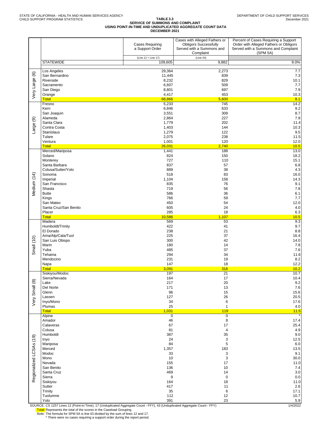#### **TABLE 3.3 SERVICE OF SUMMONS AND COMPLAINT USING POINT-IN-TIME AND UNDUPLICATED AGGREGATE COUNT DATA DECEMBER 2021**

|                         |                                      | <b>Cases Requiring</b><br>a Support Order | Cases with Alleged Fathers or<br><b>Obligors Successfully</b><br>Served with a Summons and<br>Complaint | Percent of Cases Requiring a Support<br>Order with Alleged Fathers or Obligors<br>Served with a Summons and Complaint<br>(SPM 5A) |
|-------------------------|--------------------------------------|-------------------------------------------|---------------------------------------------------------------------------------------------------------|-----------------------------------------------------------------------------------------------------------------------------------|
|                         | <b>STATEWIDE</b>                     | (Line 12 + Line 17)<br>109,605            | (Line 43)<br>9,882                                                                                      | 9.0%                                                                                                                              |
|                         | Los Angeles                          | 29,364                                    | 2,273                                                                                                   | 7.7                                                                                                                               |
| $\circlede$             | San Bernardino                       | 11,445                                    | 839                                                                                                     | 7.3                                                                                                                               |
| Very Large              | Riverside<br>Sacramento              | 8,232<br>6,607                            | 829<br>509                                                                                              | 10.1<br>7.7                                                                                                                       |
|                         | San Diego                            | 8,801                                     | 697                                                                                                     | 7.9                                                                                                                               |
|                         | Orange<br>Total                      | 4,417<br>68,866                           | 453<br>5,600                                                                                            | 10.3<br>8.1                                                                                                                       |
|                         | Fresno                               | 5,233                                     | 745                                                                                                     | 14.2                                                                                                                              |
|                         | Kern<br>San Joaquin                  | 6,846<br>3,551                            | 633<br>309                                                                                              | 9.2<br>8.7                                                                                                                        |
| ම                       | Alameda                              | 2,864                                     | 227                                                                                                     | $7.9$                                                                                                                             |
|                         | Santa Clara                          | 1,779                                     | 202                                                                                                     | 11.4                                                                                                                              |
| Large                   | Contra Costa<br>Stanislaus           | 1,403<br>1,279                            | 144<br>122                                                                                              | 10.3<br>9.5                                                                                                                       |
|                         | Tulare                               | 2,075                                     | 238                                                                                                     | 11.5                                                                                                                              |
|                         | Ventura<br><b>Total</b>              | 1,001<br>26,031                           | 120<br>2,740                                                                                            | 12.0<br>10.5                                                                                                                      |
|                         | Merced/Mariposa                      | 1,441                                     | 188                                                                                                     | 13.0                                                                                                                              |
|                         | Solano<br>Monterey                   | 824<br>727                                | 150<br>110                                                                                              | 18.2<br>15.1                                                                                                                      |
|                         | Santa Barbara                        | 837                                       | 57                                                                                                      | 6.8                                                                                                                               |
|                         | Colusa/Sutter/Yolo                   | 889                                       | 38                                                                                                      | 4.3                                                                                                                               |
|                         | Sonoma<br>Imperial                   | 518<br>1,104                              | 83<br>158                                                                                               | 16.0<br>14.3                                                                                                                      |
| Medium (14)             | San Francisco                        | 835                                       | 76                                                                                                      | 9.1                                                                                                                               |
|                         | Shasta<br><b>Butte</b>               | 719<br>586                                | 56<br>36                                                                                                | 7.8<br>6.1                                                                                                                        |
|                         | Kings                                | 766                                       | 59                                                                                                      | 7.7                                                                                                                               |
|                         | San Mateo                            | 450                                       | 54                                                                                                      | 12.0                                                                                                                              |
|                         | Santa Cruz/San Benito<br>Placer      | 605<br>285                                | 24<br>18                                                                                                | 4.0<br>6.3                                                                                                                        |
|                         | <b>Total</b>                         | 10,586                                    | 1,107                                                                                                   | 10.5                                                                                                                              |
|                         | Madera<br>Humboldt/Trinity           | 569<br>422                                | 53<br>41                                                                                                | 9.3<br>9.7                                                                                                                        |
|                         | El Dorado                            | 238                                       | 21                                                                                                      | 8.8                                                                                                                               |
|                         | Ama/Alp/Cala/Tuol<br>San Luis Obispo | 225<br>300                                | 37<br>42                                                                                                | 16.4<br>14.0                                                                                                                      |
| Small (10)              | Marin                                | 180                                       | 14                                                                                                      | 7.8                                                                                                                               |
|                         | Yuba<br>Tehama                       | 485<br>294                                | 37<br>34                                                                                                | 7.6<br>11.6                                                                                                                       |
|                         | Mendocino                            | 231                                       | 19                                                                                                      | $8.2\,$                                                                                                                           |
|                         | Napa<br><b>Total</b>                 | 147<br>3,091                              | 18<br>316                                                                                               | 12.2<br>10.2                                                                                                                      |
|                         | Siskiyou/Modoc                       | 197                                       | 21                                                                                                      | 10.7                                                                                                                              |
|                         | Sierra/Nevada<br>Lake                | 164<br>217                                | 17<br>20                                                                                                | 10.4<br>$9.2\,$                                                                                                                   |
|                         | Del Norte                            | 171                                       | 13                                                                                                      | 7.6                                                                                                                               |
|                         | Glenn                                | 96                                        | 15                                                                                                      | 15.6                                                                                                                              |
| Very Small (8)          | Lassen<br>Inyo/Mono                  | 127<br>34                                 | 26<br>6                                                                                                 | $20.5\,$<br>17.6                                                                                                                  |
|                         | Plumas                               | 25                                        | $\mathbf{1}$                                                                                            | $4.0$                                                                                                                             |
|                         | <b>Total</b><br>Alpine               | 1,031<br>$\overline{0}$                   | 119<br>$\mathbf 0$                                                                                      | $11.5$                                                                                                                            |
|                         | Amador                               | 46                                        | 8                                                                                                       | 17.4                                                                                                                              |
|                         | Calaveras<br>Colusa                  | 67<br>81                                  | 17<br>$\overline{4}$                                                                                    | 25.4<br>4.9                                                                                                                       |
|                         | Humboldt                             | 387                                       | 35                                                                                                      | 9.0                                                                                                                               |
|                         | Inyo<br>Mariposa                     | 24<br>84                                  | 3<br>5                                                                                                  | 12.5<br>6.0                                                                                                                       |
|                         | Merced                               | 1,357                                     | 183                                                                                                     | 13.5                                                                                                                              |
|                         | Modoc                                | 33                                        | 3                                                                                                       | 9.1                                                                                                                               |
|                         | Mono<br>Nevada                       | 10<br>155                                 | 3<br>17                                                                                                 | 30.0<br>$11.0$                                                                                                                    |
|                         | San Benito                           | 136                                       | 10                                                                                                      | 7.4                                                                                                                               |
| Regionalized LCSAs (19) | Santa Cruz<br>Sierra                 | 469<br>$\boldsymbol{9}$                   | 14<br>$\pmb{0}$                                                                                         | $3.0\,$<br>$0.0\,$                                                                                                                |
|                         | Siskiyou                             | 164                                       | 18                                                                                                      | 11.0                                                                                                                              |
|                         | Sutter<br>Trinity                    | 417<br>35                                 | 11<br>6                                                                                                 | 2.6<br>17.1                                                                                                                       |
|                         | Tuolumne                             | 112                                       | 12                                                                                                      | 10.7                                                                                                                              |
|                         | Yolo                                 | 391                                       | 23                                                                                                      | $5.9\,$                                                                                                                           |

SOURCE: CS 1257 Lines 12 (Point-in-Time), 17 (Unduplicated Aggregate Count - FFY), 43 (Unduplicated Aggregate Count - FFY) 1/4/2022

T<mark>otal:</mark> Represents the total of the scores in the Caseload Grouping<br>Note: The formula for SPM 5A is line 43 divided by the sum of lines 12 and 17.<br>\* There were no cases requiring a support order during the report period.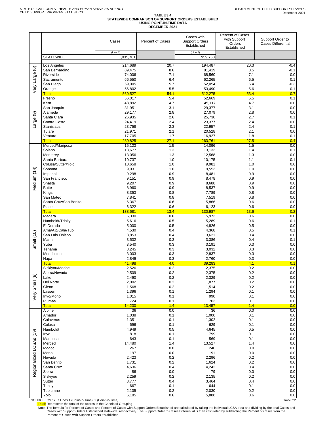|                         |                                 | Cases                 | <b>Percent of Cases</b>  | Cases with<br><b>Support Orders</b><br>Established | Percent of Cases<br>with Support<br>Orders<br>Established | Support Order to<br><b>Cases Differential</b> |
|-------------------------|---------------------------------|-----------------------|--------------------------|----------------------------------------------------|-----------------------------------------------------------|-----------------------------------------------|
|                         | <b>STATEWIDE</b>                | (Line 1)<br>1,035,761 |                          | (Line 2)<br>959,763                                |                                                           |                                               |
|                         | Los Angeles                     | 214,689               | 20.7                     | 194,487                                            | 20.3                                                      | $-0.4$                                        |
| $\circledcirc$          | San Bernardino                  | 89,475                | 8.6                      | 81,419                                             | 8.5                                                       | $-0.1$                                        |
| Very Large              | Riverside<br>Sacramento         | 74,006<br>66,550      | 7.1<br>6.4               | 68,560<br>62,265                                   | 7.1<br>6.5                                                | 0.0<br>0.1                                    |
|                         | San Diego                       | 59,005                | 5.7                      | 52,054                                             | 5.4                                                       | $-0.3$                                        |
|                         | Orange<br><b>Total</b>          | 56,802<br>560,527     | 5.5<br>54.1              | 53,490<br>512,275                                  | 5.6<br>53.4                                               | 0.1<br>$-0.7$                                 |
|                         | Fresno                          | 56,017                | 5.4                      | 52,669                                             | 5.5                                                       | 0.1                                           |
|                         | Kern                            | 48,892                | 4.7                      | 45,117                                             | 4.7                                                       | 0.0                                           |
|                         | San Joaquin<br>Alameda          | 31,951<br>29,177      | 3.1<br>2.8               | 29,377<br>27,079                                   | 3.1<br>2.8                                                | 0.0<br>0.0                                    |
| ම                       | Santa Clara                     | 26,935                | 2.6                      | 25,730                                             | 2.7                                                       | 0.1                                           |
| Large                   | Contra Costa<br>Stanislaus      | 24,419<br>23,758      | 2.4<br>2.3               | 23,377<br>22,957                                   | 2.4<br>2.4                                                | 0.0<br>0.1                                    |
|                         | Tulare                          | 21,971                | 2.1                      | 20,528                                             | 2.1                                                       | 0.0                                           |
|                         | Ventura                         | 17,705                | 1.7                      | 16,927                                             | 1.8                                                       | 0.1                                           |
|                         | <b>Total</b><br>Merced/Mariposa | 280,825<br>15,123     | <mark>27.1</mark><br>1.5 | 263,761<br>14,096                                  | 27.5<br>1.5                                               | 0.4<br>0.0                                    |
|                         | Solano                          | 13,677                | 1.3                      | 13,133                                             | 1.4                                                       | 0.1                                           |
|                         | Monterey<br>Santa Barbara       | 13,056<br>10,737      | 1.3<br>1.0               | 12,568<br>10,175                                   | 1.3<br>1.1                                                | 0.0<br>0.1                                    |
|                         | Colusa/Sutter/Yolo              | 10,658                | 1.0                      | 9,981                                              | 1.0                                                       | 0.0                                           |
|                         | Sonoma                          | 9,931                 | 1.0                      | 9,553                                              | 1.0                                                       | 0.0                                           |
| Medium (14)             | Imperial<br>San Francisco       | 9,298<br>9,151        | 0.9<br>0.9               | 8,481<br>8,478                                     | 0.9<br>0.9                                                | 0.0<br>0.0                                    |
|                         | Shasta                          | 9,207                 | 0.9                      | 8,688                                              | 0.9                                                       | 0.0                                           |
|                         | <b>Butte</b>                    | 8,960                 | 0.9                      | 8,537                                              | 0.9                                                       | 0.0                                           |
|                         | Kings<br>San Mateo              | 8,353<br>7,841        | 0.8<br>0.8               | 7,789<br>7,519                                     | 0.8<br>0.8                                                | 0.0<br>0.0                                    |
|                         | Santa Cruz/San Benito           | 6,367                 | 0.6                      | 5,866                                              | 0.6                                                       | 0.0                                           |
|                         | Placer<br><b>Total</b>          | 6,322<br>138,681      | 0.6<br>13.4              | 6,123<br>130,987                                   | 0.6<br>13.6                                               | 0.0<br>0.2                                    |
|                         | Madera                          | 6,330                 | 0.6                      | 5,973                                              | 0.6                                                       | 0.0                                           |
|                         | Humboldt/Trinity                | 5,616                 | 0.5                      | 5,289                                              | 0.6                                                       | 0.1                                           |
|                         | El Dorado<br>Ama/Alp/Cala/Tuol  | 5,000<br>4,530        | 0.5<br>0.4               | 4,826<br>4,368                                     | 0.5<br>0.5                                                | 0.0<br>0.1                                    |
|                         | San Luis Obispo                 | 3,853                 | 0.4                      | 3,621                                              | 0.4                                                       | 0.0                                           |
| Small (10)              | Marin<br>Yuba                   | 3,532<br>3,540        | 0.3<br>0.3               | 3,386<br>3,191                                     | 0.4<br>0.3                                                | 0.1<br>0.0                                    |
|                         | Tehama                          | 3,245                 | 0.3                      | 3,032                                              | 0.3                                                       | 0.0                                           |
|                         | Mendocino                       | 3,003                 | 0.3                      | 2,837                                              | 0.3                                                       | 0.0                                           |
|                         | Napa<br><b>Total</b>            | 2,849<br>41,498       | 0.3<br>4.0               | 2,760<br>39,283                                    | 0.3<br>4.1                                                | 0.0<br>0.1                                    |
|                         | Siskiyou/Modoc                  | 2,526                 | 0.2                      | 2,375                                              | 0.2                                                       | 0.0                                           |
|                         | Sierra/Nevada<br>Lake           | 2,509<br>2,490        | 0.2<br>0.2               | 2,375<br>2,329                                     | 0.2<br>0.2                                                | 0.0<br>$0.0\,$                                |
|                         | Del Norte                       | 2,002                 | $0.2\,$                  | 1,877                                              | $0.2\,$                                                   | 0.0                                           |
|                         | Glenn                           | 1,568                 | 0.2                      | 1,514                                              | 0.2                                                       | $0.0\,$                                       |
| Very Small (8)          | Lassen<br>Inyo/Mono             | 1,396<br>1,015        | 0.1<br>0.1               | 1,294<br>990                                       | 0.1<br>0.1                                                | $0.0\,$<br>$0.0\,$                            |
|                         | Plumas                          | 724                   | 0.1                      | 703                                                | 0.1                                                       | 0.0                                           |
|                         | <b>Total</b><br>Alpine          | 14,230<br>36          | 1.4<br>0.0               | 13,457<br>36                                       | 1.4<br>0.0                                                | 0.0<br>0.0                                    |
|                         | Amador                          | 1,038                 | 0.1                      | 1,000                                              | 0.1                                                       | 0.0                                           |
|                         | Calaveras                       | 1,351                 | 0.1                      | 1,302                                              | 0.1                                                       | $0.0\,$                                       |
|                         | Colusa<br>Humboldt              | 696<br>4,949          | 0.1<br>0.5               | 629<br>4,645                                       | 0.1<br>0.5                                                | 0.0<br>$0.0\,$                                |
|                         | Inyo                            | 818                   | 0.1                      | 799                                                | 0.1                                                       | 0.0                                           |
|                         | Mariposa<br>Merced              | 643<br>14,480         | 0.1<br>1.4               | 569<br>13,527                                      | 0.1<br>1.4                                                | $0.0\,$<br>0.0                                |
|                         | Modoc                           | 267                   | 0.0                      | 240                                                | 0.0                                                       | $0.0\,$                                       |
|                         | Mono                            | 197                   | $0.0\,$                  | 191                                                | $0.0\,$                                                   | 0.0                                           |
|                         | Nevada<br>San Benito            | 2,423<br>1,731        | 0.2<br>0.2               | 2,296<br>1,624                                     | 0.2<br>0.2                                                | 0.0<br>0.0                                    |
| Regionalized LCSAs (19) | Santa Cruz                      | 4,636                 | 0.4                      | 4,242                                              | 0.4                                                       | 0.0                                           |
|                         | Sierra                          | 86<br>2,259           | $0.0\,$<br>0.2           | 79<br>2,135                                        | 0.0<br>0.2                                                | 0.0<br>0.0                                    |
|                         | Siskiyou<br>Sutter              | 3,777                 | 0.4                      | 3,464                                              | 0.4                                                       | 0.0                                           |
|                         | Trinity                         | 667                   | 0.1                      | 644                                                | 0.1                                                       | 0.0                                           |
|                         | Tuolumne<br>Yolo                | 2,105<br>6,185        | 0.2<br>0.6               | 2,030<br>5,888                                     | 0.2<br>0.6                                                | $0.0\,$<br>$0.0\,$                            |

SOURCE: CS 1257 Lines 1 (Point-in-Time), 2 (Point-in-Time)<br>Total: Represents the total of the scores in the Caseload Grouping in the Caseload Grouping in the scores in the Caseload Grouping

Note: The formula for Percent of Cases and Percent of Cases with Support Orders Established are calculated by taking the individual LCSA data and dividing by the total Cases and<br>Cases with Support Orders Statablished state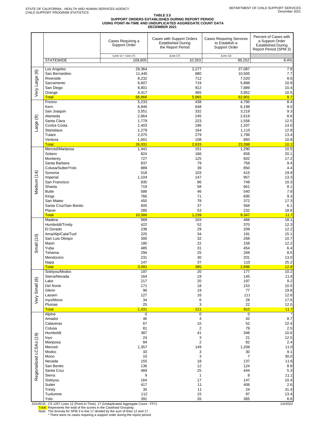# TABLE 3.5<br>SUPPORT ORDERS ESTABLISHED DURING REPORT PERIOD<br>USING POINT-IN-TIME AND UNDUPLICATED AGGREGATE COUNT DATA<br>DECEMBER 2021

|                         |                                                                                                                                                                                                                        | Cases Requiring a<br><b>Support Order</b>                                                                    | Cases with Support Orders<br><b>Established During</b><br>the Report Period             | <b>Cases Requiring Services</b><br>to Establish a<br><b>Support Order</b>                                 | Percent of Cases with<br>a Support Order<br><b>Established During</b><br>Report Period (SPM 3)                 |
|-------------------------|------------------------------------------------------------------------------------------------------------------------------------------------------------------------------------------------------------------------|--------------------------------------------------------------------------------------------------------------|-----------------------------------------------------------------------------------------|-----------------------------------------------------------------------------------------------------------|----------------------------------------------------------------------------------------------------------------|
|                         | <b>STATEWIDE</b>                                                                                                                                                                                                       | (Line 12 + Line 17)<br>109,605                                                                               | (Line 17)<br>10,353                                                                     | (Line 12)<br>99,252                                                                                       | 9.4%                                                                                                           |
| Very Large (6)          | Los Angeles                                                                                                                                                                                                            | 29.364                                                                                                       | 2,277                                                                                   | 27,087                                                                                                    | 7.8                                                                                                            |
|                         | San Bernardino                                                                                                                                                                                                         | 11,445                                                                                                       | 880                                                                                     | 10,565                                                                                                    | 7.7                                                                                                            |
|                         | Riverside                                                                                                                                                                                                              | 8,232                                                                                                        | 712                                                                                     | 7,520                                                                                                     | 8.6                                                                                                            |
|                         | Sacramento                                                                                                                                                                                                             | 6,607                                                                                                        | 719                                                                                     | 5,888                                                                                                     | 10.9                                                                                                           |
|                         | San Diego                                                                                                                                                                                                              | 8,801                                                                                                        | 912                                                                                     | 7,889                                                                                                     | 10.4                                                                                                           |
|                         | Orange                                                                                                                                                                                                                 | 4,417                                                                                                        | 465                                                                                     | 3,952                                                                                                     | 10.5                                                                                                           |
|                         | <b>Total</b>                                                                                                                                                                                                           | 68,866                                                                                                       | 5,965                                                                                   | 62,901                                                                                                    | 8.7                                                                                                            |
|                         | Fresno                                                                                                                                                                                                                 | 5,233                                                                                                        | 438                                                                                     | 4,795                                                                                                     | 8.4                                                                                                            |
| ම<br>Large              | Kern<br>San Joaquin<br>Alameda<br>Santa Clara<br>Contra Costa<br><b>Stanislaus</b><br>Tulare<br>Ventura<br><b>Total</b>                                                                                                | 6,846<br>3,551<br>2,864<br>1,779<br>1,403<br>1,279<br>2,075<br>1,001<br>26,031                               | 648<br>332<br>245<br>223<br>196<br>164<br>279<br>108<br>2,633<br>151                    | 6,198<br>3,219<br>2,619<br>1,556<br>1,207<br>1,115<br>1,796<br>893<br>23,398                              | 9.5<br>9.3<br>8.6<br>12.5<br>14.0<br>12.8<br>13.4<br>10.8<br>10.1                                              |
| Medium (14)             | Merced/Mariposa<br>Solano<br>Monterey<br>Santa Barbara<br>Colusa/Sutter/Yolo<br>Sonoma<br>Imperial<br>San Francisco<br>Shasta<br><b>Butte</b><br>Kings<br>San Mateo<br>Santa Cruz/San Benito<br>Placer<br><b>Total</b> | 1,441<br>824<br>727<br>837<br>889<br>518<br>1,104<br>835<br>719<br>586<br>766<br>450<br>605<br>285<br>10,586 | 166<br>125<br>79<br>39<br>103<br>147<br>86<br>58<br>46<br>71<br>78<br>37<br>53<br>1,239 | 1,290<br>658<br>602<br>758<br>850<br>415<br>957<br>749<br>661<br>540<br>695<br>372<br>568<br>232<br>9,347 | 10.5<br>20.1<br>17.2<br>9.4<br>4.4<br>19.9<br>13.3<br>10.3<br>8.1<br>7.8<br>9.3<br>17.3<br>6.1<br>18.6<br>11.7 |
| Small $(10)$            | Madera                                                                                                                                                                                                                 | 569                                                                                                          | 103                                                                                     | 466                                                                                                       | 18.1                                                                                                           |
|                         | Humboldt/Trinity                                                                                                                                                                                                       | 422                                                                                                          | 52                                                                                      | 370                                                                                                       | 12.3                                                                                                           |
|                         | El Dorado                                                                                                                                                                                                              | 238                                                                                                          | 29                                                                                      | 209                                                                                                       | 12.2                                                                                                           |
|                         | Ama/Alp/Cala/Tuol                                                                                                                                                                                                      | 225                                                                                                          | 34                                                                                      | 191                                                                                                       | 15.1                                                                                                           |
|                         | San Luis Obispo                                                                                                                                                                                                        | 300                                                                                                          | 32                                                                                      | 268                                                                                                       | 10.7                                                                                                           |
|                         | Marin                                                                                                                                                                                                                  | 180                                                                                                          | 22                                                                                      | 158                                                                                                       | 12.2                                                                                                           |
|                         | Yuba                                                                                                                                                                                                                   | 485                                                                                                          | 31                                                                                      | 454                                                                                                       | 6.4                                                                                                            |
|                         | Tehama                                                                                                                                                                                                                 | 294                                                                                                          | 25                                                                                      | 269                                                                                                       | 8.5                                                                                                            |
|                         | Mendocino                                                                                                                                                                                                              | 231                                                                                                          | 30                                                                                      | 201                                                                                                       | 13.0                                                                                                           |
|                         | Napa                                                                                                                                                                                                                   | 147                                                                                                          | 37                                                                                      | 110                                                                                                       | 25.2                                                                                                           |
|                         | <b>Total</b>                                                                                                                                                                                                           | 3,091                                                                                                        | 395                                                                                     | 2,696                                                                                                     | 12.8                                                                                                           |
| Very Small (8)          | Siskiyou/Modoc                                                                                                                                                                                                         | 197                                                                                                          | 20                                                                                      | 177                                                                                                       | $\frac{1}{10.2}$                                                                                               |
|                         | Sierra/Nevada                                                                                                                                                                                                          | 164                                                                                                          | 19                                                                                      | 145                                                                                                       | 11.6                                                                                                           |
|                         | Lake                                                                                                                                                                                                                   | 217                                                                                                          | 20                                                                                      | 197                                                                                                       | 9.2                                                                                                            |
|                         | Del Norte                                                                                                                                                                                                              | 171                                                                                                          | 18                                                                                      | 153                                                                                                       | 10.5                                                                                                           |
|                         | Glenn                                                                                                                                                                                                                  | 96                                                                                                           | 19                                                                                      | 77                                                                                                        | 19.8                                                                                                           |
|                         | Lassen                                                                                                                                                                                                                 | 127                                                                                                          | 16                                                                                      | 111                                                                                                       | 12.6                                                                                                           |
|                         | Inyo/Mono                                                                                                                                                                                                              | 34                                                                                                           | 6                                                                                       | 28                                                                                                        | 17.6                                                                                                           |
|                         | Plumas                                                                                                                                                                                                                 | 25                                                                                                           | 3                                                                                       | 22                                                                                                        | 12.0                                                                                                           |
|                         | <b>Total</b>                                                                                                                                                                                                           | 1,031                                                                                                        | 121                                                                                     | 910                                                                                                       | 11.7                                                                                                           |
| Regionalized LCSAs (19) | Alpine                                                                                                                                                                                                                 | $\overline{0}$                                                                                               | 0                                                                                       | $\overline{0}$                                                                                            | 8.7                                                                                                            |
|                         | Amador                                                                                                                                                                                                                 | 46                                                                                                           | 4                                                                                       | 42                                                                                                        | 22.4                                                                                                           |
|                         | Calaveras                                                                                                                                                                                                              | 67                                                                                                           | 15                                                                                      | 52                                                                                                        | 2.5                                                                                                            |
|                         | Colusa                                                                                                                                                                                                                 | 81                                                                                                           | 2                                                                                       | 79                                                                                                        | 10.6                                                                                                           |
|                         | Humboldt                                                                                                                                                                                                               | 387                                                                                                          | 41                                                                                      | 346                                                                                                       | 12.5                                                                                                           |
|                         | Inyo                                                                                                                                                                                                                   | 24                                                                                                           | 3                                                                                       | 21                                                                                                        | 2.4                                                                                                            |
|                         | Mariposa                                                                                                                                                                                                               | 84                                                                                                           | $\overline{c}$                                                                          | 82                                                                                                        | 11.0                                                                                                           |
|                         | Merced                                                                                                                                                                                                                 | 1,357                                                                                                        | 149                                                                                     | 1,208                                                                                                     | 9.1                                                                                                            |
|                         | Modoc                                                                                                                                                                                                                  | 33                                                                                                           | 3                                                                                       | $30\,$                                                                                                    | 30.0                                                                                                           |
|                         | Mono                                                                                                                                                                                                                   | 10                                                                                                           | 3                                                                                       | $\overline{7}$                                                                                            | 11.6                                                                                                           |
|                         | Nevada                                                                                                                                                                                                                 | 155                                                                                                          | 18                                                                                      | 137                                                                                                       | 8.8                                                                                                            |
|                         | San Benito                                                                                                                                                                                                             | 136                                                                                                          | 12                                                                                      | 124                                                                                                       | 5.3                                                                                                            |
|                         | Santa Cruz                                                                                                                                                                                                             | 469                                                                                                          | 25                                                                                      | 444                                                                                                       | 11.1                                                                                                           |
|                         | Sierra                                                                                                                                                                                                                 | 9                                                                                                            | $\mathbf{1}$                                                                            | 8                                                                                                         | 10.4                                                                                                           |
|                         | Siskiyou                                                                                                                                                                                                               | 164                                                                                                          | 17                                                                                      | 147                                                                                                       | 2.6                                                                                                            |
|                         | Sutter                                                                                                                                                                                                                 | 417                                                                                                          | 11                                                                                      | 406                                                                                                       | 31.4                                                                                                           |
|                         | Trinity                                                                                                                                                                                                                | 35                                                                                                           | 11                                                                                      | 24                                                                                                        | 13.4                                                                                                           |
|                         | Tuolumne                                                                                                                                                                                                               | 112                                                                                                          | 15                                                                                      | 97                                                                                                        | 6.6                                                                                                            |
|                         | Yolo                                                                                                                                                                                                                   | 391                                                                                                          | 26                                                                                      | 365                                                                                                       | 1410000                                                                                                        |

SOURCE: CS 1257 Lines 12 (Point-in-Time), 17 (Unduplicated Aggregate Count - FFY)<br>
Total: Represents the total of the scores in the Caseload Grouping<br>
Note: The formula for SPM 3 is line 17 divided by the sum of lines 12 a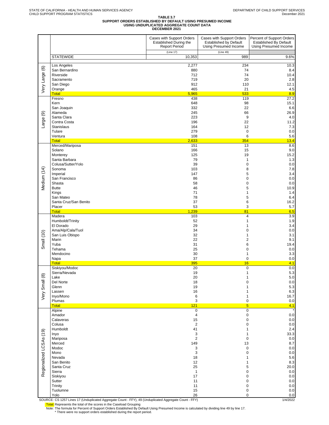# TABLE 3.7<br>SUPPORT ORDERS ESTABLISHED BY DEFAULT USING PRESUMED INCOME<br>DECEMBER 2021<br>DECEMBER 2021

|                         |                                                                                                        | Cases with Support Orders<br>Established During the<br><b>Report Period</b> | Cases with Support Orders<br><b>Established by Default</b><br>Using Presumed Income | Percent of Support Orders<br><b>Established By Default</b><br><b>Using Presumed Income</b> |
|-------------------------|--------------------------------------------------------------------------------------------------------|-----------------------------------------------------------------------------|-------------------------------------------------------------------------------------|--------------------------------------------------------------------------------------------|
|                         | <b>STATEWIDE</b>                                                                                       | (Line 17)<br>10,353                                                         | (Line 49)<br>989                                                                    | 9.6%                                                                                       |
|                         | Los Angeles                                                                                            | 2,277                                                                       | 234                                                                                 | 10.3                                                                                       |
| Very Large (6)          | San Bernardino                                                                                         | 880                                                                         | 74                                                                                  | 8.4                                                                                        |
|                         | Riverside                                                                                              | 712                                                                         | 74                                                                                  | 10.4                                                                                       |
|                         | Sacramento<br>San Diego                                                                                | 719<br>912                                                                  | 20<br>110                                                                           | 2.8<br>12.1                                                                                |
|                         | Orange                                                                                                 | 465                                                                         | 21                                                                                  | 4.5                                                                                        |
|                         | <b>Total</b><br>Fresno                                                                                 | 5,965<br>438                                                                | 533<br>119                                                                          | 8.9<br>27.2                                                                                |
|                         | Kern                                                                                                   | 648                                                                         | 98                                                                                  | 15.1                                                                                       |
|                         | San Joaquin                                                                                            | 332                                                                         | 22                                                                                  | 6.6                                                                                        |
|                         | Alameda<br>Santa Clara                                                                                 | 245<br>223                                                                  | 66<br>9                                                                             | 26.9<br>4.0                                                                                |
| Large (9)               | Contra Costa                                                                                           | 196                                                                         | 22                                                                                  | 11.2                                                                                       |
|                         | Stanislaus                                                                                             | 164                                                                         | 12                                                                                  | 7.3                                                                                        |
|                         | Tulare<br>Ventura                                                                                      | 279<br>108                                                                  | $\mathbf 0$<br>6                                                                    | 0.0<br>5.6                                                                                 |
|                         | <b>Total</b>                                                                                           | 2,633                                                                       | 354                                                                                 | 13.4                                                                                       |
|                         | Merced/Mariposa                                                                                        | 151                                                                         | 13                                                                                  | 8.6                                                                                        |
|                         | Solano<br>Monterey                                                                                     | 166<br>125                                                                  | 15<br>19                                                                            | 9.0<br>15.2                                                                                |
|                         | Santa Barbara                                                                                          | 79                                                                          | $\mathbf{1}$                                                                        | 1.3                                                                                        |
|                         | Colusa/Sutter/Yolo                                                                                     | 39                                                                          | $\mathbf 0$                                                                         | 0.0                                                                                        |
| Medium (14)             | Sonoma<br>Imperial                                                                                     | 103<br>147                                                                  | 8<br>5                                                                              | 7.8<br>3.4                                                                                 |
|                         | San Francisco                                                                                          | 86                                                                          | 0                                                                                   | 0.0                                                                                        |
|                         | Shasta                                                                                                 | 58                                                                          | 0                                                                                   | 0.0                                                                                        |
|                         | <b>Butte</b><br>Kings                                                                                  | 46<br>71                                                                    | 5<br>1                                                                              | 10.9<br>1.4                                                                                |
|                         | San Mateo                                                                                              | 78                                                                          | 5                                                                                   | 6.4                                                                                        |
|                         | Santa Cruz/San Benito                                                                                  | 37                                                                          | 6                                                                                   | 16.2                                                                                       |
|                         | Placer<br><b>Total</b>                                                                                 | 53<br>1,239                                                                 | 3<br>81                                                                             | 5.7<br>6.5                                                                                 |
|                         | Madera                                                                                                 | 103                                                                         | $\overline{\mathbf{4}}$                                                             | 3.9                                                                                        |
|                         | Humboldt/Trinity                                                                                       | 52                                                                          | $\mathbf{1}$                                                                        | 1.9                                                                                        |
|                         | El Dorado<br>Ama/Alp/Cala/Tuol                                                                         | 29<br>34                                                                    | 1<br>0                                                                              | 3.4<br>0.0                                                                                 |
| Small (10)              | San Luis Obispo                                                                                        | 32                                                                          | 1                                                                                   | 3.1                                                                                        |
|                         | Marin                                                                                                  | 22                                                                          | 2                                                                                   | 9.1                                                                                        |
|                         | Yuba<br>Tehama                                                                                         | 31<br>25                                                                    | 6<br>0                                                                              | 19.4<br>0.0                                                                                |
|                         | Mendocino                                                                                              | 30                                                                          | 1                                                                                   | 3.3                                                                                        |
|                         | Napa                                                                                                   | 37                                                                          | $\mathbf 0$                                                                         | 0.0                                                                                        |
|                         | <b>Total</b><br>Siskiyou/Modoc                                                                         | 395<br>20                                                                   | 16<br>$\mathbf 0$                                                                   | 4.1<br>0.0                                                                                 |
|                         | Sierra/Nevada                                                                                          | 19                                                                          | 1                                                                                   | 5.3                                                                                        |
|                         | Lake                                                                                                   | 20                                                                          | 1                                                                                   | 5.0                                                                                        |
| Very Small (8)          | Del Norte<br>Glenn                                                                                     | 18<br>19                                                                    | 0                                                                                   | 0.0<br>5.3                                                                                 |
|                         | Lassen                                                                                                 | 16                                                                          | 1                                                                                   | 6.3                                                                                        |
|                         | Inyo/Mono                                                                                              | 6                                                                           | 1                                                                                   | 16.7                                                                                       |
|                         | Plumas<br><b>Total</b>                                                                                 | 3<br>121                                                                    | 0<br>$5\phantom{.0}$                                                                | $0.0\,$<br>4.1                                                                             |
|                         | Alpine                                                                                                 | 0                                                                           | $\pmb{0}$                                                                           |                                                                                            |
|                         | Amador                                                                                                 | 4                                                                           | $\pmb{0}$                                                                           | 0.0                                                                                        |
|                         | Calaveras<br>Colusa                                                                                    | 15<br>$\overline{2}$                                                        | $\mathbf 0$<br>0                                                                    | 0.0<br>$0.0\,$                                                                             |
|                         | Humboldt                                                                                               | 41                                                                          | 1                                                                                   | 2.4                                                                                        |
|                         | Inyo<br>Mariposa                                                                                       | 3<br>2                                                                      | 1<br>0                                                                              | 33.3<br>0.0                                                                                |
|                         | Merced                                                                                                 | 149                                                                         | 13                                                                                  | 8.7                                                                                        |
| Regionalized LCSAs (19) | Modoc                                                                                                  | 3                                                                           | $\mathbf 0$                                                                         | 0.0                                                                                        |
|                         | Mono<br>Nevada                                                                                         | 3<br>18                                                                     | $\mathbf 0$<br>1                                                                    | 0.0<br>5.6                                                                                 |
|                         | San Benito                                                                                             | 12                                                                          | 1                                                                                   | 8.3                                                                                        |
|                         | Santa Cruz                                                                                             | 25                                                                          | 5                                                                                   | 20.0                                                                                       |
|                         | Sierra<br>Siskiyou                                                                                     | $\mathbf{1}$<br>17                                                          | 0<br>0                                                                              | 0.0<br>0.0                                                                                 |
|                         | Sutter                                                                                                 | 11                                                                          | 0                                                                                   | 0.0                                                                                        |
|                         | Trinity                                                                                                | 11                                                                          | $\mathbf 0$                                                                         | 0.0                                                                                        |
|                         | Tuolumne<br>Yolo                                                                                       | 15<br>26                                                                    | $\mathbf 0$<br>$\mathbf 0$                                                          | 0.0<br>0.0                                                                                 |
|                         | SOURCE: CS 1257 Lines 17 (Unduplicated Aggregate Count - FFY), 49 (Unduplicated Aggregate Count - FFY) |                                                                             |                                                                                     | 1/4/2022                                                                                   |

<mark>Total:</mark> Represents the total of the scores in the Caseload Grouping<br>Note: The formula for Percent of Support Orders Established By Default Using Presumed Income is calculated by dividing line 49 by line 17.<br>↑ ↑ There wer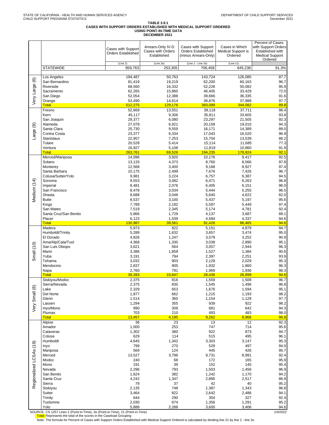# **TABLE 3.9.1 CASES WITH SUPPORT ORDERS ESTABLISHED WITH MEDICAL SUPPORT ORDERED USING POINT-IN-TIME DATA DECEMBER 2021**

|                         |                                                                                                                                   | <b>Cases with Support</b><br><b>Orders Established</b>                                            | Arrears-Only IV-D<br>Cases with Orders<br>Established                                    | Cases with Support<br><b>Orders Established</b><br>(minus Arrears-Only)                 | Cases in Which<br><b>Medical Support is</b><br>Ordered                                            | Percent of Cases<br>with Support Orders<br>Established with<br><b>Medical Support</b><br>Ordered |
|-------------------------|-----------------------------------------------------------------------------------------------------------------------------------|---------------------------------------------------------------------------------------------------|------------------------------------------------------------------------------------------|-----------------------------------------------------------------------------------------|---------------------------------------------------------------------------------------------------|--------------------------------------------------------------------------------------------------|
|                         | <b>STATEWIDE</b>                                                                                                                  | (Line 2)<br>959,763                                                                               | (Line 2e)<br>253,305                                                                     | (Line 2 - Line 2e)<br>706,458                                                           | (Line 21)<br>645,236                                                                              | 91.3%                                                                                            |
| Very Large (6)          | Los Angeles                                                                                                                       | 194,487                                                                                           | 50,763                                                                                   | 143,724                                                                                 | 126,085                                                                                           | 87.7                                                                                             |
|                         | San Bernardino                                                                                                                    | 81,419                                                                                            | 19,219                                                                                   | 62,200                                                                                  | 60,163                                                                                            | 96.7                                                                                             |
|                         | Riverside                                                                                                                         | 68,560                                                                                            | 16,332                                                                                   | 52,228                                                                                  | 50,082                                                                                            | 95.9                                                                                             |
|                         | Sacramento                                                                                                                        | 62,265                                                                                            | 15,860                                                                                   | 46,405                                                                                  | 33,429                                                                                            | 72.0                                                                                             |
|                         | San Diego                                                                                                                         | 52,054                                                                                            | 12,388                                                                                   | 39,666                                                                                  | 36,335                                                                                            | 91.6                                                                                             |
|                         | Orange                                                                                                                            | 53,490                                                                                            | 14,614                                                                                   | 38,876                                                                                  | 37,988                                                                                            | 97.7                                                                                             |
|                         | <b>Total</b>                                                                                                                      | 512,275                                                                                           | 129,176                                                                                  | 383,099<br>39.118                                                                       | 344,082                                                                                           | 89.8                                                                                             |
| Large (9)               | Fresno<br>Kern<br>San Joaquin<br>Alameda<br>Santa Clara<br>Contra Costa<br><b>Stanislaus</b><br>Tulare<br>Ventura<br><b>Total</b> | 52,669<br>45,117<br>29,377<br>27,079<br>25,730<br>23,377<br>22,957<br>20,528<br>16,927<br>263,761 | 13,551<br>9,306<br>6,080<br>6,921<br>9,559<br>6,334<br>7,253<br>5,414<br>5,108<br>69,526 | 35,811<br>23,297<br>20,158<br>16,171<br>17,043<br>15,704<br>15,114<br>11,819<br>194,235 | 37,711<br>33,605<br>21,505<br>19,010<br>14,389<br>16,520<br>13,539<br>11,685<br>10,860<br>178,824 | 96.4<br>93.8<br>92.3<br>94.3<br>89.0<br>96.9<br>86.2<br>77.3<br>91.9<br>92.1                     |
|                         | Merced/Mariposa                                                                                                                   | 14,096                                                                                            | 3,920                                                                                    | 10,176                                                                                  | 9,417                                                                                             | 92.5                                                                                             |
|                         | Solano                                                                                                                            | 13,133                                                                                            | 4,373                                                                                    | 8,760                                                                                   | 8,566                                                                                             | 97.8                                                                                             |
| Medium (14)             | Monterey                                                                                                                          | 12,568                                                                                            | 3,400                                                                                    | 9,168                                                                                   | 8,927                                                                                             | 97.4                                                                                             |
|                         | Santa Barbara                                                                                                                     | 10,175                                                                                            | 2,499                                                                                    | 7,676                                                                                   | 7,426                                                                                             | 96.7                                                                                             |
|                         | Colusa/Sutter/Yolo                                                                                                                | 9,981                                                                                             | 3,224                                                                                    | 6,757                                                                                   | 6,387                                                                                             | 94.5                                                                                             |
|                         | Sonoma                                                                                                                            | 9,553                                                                                             | 3,082                                                                                    | 6,471                                                                                   | 6,263                                                                                             | 96.8                                                                                             |
|                         | Imperial                                                                                                                          | 8,481                                                                                             | 2,076                                                                                    | 6,405                                                                                   | 6,151                                                                                             | 96.0                                                                                             |
|                         | San Francisco                                                                                                                     | 8,478                                                                                             | 3,034                                                                                    | 5,444                                                                                   | 5,255                                                                                             | 96.5                                                                                             |
|                         | Shasta                                                                                                                            | 8,688                                                                                             | 3,048                                                                                    | 5,640                                                                                   | 4,622                                                                                             | 82.0                                                                                             |
|                         | <b>Butte</b>                                                                                                                      | 8,537                                                                                             | 3,100                                                                                    | 5,437                                                                                   | 5,197                                                                                             | 95.6                                                                                             |
|                         | Kings                                                                                                                             | 7,789                                                                                             | 2,192                                                                                    | 5,597                                                                                   | 5,449                                                                                             | 97.4                                                                                             |
|                         | San Mateo                                                                                                                         | 7,519                                                                                             | 2,345                                                                                    | 5,174                                                                                   | 4,781                                                                                             | 92.4                                                                                             |
|                         | Santa Cruz/San Benito                                                                                                             | 5,866                                                                                             | 1,729                                                                                    | 4,137                                                                                   | 3,687                                                                                             | 89.1                                                                                             |
|                         | Placer                                                                                                                            | 6,123                                                                                             | 1,539                                                                                    | 4,584                                                                                   | 4,337                                                                                             | 94.6                                                                                             |
|                         | <b>Total</b>                                                                                                                      | 130,987                                                                                           | 39,561                                                                                   | 91,426                                                                                  | 86,465                                                                                            | 94.6                                                                                             |
|                         | Madera                                                                                                                            | 5,973                                                                                             | 822                                                                                      | 5,151                                                                                   | 4,879                                                                                             | 94.7                                                                                             |
|                         | Humboldt/Trinity                                                                                                                  | 5,289                                                                                             | 1,632                                                                                    | 3,657                                                                                   | 3,474                                                                                             | 95.0                                                                                             |
|                         | El Dorado                                                                                                                         | 4,826                                                                                             | 1,247                                                                                    | 3,579                                                                                   | 3,252                                                                                             | 90.9                                                                                             |
|                         | Ama/Alp/Cala/Tuol                                                                                                                 | 4,368                                                                                             | 1,330                                                                                    | 3,038                                                                                   | 2,890                                                                                             | 95.1                                                                                             |
| Small (10)              | San Luis Obispo                                                                                                                   | 3,621                                                                                             | 564                                                                                      | 3,057                                                                                   | 2,944                                                                                             | 96.3                                                                                             |
|                         | Marin                                                                                                                             | 3,386                                                                                             | 1,859                                                                                    | 1,527                                                                                   | 1,384                                                                                             | 90.6                                                                                             |
|                         | Yuba                                                                                                                              | 3,191                                                                                             | 794                                                                                      | 2,397                                                                                   | 2,251                                                                                             | 93.9                                                                                             |
|                         | Tehama                                                                                                                            | 3,032                                                                                             | 903                                                                                      | 2,129                                                                                   | 2,029                                                                                             | 95.3                                                                                             |
|                         | Mendocino                                                                                                                         | 2,837                                                                                             | 905                                                                                      | 1,932                                                                                   | 1,860                                                                                             | 96.3                                                                                             |
|                         | Napa                                                                                                                              | 2,760                                                                                             | 791                                                                                      | 1,969                                                                                   | 1,936                                                                                             | 98.3                                                                                             |
|                         | <b>Total</b>                                                                                                                      | 39,283                                                                                            | 10,847                                                                                   | 28,436                                                                                  | 26,899                                                                                            | 94.6                                                                                             |
|                         | Siskiyou/Modoc                                                                                                                    | 2,375                                                                                             | 816                                                                                      | 1,559                                                                                   | 1,508                                                                                             | 96.7                                                                                             |
|                         | Sierra/Nevada                                                                                                                     | 2,375                                                                                             | 830                                                                                      | 1,545                                                                                   | 1,496                                                                                             | 96.8                                                                                             |
|                         | Lake                                                                                                                              | 2,329                                                                                             | 653                                                                                      | 1,676                                                                                   | 1,594                                                                                             | 95.1                                                                                             |
|                         | Del Norte                                                                                                                         | 1,877                                                                                             | 662                                                                                      | 1,215                                                                                   | 1,193                                                                                             | 98.2                                                                                             |
| Very Small (8)          | Glenn                                                                                                                             | 1,514                                                                                             | 360                                                                                      | 1,154                                                                                   | 1,128                                                                                             | 97.7                                                                                             |
|                         | Lassen                                                                                                                            | 1,294                                                                                             | 355                                                                                      | 939                                                                                     | 922                                                                                               | 98.2                                                                                             |
|                         | Inyo/Mono                                                                                                                         | 990                                                                                               | 309                                                                                      | 681                                                                                     | 642                                                                                               | 94.3                                                                                             |
|                         | Plumas                                                                                                                            | 703                                                                                               | 210                                                                                      | 493                                                                                     | 483                                                                                               | 98.0                                                                                             |
|                         | <b>Total</b>                                                                                                                      | 13,457                                                                                            | 4,195                                                                                    | 9,262                                                                                   | 8,966                                                                                             | 96.8                                                                                             |
|                         | Alpine                                                                                                                            | 36                                                                                                | 23                                                                                       | 13                                                                                      | 12                                                                                                | 92.3                                                                                             |
|                         | Amador                                                                                                                            | 1,000                                                                                             | 253                                                                                      | 747                                                                                     | 714                                                                                               | 95.6                                                                                             |
|                         | Calaveras                                                                                                                         | 1,302                                                                                             | 380                                                                                      | 922                                                                                     | 873                                                                                               | 94.7                                                                                             |
|                         | Colusa                                                                                                                            | 629                                                                                               | 114                                                                                      | 515                                                                                     | 495                                                                                               | 96.1                                                                                             |
|                         | Humboldt                                                                                                                          | 4,645                                                                                             | 1,342                                                                                    | 3,303                                                                                   | 3,147                                                                                             | 95.3                                                                                             |
|                         | Inyo                                                                                                                              | 799                                                                                               | 270                                                                                      | 529                                                                                     | 497                                                                                               | 94.0                                                                                             |
| Regionalized LCSAs (19) | Mariposa<br>Merced<br>Modoc<br>Mono                                                                                               | 569<br>13,527<br>240<br>191                                                                       | 124<br>3,796<br>68<br>39                                                                 | 445<br>9,731<br>172<br>152                                                              | 426<br>8,991<br>165<br>145                                                                        | 95.7<br>92.4<br>95.9<br>95.4                                                                     |
|                         | Nevada<br>San Benito<br>Santa Cruz<br>Sierra                                                                                      | 2,296<br>1,624<br>4,242<br>79                                                                     | 793<br>382<br>1,347<br>37                                                                | 1,503<br>1,242<br>2,895<br>42                                                           | 1,456<br>1,170<br>2,517<br>40                                                                     | 96.9<br>94.2<br>86.9<br>95.2                                                                     |
|                         | Siskiyou                                                                                                                          | 2,135                                                                                             | 748                                                                                      | 1,387                                                                                   | 1,343                                                                                             | 96.8                                                                                             |
|                         | Sutter                                                                                                                            | 3,464                                                                                             | 822                                                                                      | 2,642                                                                                   | 2,486                                                                                             | 94.1                                                                                             |
|                         | Trinity                                                                                                                           | 644                                                                                               | 290                                                                                      | 354                                                                                     | 327                                                                                               | 92.4                                                                                             |
|                         | Tuolumne                                                                                                                          | 2,030                                                                                             | 674                                                                                      | 1,356                                                                                   | 1,291                                                                                             | 95.2                                                                                             |
|                         | Yolo                                                                                                                              | 5,888                                                                                             | 2,288                                                                                    | 3,600                                                                                   | 3,406                                                                                             | 94.6                                                                                             |

SOURCE: CS 1257 Lines 2 (Point-in-Time), 2e (Point-in-Time), 21 (Point-in-Time) 1/4/2022 Total: Represents the total of the scores in the Caseload Grouping Note: The formula for Percent of Cases with Support Orders Established with Medical Support Ordered is calculated by dividing line 21 by line 2 - line 2e.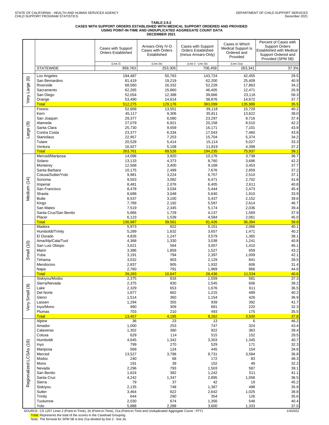# TABLE 3.9.2<br>CASES WITH SUPPORT ORDERS ESTABLISHED WITH MEDICAL SUPPORT ORDERED AND PROVIDED<br>USING POINT-IN-TIME AND UNDUPLICATED AGGREGATE COUNT DATA<br>DECEMBER 2021

|                         |                                | Cases with Support<br><b>Orders Established</b> | Arrears-Only IV-D<br>Cases with Orders<br>Established | Cases with Support<br><b>Orders Established</b><br>(minus Arrears-Only) | Cases in Which<br>Medical Support is<br>Ordered and<br>Provided | Percent of Cases with<br><b>Support Orders</b><br>Established with Medical<br>Support Ordered and<br>Provided (SPM 5B) |
|-------------------------|--------------------------------|-------------------------------------------------|-------------------------------------------------------|-------------------------------------------------------------------------|-----------------------------------------------------------------|------------------------------------------------------------------------------------------------------------------------|
|                         | <b>STATEWIDE</b>               | (Line 2)<br>959,763                             | (Line 2e)<br>253,305                                  | (Line 2 - Line 2e)<br>706.458                                           | (Line 21a)<br>263.341                                           | 37.3%                                                                                                                  |
|                         |                                |                                                 |                                                       |                                                                         |                                                                 |                                                                                                                        |
| $\circledcirc$          | Los Angeles                    | 194,487                                         | 50,763                                                | 143,724                                                                 | 42,455                                                          | 29.5                                                                                                                   |
|                         | San Bernardino<br>Riverside    | 81,419<br>68,560                                | 19,219<br>16,332                                      | 62,200<br>52,228                                                        | 25,409<br>17,863                                                | 40.9<br>34.2                                                                                                           |
|                         | Sacramento                     | 62,265                                          | 15,860                                                | 46,405                                                                  | 12,471                                                          | 26.9                                                                                                                   |
|                         | San Diego                      | 52,054                                          | 12,388                                                | 39,666                                                                  | 23,116                                                          | 58.3                                                                                                                   |
| Very Large              | Orange                         | 53,490                                          | 14,614                                                | 38,876                                                                  | 14,672                                                          | 37.7                                                                                                                   |
|                         | <b>Total</b>                   | 512,275                                         | 129,176                                               | 383,099                                                                 | 135,986                                                         | 35.5                                                                                                                   |
|                         | Fresno<br>Kern                 | 52,669<br>45,117                                | 13,551<br>9,306                                       | 39,118<br>35,811                                                        | 15,729<br>13,622                                                | 40.2<br>38.0                                                                                                           |
|                         | San Joaquin                    | 29,377                                          | 6,080                                                 | 23,297                                                                  | 8,716                                                           | 37.4                                                                                                                   |
| ම                       | Alameda                        | 27,079                                          | 6,921                                                 | 20,158                                                                  | 8,510                                                           | 42.2                                                                                                                   |
|                         | Santa Clara                    | 25,730                                          | 9,559                                                 | 16,171                                                                  | 7,101                                                           | 43.9                                                                                                                   |
| Large                   | Contra Costa                   | 23,377                                          | 6,334                                                 | 17,043                                                                  | 7,460                                                           | 43.8                                                                                                                   |
|                         | <b>Stanislaus</b><br>Tulare    | 22,957<br>20,528                                | 7,253<br>5,414                                        | 15,704<br>15,114                                                        | 5,374<br>5,027                                                  | 34.2<br>33.3                                                                                                           |
|                         | Ventura                        | 16,927                                          | 5,108                                                 | 11,819                                                                  | 4,398                                                           | 37.2                                                                                                                   |
|                         | <b>Total</b>                   | 263,761                                         | 69,526                                                | 194,235                                                                 | 75,937                                                          | 39.1                                                                                                                   |
|                         | Merced/Mariposa                | 14,096                                          | 3,920                                                 | 10,176                                                                  | 3,738                                                           | 36.7                                                                                                                   |
|                         | Solano                         | 13,133                                          | 4,373                                                 | 8,760                                                                   | 3,696                                                           | 42.2                                                                                                                   |
|                         | Monterey<br>Santa Barbara      | 12,568<br>10,175                                | 3,400<br>2,499                                        | 9,168<br>7,676                                                          | 3,453<br>2,859                                                  | 37.7<br>37.2                                                                                                           |
|                         | Colusa/Sutter/Yolo             | 9,981                                           | 3,224                                                 | 6,757                                                                   | 2,510                                                           | 37.1                                                                                                                   |
|                         | Sonoma                         | 9,553                                           | 3,082                                                 | 6,471                                                                   | 2,702                                                           | 41.8                                                                                                                   |
|                         | Imperial                       | 8,481                                           | 2,076                                                 | 6,405                                                                   | 2,611                                                           | 40.8                                                                                                                   |
| Vledium (14)            | San Francisco                  | 8,478                                           | 3,034                                                 | 5,444                                                                   | 2,473                                                           | 45.4                                                                                                                   |
|                         | Shasta<br><b>Butte</b>         | 8,688<br>8,537                                  | 3,048<br>3,100                                        | 5,640<br>5,437                                                          | 1,910<br>2,152                                                  | 33.9<br>39.6                                                                                                           |
|                         | Kings                          | 7,789                                           | 2,192                                                 | 5,597                                                                   | 2,614                                                           | 46.7                                                                                                                   |
|                         | San Mateo                      | 7,519                                           | 2,345                                                 | 5,174                                                                   | 2,036                                                           | 39.4                                                                                                                   |
|                         | Santa Cruz/San Benito          | 5,866                                           | 1,729                                                 | 4,137                                                                   | 1,569                                                           | 37.9                                                                                                                   |
|                         | Placer                         | 6,123                                           | 1,539                                                 | 4,584                                                                   | 2,061                                                           | 45.0                                                                                                                   |
|                         | <b>Total</b><br>Madera         | 130,987<br>5,973                                | 39,561<br>822                                         | 91,426<br>5,151                                                         | 36,384<br>2,066                                                 | 39.8<br>40.1                                                                                                           |
|                         | Humboldt/Trinity               | 5,289                                           | 1,632                                                 | 3,657                                                                   | 1,471                                                           | 40.2                                                                                                                   |
|                         | El Dorado                      | 4,826                                           | 1,247                                                 | 3,579                                                                   | 1,365                                                           | 38.1                                                                                                                   |
|                         | Ama/Alp/Cala/Tuol              | 4,368                                           | 1,330                                                 | 3,038                                                                   | 1,241                                                           | 40.8                                                                                                                   |
| (10)                    | San Luis Obispo<br>Marin       | 3,621<br>3,386                                  | 564<br>1,859                                          | 3,057<br>1,527                                                          | 1,410<br>659                                                    | 46.1<br>43.2                                                                                                           |
| Small                   | Yuba                           | 3,191                                           | 794                                                   | 2,397                                                                   | 1,009                                                           | 42.1                                                                                                                   |
|                         | Tehama                         | 3,032                                           | 903                                                   | 2,129                                                                   | 841                                                             | 39.5                                                                                                                   |
|                         | Mendocino                      | 2,837                                           | 905                                                   | 1,932                                                                   | 606                                                             | 31.4                                                                                                                   |
|                         | Napa                           | 2,760                                           | 791                                                   | 1,969                                                                   | 866                                                             | 44.0                                                                                                                   |
|                         | <b>Total</b><br>Siskiyou/Modoc | 39,283<br>2,375                                 | 10,847<br>816                                         | 28,436<br>1,559                                                         | 11,534<br>581                                                   | 40.6<br>37.3                                                                                                           |
|                         | Sierra/Nevada                  | 2,375                                           | 830                                                   | 1,545                                                                   | 606                                                             | 39.2                                                                                                                   |
|                         | Lake                           | 2,329                                           | 653                                                   | 1,676                                                                   | 611                                                             | 36.5                                                                                                                   |
|                         | Del Norte                      | 1,877                                           | 662                                                   | 1,215                                                                   | 489                                                             | 40.2                                                                                                                   |
| Very Small (8)          | Glenn                          | 1,514                                           | 360                                                   | 1,154                                                                   | 426                                                             | 36.9                                                                                                                   |
|                         | Lassen<br>Inyo/Mono            | 1,294<br>990                                    | 355<br>309                                            | 939<br>681                                                              | 392<br>220                                                      | 41.7<br>32.3                                                                                                           |
|                         | Plumas                         | 703                                             | 210                                                   | 493                                                                     | 175                                                             | 35.5                                                                                                                   |
|                         | <b>Total</b>                   | 13,457                                          | 4,195                                                 | 9,262                                                                   | 3,500                                                           | 37.8                                                                                                                   |
|                         | Alpine                         | 36                                              | 23                                                    | 13                                                                      | 6                                                               | 46.2                                                                                                                   |
|                         | Amador<br>Calaveras            | 1,000<br>1,302                                  | 253<br>380                                            | 747<br>922                                                              | 324<br>363                                                      | 43.4<br>39.4                                                                                                           |
|                         | Colusa                         | 629                                             | 114                                                   | 515                                                                     | 152                                                             | 29.5                                                                                                                   |
|                         | Humboldt                       | 4,645                                           | 1,342                                                 | 3,303                                                                   | 1,345                                                           | 40.7                                                                                                                   |
|                         | Inyo                           | 799                                             | 270                                                   | 529                                                                     | 171                                                             | 32.3                                                                                                                   |
|                         | Mariposa                       | 569                                             | 124                                                   | 445                                                                     | 154                                                             | 34.6                                                                                                                   |
| Regionalized LCSAs (19) | Merced<br>Modoc                | 13,527<br>240                                   | 3,796<br>68                                           | 9,731<br>172                                                            | 3,584<br>83                                                     | 36.8<br>48.3                                                                                                           |
|                         | Mono                           | 191                                             | 39                                                    | 152                                                                     | 49                                                              | 32.2                                                                                                                   |
|                         | Nevada                         | 2,296                                           | 793                                                   | 1,503                                                                   | 587                                                             | 39.1                                                                                                                   |
|                         | San Benito                     | 1,624                                           | 382                                                   | 1,242                                                                   | 511                                                             | 41.1                                                                                                                   |
|                         | Santa Cruz<br>Sierra           | 4,242<br>79                                     | 1,347<br>37                                           | 2,895<br>42                                                             | 1,058<br>19                                                     | 36.5<br>45.2                                                                                                           |
|                         | Siskiyou                       | 2,135                                           | 748                                                   | 1,387                                                                   | 498                                                             | 35.9                                                                                                                   |
|                         | Sutter                         | 3,464                                           | 822                                                   | 2,642                                                                   | 1,025                                                           | 38.8                                                                                                                   |
|                         | Trinity                        | 644                                             | 290                                                   | 354                                                                     | 126                                                             | 35.6                                                                                                                   |
|                         | Tuolumne                       | 2,030                                           | 674                                                   | 1,356                                                                   | 548                                                             | 40.4<br>37.0                                                                                                           |
|                         | Yolo                           | 5,888                                           | 2,288                                                 | 3,600                                                                   | 1,333                                                           |                                                                                                                        |

SOURCE: CS 1257 Lines 2 (Point-in-Time), 2e (Point-in-Time), 21a (Point-in-Time and Unduplicated Aggregate Count - FFY) 1/4/2022

<mark>Total:</mark> Represents the total of the scores in the Caseload Grouping<br>Note: The formula for SPM 5B is line 21a divided by line 2 - line 2e.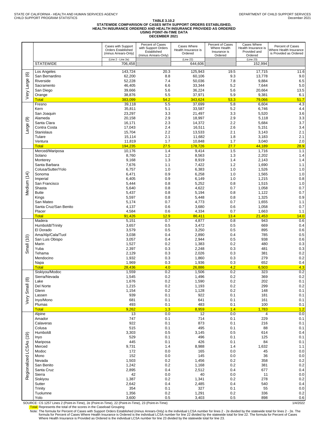### TABLE 3.10.2<br>STATEWIDE COMPARISON OF CASES WITH SUPPORT ORDERS ESTABLISHED,<br>HEALTH INSURANCE ORDERED AND HEALTH INSURANCE PROVIDED AS ORDERED **USING POINT-IN-TIME DATA DECEMBER 2021**

|                    |                                     | Cases with Support<br>Orders Established<br>(minus Arrears-Only) | Percent of Cases<br>with Support Orders<br>Established<br>(minus Arrears-Only) | Cases Where<br>Health Insurance is<br>Ordered | Percent of Cases<br>Where Health<br>Insurance is<br>Ordered | Cases Where<br>Health Insurance is<br>Provided and<br>Ordered | Percent of Cases<br>Where Health Insurance<br>is Provided as Ordered |
|--------------------|-------------------------------------|------------------------------------------------------------------|--------------------------------------------------------------------------------|-----------------------------------------------|-------------------------------------------------------------|---------------------------------------------------------------|----------------------------------------------------------------------|
|                    | <b>STATEWIDE</b>                    | (Line 2 - Line 2e)<br>706,458                                    |                                                                                | (Line 22)<br>644,606                          |                                                             | (Line 23)<br>152,994                                          |                                                                      |
|                    | Los Angeles                         | 143.724                                                          | 20.3                                                                           | 125,943                                       | 19.5                                                        | 17,715                                                        | 11.6                                                                 |
| $\circlede$        | San Bernardino<br>Riverside         | 62,200                                                           | 8.8<br>7.4                                                                     | 60.106                                        | 9.3                                                         | 13,778                                                        | 9.0<br>6.5                                                           |
| Large              | Sacramento                          | 52,228<br>46,405                                                 | 6.6                                                                            | 50,036<br>33,344                              | 7.8<br>5.2                                                  | 9,884<br>7,644                                                | $5.0\,$                                                              |
|                    | San Diego                           | 39,666                                                           | 5.6                                                                            | 36,224                                        | 5.6                                                         | 20,664                                                        | 13.5                                                                 |
| Very               | Orange<br>Total                     | 38,876<br>383,099                                                | 5.5<br>54.2                                                                    | 37,971<br>343,624                             | 5.9<br>53.3                                                 | 9,381<br>79,066                                               | 6.1<br>51.7                                                          |
|                    | Fresno                              | 39,118                                                           | 5.5                                                                            | 37,699                                        | 5.8                                                         | 6,604                                                         | 4.3                                                                  |
|                    | Kern                                | 35,811                                                           | 5.1                                                                            | 33,587                                        | 5.2                                                         | 6,746                                                         | 4.4                                                                  |
|                    | San Joaquin<br>Alameda              | 23,297<br>20,158                                                 | 3.3<br>2.9                                                                     | 21,497<br>18,997                              | 3.3<br>2.9                                                  | 5,520<br>5,118                                                | 3.6<br>3.3                                                           |
| ම                  | Santa Clara                         | 16,171                                                           | 2.3                                                                            | 14,372                                        | 2.2                                                         | 5,684                                                         | 3.7                                                                  |
| Large              | Contra Costa                        | 17,043                                                           | 2.4                                                                            | 16,511                                        | 2.6                                                         | 5,151                                                         | 3.4                                                                  |
|                    | Stanislaus<br>Tulare                | 15,704<br>15,114                                                 | 2.2<br>2.1                                                                     | 13,533<br>11,682                              | 2.1<br>1.8                                                  | 3,143<br>3,183                                                | 2.1<br>2.1                                                           |
|                    | Ventura                             | 11,819                                                           | 1.7                                                                            | 10,848                                        | 1.7                                                         | 3,040                                                         | 2.0                                                                  |
|                    | Total<br>Merced/Mariposa            | 194,235<br>10,176                                                | 27.5<br>1.4                                                                    | 178,726<br>9,414                              | 27.7<br>1.5                                                 | 44,189<br>1,716                                               | 28.9                                                                 |
|                    | Solano                              | 8,760                                                            | 1.2                                                                            | 8,563                                         | 1.3                                                         | 2,202                                                         | 1.1<br>1.4                                                           |
|                    | Monterey                            | 9,168                                                            | 1.3                                                                            | 8,919                                         | 1.4                                                         | 2,143                                                         | 1.4                                                                  |
|                    | Santa Barbara<br>Colusa/Sutter/Yolo | 7,676                                                            | 1.1                                                                            | 7,422                                         | 1.2<br>1.0                                                  | 1,690                                                         | 1.1                                                                  |
|                    | Sonoma                              | 6,757<br>6,471                                                   | 1.0<br>0.9                                                                     | 6,383<br>6,258                                | 1.0                                                         | 1,526<br>1,565                                                | 1.0<br>$1.0$                                                         |
|                    | Imperial                            | 6,405                                                            | 0.9                                                                            | 6,149                                         | 1.0                                                         | 1,215                                                         | 0.8                                                                  |
|                    | San Francisco<br>Shasta             | 5,444                                                            | 0.8<br>0.8                                                                     | 5,252                                         | 0.8<br>0.7                                                  | 1,515<br>1,058                                                | 1.0<br>0.7                                                           |
| Vledium (14)       | <b>Butte</b>                        | 5,640<br>5,437                                                   | 0.8                                                                            | 4,622<br>5,194                                | 0.8                                                         | 1,122                                                         | 0.7                                                                  |
|                    | Kings                               | 5,597                                                            | 0.8                                                                            | 5,448                                         | 0.8                                                         | 1,325                                                         | $0.9\,$                                                              |
|                    | San Mateo                           | 5,174                                                            | 0.7<br>0.6                                                                     | 4,773                                         | 0.7                                                         | 1,655                                                         | 1.1                                                                  |
|                    | Santa Cruz/San Benito<br>Placer     | 4,137<br>4,584                                                   | 0.6                                                                            | 3,680<br>4,334                                | 0.6<br>0.7                                                  | 1,058<br>1,663                                                | 0.7<br>1.1                                                           |
|                    | <b>Total</b>                        | 91,426                                                           | 12.9                                                                           | 86,411                                        | 13.4                                                        | 21,453                                                        | 14.0                                                                 |
|                    | Madera<br>Humboldt/Trinity          | 5,151<br>3,657                                                   | 0.7<br>0.5                                                                     | 4,877<br>3,472                                | 0.8<br>0.5                                                  | 943<br>669                                                    | 0.6<br>0.4                                                           |
|                    | El Dorado                           | 3,579                                                            | 0.5                                                                            | 3,250                                         | 0.5                                                         | 895                                                           | 0.6                                                                  |
|                    | Ama/Alp/Cala/Tuol                   | 3,038                                                            | 0.4                                                                            | 2,890                                         | 0.4                                                         | 785                                                           | 0.5                                                                  |
| Small (10)         | San Luis Obispo<br>Marin            | 3,057<br>1,527                                                   | 0.4<br>0.2                                                                     | 2,944<br>1,383                                | 0.5<br>0.2                                                  | 938<br>480                                                    | 0.6<br>0.3                                                           |
|                    | Yuba                                | 2,397                                                            | 0.3                                                                            | 2,248                                         | 0.3                                                         | 481                                                           | 0.3                                                                  |
|                    | Tehama                              | 2,129                                                            | 0.3                                                                            | 2,026                                         | 0.3                                                         | 381                                                           | $0.2\,$                                                              |
|                    | Mendocino<br>Napa                   | 1,932<br>1,969                                                   | 0.3<br>0.3                                                                     | 1,860<br>1,936                                | 0.3<br>0.3                                                  | 279<br>652                                                    | 0.2<br>0.4                                                           |
|                    | <b>Total</b>                        | 28,436                                                           | 4.0                                                                            | 26,886                                        | 4.2                                                         | 6,503                                                         | 4.3                                                                  |
|                    | Siskiyou/Modoc                      | 1,559                                                            | 0.2                                                                            | 1,506                                         | 0.2                                                         | 323                                                           | 0.2                                                                  |
| $\circledR$        | Sierra/Nevada<br>Lake               | 1,545<br>1,676                                                   | 0.2<br>0.2                                                                     | 1,496<br>1,590                                | 0.2<br>0.2                                                  | 369<br>202                                                    | $0.2\,$<br>0.1                                                       |
|                    | Del Norte                           | 1,215                                                            | 0.2                                                                            | 1,193                                         | 0.2                                                         | 299                                                           | $0.2\,$                                                              |
|                    | Glenn                               | 1,154                                                            | 0.2                                                                            | 1,128                                         | 0.2                                                         | 148                                                           | 0.1                                                                  |
| ery Smal           | Lassen<br>Inyo/Mono                 | 939<br>681                                                       | 0.1<br>0.1                                                                     | 922<br>641                                    | 0.1<br>0.1                                                  | 181<br>161                                                    | 0.1<br>0.1                                                           |
|                    | Plumas                              | 493                                                              | 0.1                                                                            | 483                                           | 0.1                                                         | 100                                                           | 0.1                                                                  |
|                    | <b>Total</b><br>Alpine              | 9,262<br>13                                                      | 1.3<br>0.0                                                                     | 8,959<br>12                                   | 1.4<br>0.0                                                  | 1,783<br>4                                                    | 1.2<br>0.0                                                           |
|                    | Amador                              | 747                                                              | 0.1                                                                            | 714                                           | 0.1                                                         | 229                                                           | 0.1                                                                  |
|                    | Calaveras                           | 922                                                              | 0.1                                                                            | 873                                           | 0.1                                                         | 216                                                           | 0.1                                                                  |
|                    | Colusa<br>Humboldt                  | 515<br>3,303                                                     | 0.1<br>0.5                                                                     | 495<br>3,145                                  | 0.1<br>0.5                                                  | 88<br>614                                                     | 0.1<br>0.4                                                           |
| (19)               | Inyo                                | 529                                                              | 0.1                                                                            | 496                                           | 0.1                                                         | 125                                                           | 0.1                                                                  |
|                    | Mariposa                            | 445                                                              | 0.1                                                                            | 426                                           | 0.1                                                         | 84                                                            | 0.1                                                                  |
|                    | Merced<br>Modoc                     | 9,731<br>172                                                     | 1.4<br>0.0                                                                     | 8,988<br>165                                  | 1.4<br>0.0                                                  | 1,632<br>45                                                   | 1.1<br>$0.0\,$                                                       |
|                    | Mono                                | 152                                                              | 0.0                                                                            | 145                                           | 0.0                                                         | 36                                                            | $0.0\,$                                                              |
|                    | Nevada                              | 1,503                                                            | 0.2                                                                            | 1,456                                         | 0.2                                                         | 358                                                           | $0.2\,$                                                              |
| Regionalized LCSAs | San Benito<br>Santa Cruz            | 1,242<br>2,895                                                   | 0.2<br>0.4                                                                     | 1,168<br>2,512                                | 0.2<br>0.4                                                  | 381<br>677                                                    | $0.2\,$<br>0.4                                                       |
|                    | Sierra                              | 42                                                               | 0.0                                                                            | 40                                            | 0.0                                                         | 11                                                            | $0.0\,$                                                              |
|                    | Siskiyou<br>Sutter                  | 1,387<br>2,642                                                   | 0.2<br>0.4                                                                     | 1,341                                         | 0.2<br>0.4                                                  | 278<br>540                                                    | 0.2<br>0.4                                                           |
|                    | Trinity                             | 354                                                              | 0.1                                                                            | 2,485<br>327                                  | 0.1                                                         | 55                                                            | 0.0                                                                  |
|                    | Tuolumne                            | 1,356                                                            | 0.2                                                                            | 1,291                                         | 0.2                                                         | 336                                                           | $0.2\,$                                                              |
|                    | Yolo                                | 3,600                                                            | 0.5                                                                            | 3,403                                         | 0.5                                                         | 898                                                           | 0.6                                                                  |

SOURCE: CS 1257 Lines 2 (Point-in-Time), 2e (Point-in-Time), 22 (Point-in-Time), 22 (Point-in-Time), 22 (Point-in-Time), 23 (Point-in-Time), 23 (Point-in-Time), 23 (Point-in-Time), 23 (Point-in-Time), 23 (Point-in-Time), 2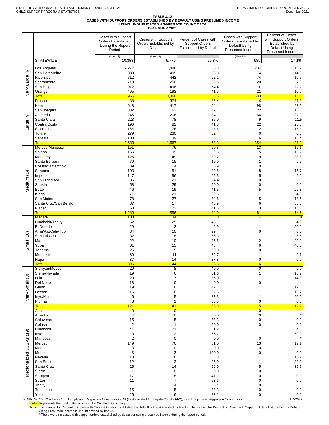# TABLE 3.12<br>CASES WITH SUPPORT ORDERS ESTABLISHED BY DEFAULT USING PRESUMED INCOME<br>USING UNDUPLICATED AGGREGATE COUNT DATA<br>DECEMBER 2021

|                         |                                      |                                                                                | DEGEMBER 2021                                          |                                                                                 |                                                                                 |                                                                                               |
|-------------------------|--------------------------------------|--------------------------------------------------------------------------------|--------------------------------------------------------|---------------------------------------------------------------------------------|---------------------------------------------------------------------------------|-----------------------------------------------------------------------------------------------|
|                         |                                      | Cases with Support<br><b>Orders Established</b><br>During the Report<br>Period | Cases with Support<br>Orders Established by<br>Default | Percent of Cases with<br><b>Support Orders</b><br><b>Established by Default</b> | Cases with Support<br>Orders Established by<br>Default Using<br>Presumed Income | Percent of Cases<br>with Support Orders<br>Established by<br>Default Using<br>Presumed Income |
|                         | <b>STATEWIDE</b>                     | (Line 17)<br>10,353                                                            | (Line 48)<br>5,776                                     | 55.8%                                                                           | (Line 49)<br>989                                                                | 17.1%                                                                                         |
|                         |                                      |                                                                                |                                                        |                                                                                 |                                                                                 |                                                                                               |
| $\circlede$             | Los Angeles<br>San Bernardino        | 2,277<br>880                                                                   | 1,486<br>495                                           | 65.3<br>56.3                                                                    | 234<br>74                                                                       | 15.7<br>14.9                                                                                  |
|                         | Riverside                            | 712                                                                            | 442                                                    | 62.1                                                                            | 74                                                                              | 16.7                                                                                          |
|                         | Sacramento                           | 719<br>912                                                                     | 256<br>496                                             | 35.6<br>54.4                                                                    | 20                                                                              | 7.8<br>22.2                                                                                   |
| Very Large              | San Diego<br>Orange                  | 465                                                                            | 193                                                    | 41.5                                                                            | 110<br>21                                                                       | 10.9                                                                                          |
|                         | <b>Total</b><br>Fresno               | 5,965                                                                          | 3,368                                                  | 56.5                                                                            | 533                                                                             | 15.8                                                                                          |
|                         | Kern                                 | 438<br>648                                                                     | 374<br>417                                             | 85.4<br>64.4                                                                    | 119<br>98                                                                       | 31.8<br>23.5                                                                                  |
|                         | San Joaquin                          | 332                                                                            | 163                                                    | 49.1                                                                            | 22                                                                              | 13.5                                                                                          |
| ම                       | Alameda<br>Santa Clara               | 245<br>223                                                                     | 206<br>78                                              | 84.1<br>35.0                                                                    | 66<br>9                                                                         | 32.0<br>11.5                                                                                  |
| arge                    | Contra Costa                         | 196                                                                            | 82                                                     | 41.8                                                                            | 22                                                                              | 26.8                                                                                          |
|                         | Stanislaus                           | 164                                                                            | 78                                                     | 47.6                                                                            | 12                                                                              | 15.4                                                                                          |
|                         | Tulare<br>Ventura                    | 279<br>108                                                                     | 230<br>39                                              | 82.4<br>36.1                                                                    | $\mathbf 0$<br>6                                                                | 0.0<br>15.4                                                                                   |
|                         | <b>Total</b>                         | 2,633                                                                          | 1,667                                                  | 63.3                                                                            | 354                                                                             | 21.2                                                                                          |
|                         | Merced/Mariposa<br>Solano            | 151<br>166                                                                     | 76<br>99                                               | 50.3<br>59.6                                                                    | 13<br>15                                                                        | 17.1<br>15.2                                                                                  |
|                         | Monterey                             | 125                                                                            | 49                                                     | 39.2                                                                            | 19                                                                              | 38.8                                                                                          |
|                         | Santa Barbara                        | 79                                                                             | 15                                                     | 19.0                                                                            | 1                                                                               | 6.7                                                                                           |
|                         | Colusa/Sutter/Yolo<br>Sonoma         | 39<br>103                                                                      | 14<br>51                                               | 35.9<br>49.5                                                                    | $\mathbf 0$<br>8                                                                | 0.0<br>15.7                                                                                   |
| Medium (14)             | Imperial                             | 147                                                                            | 96                                                     | 65.3                                                                            | 5                                                                               | 5.2                                                                                           |
|                         | San Francisco                        | 86                                                                             | 21                                                     | 24.4                                                                            | $\mathbf 0$                                                                     | 0.0                                                                                           |
|                         | Shasta<br><b>Butte</b>               | 58<br>46                                                                       | 29<br>19                                               | 50.0<br>41.3                                                                    | $\mathbf 0$<br>5                                                                | 0.0<br>26.3                                                                                   |
|                         | Kings                                | 71                                                                             | 21                                                     | 29.6                                                                            | 1                                                                               | 4.8                                                                                           |
|                         | San Mateo<br>Santa Cruz/San Benito   | 78<br>37                                                                       | 27<br>17                                               | 34.6<br>45.9                                                                    | 5<br>6                                                                          | 18.5<br>35.3                                                                                  |
|                         | Placer                               | 53                                                                             | 22                                                     | 41.5                                                                            | 3                                                                               | 13.6                                                                                          |
|                         | <b>Total</b>                         | 1,239                                                                          | 556                                                    | 44.9                                                                            | 81                                                                              | 14.6                                                                                          |
|                         | Madera<br>Humboldt/Trinity           | 103<br>52                                                                      | $\overline{34}$<br>25                                  | 33.0<br>48.1                                                                    | $\overline{4}$<br>$\mathbf{1}$                                                  | 11.8<br>4.0                                                                                   |
|                         | El Dorado                            | 29                                                                             | $\overline{2}$                                         | 6.9                                                                             | 1                                                                               | 50.0                                                                                          |
|                         | Ama/Alp/Cala/Tuol<br>San Luis Obispo | 34<br>32                                                                       | 10                                                     | 29.4<br>56.3                                                                    | 0<br>1                                                                          | 0.0<br>5.6                                                                                    |
| Small (10)              | Marin                                | 22                                                                             | 18<br>10                                               | 45.5                                                                            | $\overline{c}$                                                                  | 20.0                                                                                          |
|                         | Yuba                                 | 31                                                                             | 15                                                     | 48.4                                                                            | 6                                                                               | 40.0                                                                                          |
|                         | Tehama<br>Mendocino                  | 25<br>30                                                                       | 5<br>11                                                | 20.0<br>36.7                                                                    | $\mathbf 0$<br>1                                                                | 0.0<br>9.1                                                                                    |
|                         | Napa                                 | 37                                                                             | 14                                                     | 37.8                                                                            | $\mathbf 0$                                                                     | 0.0                                                                                           |
|                         | <b>Total</b>                         | 395<br>$\overline{20}$                                                         | 144<br>8                                               | 36.5<br>40.0                                                                    | 16<br>$\Omega$                                                                  | 11.1                                                                                          |
|                         | Siskiyou/Modoc<br>Sierra/Nevada      | 19                                                                             | 6                                                      | 31.6                                                                            |                                                                                 | 0.0<br>16.7                                                                                   |
| $\circledast$           | Lake                                 | 20                                                                             | $\overline{7}$                                         | 35.0                                                                            |                                                                                 | 14.3                                                                                          |
| Small                   | Del Norte<br>Glenn                   | 18<br>19                                                                       | 0<br>8                                                 | 0.0<br>42.1                                                                     |                                                                                 | 12.5                                                                                          |
|                         | Lassen                               | 16                                                                             | 6                                                      | 37.5                                                                            |                                                                                 | 16.7                                                                                          |
| Very                    | Inyo/Mono                            | 6<br>3                                                                         | 5<br>1                                                 | 83.3<br>33.3                                                                    | 1                                                                               | 20.0                                                                                          |
|                         | Plumas<br><b>Total</b>               | 121                                                                            | 41                                                     | 33.9                                                                            | 0<br>$\overline{5}$                                                             | 0.0<br>12.2                                                                                   |
|                         | Alpine                               | 0                                                                              | $\overline{0}$                                         |                                                                                 | 0                                                                               |                                                                                               |
|                         | Amador<br>Calaveras                  | 4<br>15                                                                        | 0<br>5                                                 | 0.0<br>33.3                                                                     | 0<br>0                                                                          | 0.0                                                                                           |
|                         | Colusa                               | $\overline{c}$                                                                 | 1                                                      | $50.0\,$                                                                        | 0                                                                               | 0.0                                                                                           |
|                         | Humboldt                             | 41                                                                             | 21                                                     | 51.2                                                                            |                                                                                 | 4.8                                                                                           |
|                         | Inyo<br>Mariposa                     | 3<br>2                                                                         | $\overline{2}$<br>$\mathbf 0$                          | 66.7<br>0.0                                                                     | 0                                                                               | 50.0                                                                                          |
|                         | Merced                               | 149                                                                            | 76                                                     | 51.0                                                                            | 13                                                                              | 17.1                                                                                          |
| Regionalized LCSAs (19) | Modoc<br>Mono                        | 3<br>3                                                                         | $\mathbf 0$<br>3                                       | $0.0\,$<br>100.0                                                                | 0<br>$\mathbf 0$                                                                | 0.0                                                                                           |
|                         | Nevada                               | 18                                                                             | 6                                                      | 33.3                                                                            |                                                                                 | 16.7                                                                                          |
|                         | San Benito                           | 12                                                                             | 3                                                      | 25.0                                                                            | 1                                                                               | 33.3                                                                                          |
|                         | Santa Cruz<br>Sierra                 | 25<br>$\mathbf{1}$                                                             | 14<br>0                                                | 56.0<br>0.0                                                                     | 5<br>0                                                                          | 35.7                                                                                          |
|                         | Siskiyou                             | 17                                                                             | 8                                                      | 47.1                                                                            | 0                                                                               | 0.0                                                                                           |
|                         | Sutter<br>Trinity                    | 11<br>11                                                                       | 7<br>4                                                 | 63.6<br>36.4                                                                    | 0<br>0                                                                          | 0.0<br>0.0                                                                                    |
|                         | Tuolumne                             | 15                                                                             | 5                                                      | 33.3                                                                            | 0                                                                               | 0.0                                                                                           |
|                         | Yolo                                 | 26                                                                             | 6                                                      | 23.1                                                                            | 0                                                                               | 0.0                                                                                           |

SOURCE: CS 1257 Lines 17 (Unduplicated Aggregate Count - FFY), 48 (Unduplicated Aggregate Count - FFY), 49 (Unduplicated Aggregate Count - FFY)<br>
Total: Represents the total of the scores in the Caseload Grouping<br>
Note: The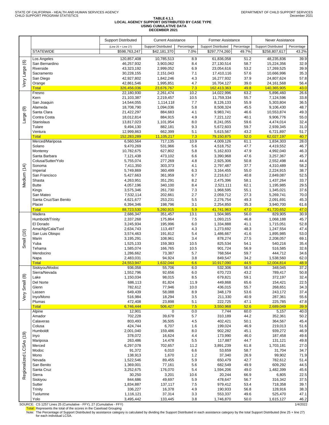$\Gamma$ 

╕

|                   |                                 | <b>Support Distributed</b>           | <b>Current Assistance</b>                  |                    | <b>Former Assistance</b>                    |                     | Never Assistance                            |                     |
|-------------------|---------------------------------|--------------------------------------|--------------------------------------------|--------------------|---------------------------------------------|---------------------|---------------------------------------------|---------------------|
|                   | <b>STATEWIDE</b>                | (Line 25 + Line 27)<br>\$598,763,247 | <b>Support Distributed</b><br>\$42,181,370 | Percentage<br>7.0% | <b>Support Distributed</b><br>\$297,774,260 | Percentage<br>49.7% | <b>Support Distributed</b><br>\$258,807,617 | Percentage<br>43.2% |
|                   | Los Angeles                     | 120,857,408                          | 10,785,513                                 | 8.9                | 61,836,058                                  | 51.2                | 48,235,836                                  | 39.9                |
| $\circledcirc$    | San Bernardino                  | 46,257,932                           | 3,903,062                                  | 8.4                | 27,130,514                                  | 58.7                | 15,224,356                                  | 32.9                |
|                   | Riverside                       | 43,323,192                           | 2,999,052                                  | 6.9                | 23,054,616                                  | 53.2                | 17,269,525                                  | 39.9                |
|                   | Sacramento                      | 30,228,155                           | 2,151,043                                  | 7.1                | 17,410,116                                  | 57.6                | 10,666,996                                  | 35.3                |
| Very Large        | San Diego                       | 42,927,802                           | 1,842,246                                  | 4.3                | 16,277,932                                  | 37.9                | 24,807,624                                  | 57.8                |
|                   | Orange                          | 42,861,546                           | 1,995,851                                  | 4.7                | 16,704,127                                  | 39.0                | 24, 161, 568                                | 56.4                |
|                   | <b>Total</b><br>Fresno          | 326,456,036                          | 23,676,767<br>2,261,474                    | 7.3<br>10.2        | 162,413,363<br>14,022,996                   | 49.8<br>63.2        | 140,365,905                                 | 43.0<br>26.6        |
|                   | Kern                            | 22,180,930<br>21,103,387             | 2,219,457                                  | 10.5               | 11,759,334                                  | 55.7                | 5,896,460<br>7,124,596                      | 33.8                |
|                   | San Joaquin                     | 14,544,055                           | 1,114,118                                  | 7.7                | 8,126,133                                   | 55.9                | 5,303,804                                   | 36.5                |
|                   | Alameda                         | 18,708,790                           | 1,094,036                                  | 5.8                | 8,508,324                                   | 45.5                | 9,106,430                                   | 48.7                |
|                   | Santa Clara                     | 21,422,297                           | 884,683                                    | 4.1                | 9,983,741                                   | 46.6                | 10,553,874                                  | 49.3                |
| arge (9)          | Contra Costa                    | 18,012,814                           | 884,915                                    | 4.9                | 7,221,122                                   | 40.1                | 9,906,776                                   | 55.0                |
|                   | Stanislaus                      | 13,817,023                           | 1,101,954                                  | 8.0                | 8,241,055                                   | 59.6                | 4,474,014                                   | 32.4                |
|                   | Tulare                          | 9,494,130                            | 882,181                                    | 9.3                | 5,672,603                                   | 59.7                | 2,939,345                                   | 31.0                |
|                   | Ventura                         | 12,999,863                           | 662,399                                    | 5.1                | 5,615,567                                   | 43.2                | 6,721,897                                   | 51.7                |
|                   | <b>Total</b><br>Merced/Mariposa | 152,283,289<br>6,560,564             | 11,105,217<br>717,135                      | 7.3<br>10.9        | 79,150,875<br>4,009,126                     | 52.0<br>61.1        | 62,027,197<br>1,834,303                     | 40.7<br>28.0        |
|                   | Solano                          | 9,470,269                            | 531,966                                    | 5.6                | 4,518,752                                   | 47.7                | 4,419,552                                   | 46.7                |
|                   | Monterey                        | 10,782,675                           | 627,802                                    | 5.8                | 5,162,833                                   | 47.9                | 4,992,040                                   | 46.3                |
|                   | Santa Barbara                   | 7,121,438                            | 473,102                                    | 6.6                | 3,390,968                                   | 47.6                | 3,257,367                                   | 45.7                |
|                   | Colusa/Sutter/Yolo              | 5,755,074                            | 277,269                                    | 4.8                | 2,925,306                                   | 50.8                | 2,552,498                                   | 44.4                |
|                   | Sonoma                          | 7,411,350                            | 303,373                                    | 4.1                | 2,797,487                                   | 37.7                | 4,310,489                                   | 58.2                |
| Medium (14)       | Imperial                        | 5,749,869                            | 360,499                                    | 6.3                | 3,164,455                                   | 55.0                | 2,224,915                                   | 38.7                |
|                   | San Francisco                   | 5,427,663                            | 361,959                                    | 6.7                | 2,216,617                                   | 40.8                | 2,849,087                                   | 52.5                |
|                   | Shasta                          | 4,263,951                            | 351,291                                    | 8.2                | 2,475,396                                   | 58.1                | 1,437,264                                   | 33.7                |
|                   | <b>Butte</b><br>Kings           | 4,057,196<br>3,575,346               | 340,100<br>261,730                         | 8.4<br>7.3         | 2,521,111<br>1,968,595                      | 62.1<br>55.1        | 1,195,985<br>1,345,021                      | 29.5<br>37.6        |
|                   | San Mateo                       | 7,532,114                            | 202,661                                    | 2.7                | 2,059,712                                   | 27.3                | 5,269,741                                   | 70.0                |
|                   | Santa Cruz/San Benito           | 4,621,677                            | 253,231                                    | 5.5                | 2,276,754                                   | 49.3                | 2,091,691                                   | 45.3                |
|                   | Placer                          | 6,394,346                            | 198,796                                    | 3.1                | 2,254,850                                   | 35.3                | 3,940,700                                   | 61.6                |
|                   | <b>Total</b>                    | 88,723,530                           | 5,260,915                                  | 5.9                | 41,741,963                                  | 47.0                | 41,720,652                                  | 47.0                |
|                   | Madera                          | 2,686,347                            | 351,457                                    | 13.1               | 1,504,985                                   | 56.0                | 829,905                                     | 30.9                |
|                   | Humboldt/Trinity                | 2,337,268                            | 175,864                                    | 7.5                | 1,093,215                                   | 46.8                | 1,068,188                                   | 45.7                |
|                   | El Dorado                       | 3,245,934                            | 195,996                                    | 6.0                | 1,334,888                                   | 41.1                | 1,715,051                                   | 52.8                |
|                   | Ama/Alp/Cala/Tuol               | 2,634,743                            | 113,497                                    | 4.3                | 1,273,692                                   | 48.3                | 1,247,554                                   | 47.4                |
| Small (10)        | San Luis Obispo<br>Marin        | 3,574,463<br>3,195,291               | 191,812<br>108,961                         | 5.4<br>3.4         | 1,486,667<br>878,274                        | 41.6<br>27.5        | 1,895,985<br>2,208,057                      | 53.0<br>69.1        |
|                   | Yuba                            | 1,525,133                            | 159,383                                    | 10.5               | 825,534                                     | 54.1                | 540,216                                     | 35.4                |
|                   | Tehama                          | 1,585,074                            | 166,765                                    | 10.5               | 901,724                                     | 56.9                | 516,585                                     | 32.6                |
|                   | Mendocino                       | 1,286,662                            | 73,387                                     | 5.7                | 768,564                                     | 59.7                | 444,712                                     | 34.6                |
|                   | Napa                            | 2,483,031                            | 94,924                                     | 3.8                | 849,547                                     | 34.2                | 1,538,560                                   | 62.0                |
|                   | <b>Total</b>                    | 24,553,947                           | 1,632,044                                  | 6.6                | 10,917,090                                  | 44.5                | 12,004,814                                  | 48.9                |
|                   | Siskiyou/Modoc                  | 936,058                              | 55,706                                     | 6.0                | 532,306                                     | 56.9                | 348,045                                     | 37.2                |
| $\circledcirc$    | Sierra/Nevada                   | 1,552,796                            | 92,656                                     | 6.0                | 670,723                                     | 43.2                | 789,417                                     | 50.8                |
|                   | Lake<br>Del Norte               | 1,150,034<br>686,113                 | 98,015<br>81,824                           | 8.5<br>11.9        | 679,821<br>449,868                          | 59.1                | 372,197                                     | 32.4<br>22.5        |
| Small             | Glenn                           | 782,612                              | 77,946                                     | 10.0               | 436,015                                     | 65.6<br>55.7        | 154,421<br>268,651                          | 34.3                |
|                   | Lassen                          | 649,439                              | 58,088                                     | 8.9                | 348,179                                     | 53.6                | 243,172                                     | 37.4                |
| ery               | Inyo/Mono                       | 516,984                              | 18,294                                     | 3.5                | 211,330                                     | 40.9                | 287,361                                     | 55.6                |
|                   | Plumas                          | 472,408                              | 23,898                                     | 5.1                | 222,725                                     | 47.1                | 225,785                                     | 47.8                |
|                   | <b>Total</b>                    | 6,746,444                            | 506,427                                    | 7.5                | 3,550,968                                   | 52.6                | 2,689,049                                   | 39.9                |
|                   | Alpine                          | 12,901                               | $\mathbf 0$                                | 0.0                | 7,744                                       | 60.0                | 5,157                                       | 40.0                |
|                   | Amador                          | 702,228                              | 39,678                                     | 5.7                | 310,189                                     | 44.2                | 352,361                                     | 50.2                |
|                   | Calaveras                       | 803,493<br>424,744                   | 36,505<br>6,707                            | 4.5                | 402,421                                     | 50.1<br>46.9        | 364,567                                     | 45.4<br>51.6        |
|                   | Colusa<br>Humboldt              | 2,001,040                            | 159,486                                    | 1.6<br>8.0         | 199,024<br>902,282                          | 45.1                | 219,013<br>939,272                          | 46.9                |
| (19)              | Inyo                            | 378,072                              | 16,624                                     | 4.4                | 173,990                                     | 46.0                | 187,458                                     | 49.6                |
|                   | Mariposa                        | 263,486                              | 14,478                                     | 5.5                | 117,887                                     | 44.7                | 131,121                                     | 49.8                |
|                   | Merced                          | 6,297,078                            | 702,657                                    | 11.2               | 3,891,239                                   | 61.8                | 1,703,181                                   | 27.0                |
|                   | Modoc                           | 91,372                               | 6,010                                      | 6.6                | 53,659                                      | 58.7                | 31,704                                      | 34.7                |
| egionalized LCSAs | Mono                            | 138,913                              | 1,670                                      | $1.2$              | 37,340                                      | 26.9                | 99,902                                      | 71.9                |
|                   | Nevada                          | 1,522,546                            | 89,455                                     | 5.9                | 650,479                                     | 42.7                | 782,612                                     | 51.4                |
|                   | San Benito                      | 1,369,001                            | 77,161                                     | 5.6                | 682,549                                     | 49.9                | 609,292                                     | 44.5                |
|                   | Santa Cruz                      | 3,252,675                            | 176,070                                    | 5.4                | 1,594,206                                   | 49.0                | 1,482,399                                   | 45.6                |
| ě                 | Sierra<br>Siskiyou              | 30,250<br>844,686                    | 3,201<br>49,697                            | 10.6<br>5.9        | 20,244<br>478,647                           | 66.9<br>56.7        | 6,805<br>316,342                            | 22.5<br>37.5        |
|                   | Sutter                          | 1,834,887                            | 137,117                                    | 7.5                | 979,412                                     | 53.4                | 718,358                                     | 39.1                |
|                   | Trinity                         | 336,227                              | 16,378                                     | 4.9                | 190,933                                     | 56.8                | 128,916                                     | 38.3                |
|                   | Tuolumne                        | 1,116,121                            | 37,314                                     | 3.3                | 553,337                                     | 49.6                | 525,470                                     | 47.1                |
|                   | Yolo                            | 3,495,442                            | 133,445                                    | 3.8                | 1,746,870                                   | 50.0                | 1,615,127                                   | 46.2                |

SOURCE: CS 1257 Lines 25 (Cumulative - FFY), 27 (Cumulative - FFY)<br>Total: Represents the total of the scores in the Caseload Grouping<br>Note: The Percentage of Support Distributed by assistance category is calculated by divi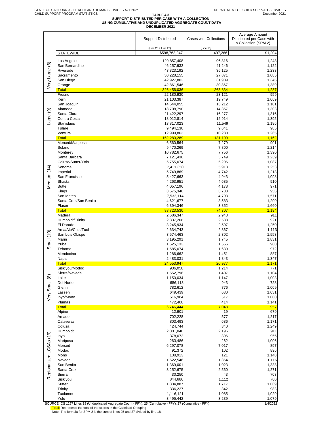# **TABLE 4.3 SUPPORT DISTRIBUTED PER CASE WITH A COLLECTION USING CUMULATIVE AND UNDUPLICATED AGGREGATE COUNT DATA DECEMBER 2021**

|                         |                                 | <b>Support Distributed</b> | Cases with Collections | Average Amount<br>Distributed per Case with<br>a Collection (SPM 2) |
|-------------------------|---------------------------------|----------------------------|------------------------|---------------------------------------------------------------------|
|                         |                                 | (Line 25 + Line 27)        | (Line 18)              |                                                                     |
|                         | <b>STATEWIDE</b>                | \$598,763,247              | 497,266                | \$1,204                                                             |
|                         | Los Angeles                     | 120,857,408                | 96.816                 | 1,248                                                               |
|                         | San Bernardino<br>Riverside     | 46,257,932<br>43,323,192   | 41,246<br>35,125       | 1,122<br>1,233                                                      |
|                         | Sacramento                      | 30,228,155                 | 27,871                 | 1,085                                                               |
|                         | San Diego                       | 42,927,802                 | 31,909                 | 1,345                                                               |
| Very Large (6)          | Orange                          | 42,861,546                 | 30,867                 | 1,389                                                               |
|                         | <b>Total</b>                    | 326,456,036                | 263,834                | 1,237                                                               |
|                         | Fresno<br>Kern                  | 22,180,930<br>21,103,387   | 23,121<br>19,749       | 959<br>1,069                                                        |
|                         | San Joaquin                     | 14,544,055                 | 13,212                 | 1,101                                                               |
|                         | Alameda                         | 18,708,790                 | 14,357                 | 1,303                                                               |
| Large (9)               | Santa Clara                     | 21,422,297                 | 16,277                 | 1,316                                                               |
|                         | Contra Costa                    | 18,012,814                 | 12,914                 | 1,395                                                               |
|                         | <b>Stanislaus</b><br>Tulare     | 13,817,023<br>9,494,130    | 11,549<br>9,641        | 1,196<br>985                                                        |
|                         | Ventura                         | 12,999,863                 | 10,280                 | 1,265                                                               |
|                         | <b>Total</b>                    | 152,283,289                | 131,100                | 1,162                                                               |
|                         | Merced/Mariposa                 | 6,560,564                  | 7,279                  | 901                                                                 |
|                         | Solano                          | 9,470,269                  | 7,800                  | 1,214                                                               |
|                         | Monterey<br>Santa Barbara       | 10,782,675<br>7,121,438    | 7,756<br>5,749         | 1,390<br>1,239                                                      |
|                         | Colusa/Sutter/Yolo              | 5,755,074                  | 5,296                  | 1,087                                                               |
|                         | Sonoma                          | 7,411,350                  | 5,913                  | 1,253                                                               |
| Medium (14)             | Imperial                        | 5,749,869                  | 4,742                  | 1,213                                                               |
|                         | San Francisco                   | 5,427,663                  | 4,943                  | 1,098                                                               |
|                         | Shasta                          | 4,263,951                  | 4,685                  | 910<br>971                                                          |
|                         | <b>Butte</b><br>Kings           | 4,057,196<br>3,575,346     | 4,178<br>3,738         | 956                                                                 |
|                         | San Mateo                       | 7,532,114                  | 4,793                  | 1,571                                                               |
|                         | Santa Cruz/San Benito           | 4,621,677                  | 3,583                  | 1,290                                                               |
|                         | Placer                          | 6,394,346                  | 3,852                  | 1,660                                                               |
|                         | <b>Total</b>                    | 88,723,530                 | 74,307                 | 1,194                                                               |
|                         | Madera<br>Humboldt/Trinity      | 2,686,347<br>2,337,268     | 2,948<br>2,538         | 911<br>921                                                          |
|                         | El Dorado                       | 3,245,934                  | 2,597                  | 1,250                                                               |
|                         | Ama/Alp/Cala/Tuol               | 2,634,743                  | 2,367                  | 1,113                                                               |
| Small (10)              | San Luis Obispo                 | 3,574,463                  | 2,302                  | 1,553                                                               |
|                         | Marin<br>Yuba                   | 3,195,291                  | 1,745                  | 1,831                                                               |
|                         | Tehama                          | 1,525,133<br>1,585,074     | 1,556<br>1,630         | 980<br>972                                                          |
|                         | Mendocino                       | 1,286,662                  | 1,451                  | 887                                                                 |
|                         | Napa                            | 2,483,031                  | 1,843                  | 1,347                                                               |
|                         | <b>Total</b>                    | 24,553,947                 | 20,977                 | 1,171                                                               |
|                         | Siskiyou/Modoc<br>Sierra/Nevada | 936,058<br>1,552,796       | 1,214<br>1,407         | 771<br>1,104                                                        |
|                         | Lake                            | 1,150,034                  | 1,147                  | 1,003                                                               |
|                         | Del Norte                       | 686,113                    | 943                    | 728                                                                 |
|                         | Glenn                           | 782,612                    | 776                    | 1,009                                                               |
| Very Small (8)          | Lassen                          | 649,439                    | 630                    | 1,031                                                               |
|                         | Inyo/Mono<br>Plumas             | 516,984<br>472,408         | 517<br>414             | 1,000<br>1,141                                                      |
|                         | <b>Total</b>                    | 6,746,444                  | 7,048                  | 957                                                                 |
|                         | Alpine                          | 12,901                     | 19                     | 679                                                                 |
|                         | Amador                          | 702,228                    | 577                    | 1,217                                                               |
|                         | Calaveras                       | 803,493                    | 686                    | 1,171                                                               |
|                         | Colusa<br>Humboldt              | 424,744<br>2,001,040       | 340<br>2,196           | 1,249<br>911                                                        |
|                         | Inyo                            | 378,072                    | 396                    | 955                                                                 |
|                         | Mariposa                        | 263,486                    | 262                    | 1,006                                                               |
| Regionalized LCSAs (19) | Merced                          | 6,297,078                  | 7,017                  | 897                                                                 |
|                         | Modoc                           | 91,372                     | 102                    | 896                                                                 |
|                         | Mono<br>Nevada                  | 138,913<br>1,522,546       | 121<br>1,364           | 1,148<br>1,116                                                      |
|                         | San Benito                      | 1,369,001                  | 1,023                  | 1,338                                                               |
|                         | Santa Cruz                      | 3,252,675                  | 2,560                  | 1,271                                                               |
|                         | Sierra                          | 30,250                     | 43                     | 703                                                                 |
|                         | Siskiyou                        | 844,686                    | 1,112                  | 760                                                                 |
|                         | Sutter<br>Trinity               | 1,834,887<br>336,227       | 1,717<br>342           | 1,069<br>983                                                        |
|                         | Tuolumne                        | 1,116,121                  | 1,085                  | 1,029                                                               |
|                         | Yolo                            | 3,495,442                  | 3,239                  | 1,079                                                               |

SOURCE: CS 1257 Lines 18 (Unduplicated Aggregate Count - FFY), 25 (Cumulative - FFY), 27 (Cumulative - FFY)<br><mark>Total:</mark> Represents the total of the scores in the Caseload Grouping<br>Note: The formula for SPM 2 is the sum of lin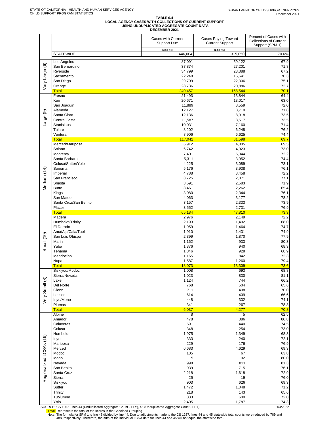#### **TABLE 6.4 LOCAL AGENCY CASES WITH COLLECTIONS OF CURRENT SUPPORT USING UNDUPLICATED AGGREGATE COUNT DATA DECEMBER 2021**

|                         |                           | Cases with Current<br><b>Support Due</b> | <b>Cases Paying Toward</b><br><b>Current Support</b> | Percent of Cases with<br><b>Collections of Current</b><br>Support (SPM 1) |
|-------------------------|---------------------------|------------------------------------------|------------------------------------------------------|---------------------------------------------------------------------------|
|                         | <b>STATEWIDE</b>          | (Line 44)<br>446,004                     | (Line 45)<br>315,050                                 | 70.6%                                                                     |
|                         | Los Angeles               | 87,091                                   | 59,122                                               | 67.9                                                                      |
| Very Large (6)          | San Bernardino            | 37,874                                   | 27,201                                               | 71.8                                                                      |
|                         | Riverside                 | 34,799                                   | 23,388                                               | 67.2                                                                      |
|                         | Sacramento<br>San Diego   | 22,248<br>29,709                         | 15,641<br>22,306                                     | 70.3<br>75.1                                                              |
|                         | Orange                    | 28,736                                   | 20,886                                               | 72.7                                                                      |
|                         | <b>Total</b>              | 240,457                                  | 168,544                                              | 70.1                                                                      |
|                         | Fresno                    | 21,493                                   | 13,844                                               | 64.4                                                                      |
|                         | Kern<br>San Joaquin       | 20,671<br>11,889                         | 13,017<br>8,559                                      | 63.0<br>72.0                                                              |
|                         | Alameda                   | 12,127                                   | 8,710                                                | 71.8                                                                      |
|                         | Santa Clara               | 12,136                                   | 8,918                                                | 73.5                                                                      |
| Large (9)               | Contra Costa              | 11,587                                   | 8,517                                                | 73.5                                                                      |
|                         | <b>Stanislaus</b>         | 10,031                                   | 7,160                                                | 71.4                                                                      |
|                         | Tulare<br>Ventura         | 8,202<br>8,906                           | 6,248<br>6,625                                       | 76.2<br>74.4                                                              |
|                         | <b>Total</b>              | 117,042                                  | 81,598                                               | 69.7                                                                      |
|                         | Merced/Mariposa           | 6,912                                    | 4,805                                                | 69.5                                                                      |
|                         | Solano                    | 6,742                                    | 4,923                                                | 73.0                                                                      |
|                         | Monterey<br>Santa Barbara | 7,401<br>5,311                           | 5,344<br>3,952                                       | 72.2<br>74.4                                                              |
|                         | Colusa/Sutter/Yolo        | 4,225                                    | 3,089                                                | 73.1                                                                      |
|                         | Sonoma                    | 5,176                                    | 3,938                                                | 76.1                                                                      |
|                         | Imperial                  | 4,788                                    | 3,458                                                | 72.2                                                                      |
| Medium (14)             | San Francisco             | 3,725                                    | 2,871                                                | 77.1                                                                      |
|                         | Shasta<br><b>Butte</b>    | 3,591<br>3,461                           | 2,583<br>2,262                                       | 71.9<br>65.4                                                              |
|                         | Kings                     | 3,080                                    | 2,344                                                | 76.1                                                                      |
|                         | San Mateo                 | 4,063                                    | 3,177                                                | 78.2                                                                      |
|                         | Santa Cruz/San Benito     | 3,157                                    | 2,333                                                | 73.9                                                                      |
|                         | Placer                    | 3,552                                    | 2,731                                                | 76.9                                                                      |
|                         | <b>Total</b><br>Madera    | 65,184<br>2,976                          | 47,810<br>2,149                                      | 73.3<br>72.2                                                              |
|                         | Humboldt/Trinity          | 2,193                                    | 1,492                                                | 68.0                                                                      |
|                         | El Dorado                 | 1,959                                    | 1,464                                                | 74.7                                                                      |
|                         | Ama/Alp/Cala/Tuol         | 1,910                                    | 1,431                                                | 74.9                                                                      |
| Small (10)              | San Luis Obispo<br>Marin  | 2,399<br>1,162                           | 1,870<br>933                                         | 77.9<br>80.3                                                              |
|                         | Yuba                      | 1,376                                    | 940                                                  | 68.3                                                                      |
|                         | Tehama                    | 1,346                                    | 928                                                  | 68.9                                                                      |
|                         | Mendocino                 | 1,165                                    | 842                                                  | 72.3                                                                      |
|                         | Napa<br><b>Total</b>      | 1,587<br>18,073                          | 1,260<br>13,309                                      | 79.4                                                                      |
|                         | Siskiyou/Modoc            | 1,008                                    | 693                                                  | 73.6<br>68.8                                                              |
|                         | Sierra/Nevada             | 1,023                                    | 830                                                  | 81.1                                                                      |
|                         | Lake                      | 1,124                                    | 744                                                  | 66.2                                                                      |
|                         | Del Norte                 | 768                                      | 504                                                  | 65.6                                                                      |
| Very Small (8)          | Glenn<br>Lassen           | 711<br>614                               | 498<br>409                                           | 70.0<br>66.6                                                              |
|                         | Inyo/Mono                 | 448                                      | 332                                                  | 74.1                                                                      |
|                         | Plumas                    | 341                                      | 267                                                  | 78.3                                                                      |
|                         | <b>Total</b>              | 6,037                                    | 4,277                                                | 70.8                                                                      |
|                         | Alpine<br>Amador          | 8<br>478                                 | 5<br>386                                             | 62.5<br>80.8                                                              |
|                         | Calaveras                 | 591                                      | 440                                                  | 74.5                                                                      |
|                         | Colusa                    | 348                                      | 254                                                  | 73.0                                                                      |
|                         | Humboldt                  | 1,975                                    | 1,349                                                | 68.3                                                                      |
|                         | Inyo                      | 333<br>229                               | 240<br>176                                           | 72.1<br>76.9                                                              |
| Regionalized LCSAs (19) | Mariposa<br>Merced        | 6,683                                    | 4,629                                                | 69.3                                                                      |
|                         | Modoc                     | 105                                      | 67                                                   | 63.8                                                                      |
|                         | Mono                      | 115                                      | 92                                                   | 80.0                                                                      |
|                         | Nevada                    | 998                                      | 811                                                  | 81.3                                                                      |
|                         | San Benito<br>Santa Cruz  | 939<br>2,218                             | 715<br>1,618                                         | 76.1<br>72.9                                                              |
|                         | Sierra                    | 25                                       | 19                                                   | 76.0                                                                      |
|                         | Siskiyou                  | 903                                      | 626                                                  | 69.3                                                                      |
|                         | Sutter                    | 1,472                                    | 1,048                                                | 71.2                                                                      |
|                         | Trinity<br>Tuolumne       | 218<br>833                               | 143<br>600                                           | 65.6<br>72.0                                                              |
|                         | Yolo                      | 2,405                                    | 1,787                                                | 74.3                                                                      |

SOURCE: CS 1257 Lines 44 (Unduplicated Aggregate Count - FFY), 45 (Unduplicated Aggregate Count - FFY)<br>Total: Represents the scress in the Caseload Grouping<br>Note: The formula for SPM 1 is line 45 divided by line 4. Due to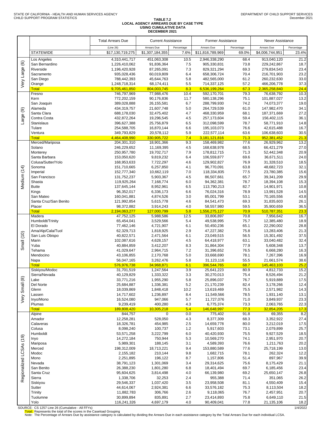#### **TABLE 7.2 LOCAL AGENCY ARREARS DUE BY CASE TYPE USING CUMULATIVE DATA DECEMBER 2021**

|                         |                                     | <b>Total Arrears Due</b>   | <b>Current Assistance</b> |             | <b>Former Assistance</b>   |              | Never Assistance           |              |
|-------------------------|-------------------------------------|----------------------------|---------------------------|-------------|----------------------------|--------------|----------------------------|--------------|
|                         |                                     | (Line 26)                  | Arrears Due               | Percentage  | Arrears Due                | Percentage   | Arrears Due                | Percentage   |
|                         | <b>STATEWIDE</b>                    | \$17,130,719,275           | \$1,307,184,355           | 7.6%        | \$11,816,789,969           | 69.0%        | \$4,006,744,951            | 23.4%        |
|                         | Los Angeles                         | 4,310,441,717              | 451,063,308               | 10.5        | 2,946,338,290              | 68.4         | 913,040,120                | 21.2         |
| $\circlede$             | San Bernardino                      | 1,226,410,062              | 91,836,364                | 7.5         | 905,330,831                | 73.8         | 229,242,867                | 18.7         |
|                         | Riverside                           | 1,196,420,928              | 87,265,091                | 7.3         | 829,321,294                | 69.3         | 279,834,543                | 23.4         |
|                         | Sacramento<br>San Diego             | 935,028,436<br>788,442,393 | 60,019,809<br>45,644,763  | 6.4<br>5.8  | 658,306,724<br>482,565,000 | 70.4<br>61.2 | 216,701,903<br>260,232,630 | 23.2<br>33.0 |
| Very Large              | Orange                              | 1,248,718,314              | 68,174,411                | 5.5         | 714,337,125                | 57.2         | 466,206,778                | 37.3         |
|                         | <b>Total</b>                        | 9,705,461,850              | 804,003,745               | 8.3         | 6,536,199,264              | 67.3         | 2,365,258,840              | 24.4         |
|                         | Fresno                              | 746,797,969                | 77,988,476                | 10.4        | 592,170,701                | 79.3         | 76,638,792                 | 10.3         |
|                         | Kern<br>San Joaquin                 | 772,202,159<br>389,028,888 | 90,176,836<br>26,155,581  | 11.7<br>6.7 | 580,138,296<br>288,799,930 | 75.1<br>74.2 | 101,887,027<br>74,073,377  | 13.2<br>19.0 |
|                         | Alameda                             | 434,319,757                | 21,607,748                | 5.0         | 264,729,539                | 61.0         | 147,982,470                | 34.1         |
| $\circledcirc$          | Santa Clara                         | 688,178,030                | 32,475,402                | 4.7         | 468,330,959                | 68.1         | 187,371,669                | 27.2         |
| Large                   | Contra Costa                        | 432,872,264                | 19,296,545                | 4.5         | 257,173,604                | 59.4         | 156,402,115                | 36.1         |
|                         | Stanislaus                          | 396,627,388                | 25,756,879                | 6.5         | 312,098,599                | 78.7         | 58,771,910                 | 14.8         |
|                         | Tulare<br>Ventura                   | 254,588,705<br>349,793,829 | 16,870,144<br>20,578,112  | 6.6<br>5.9  | 195,103,073<br>222,577,114 | 76.6<br>63.6 | 42,615,488<br>106,638,603  | 16.7<br>30.5 |
|                         | <b>Total</b>                        | 4,464,408,990              | 330,905,722               | 7.4         | 3,181,121,816              | 71.3         | 952,381,452                | 21.3         |
|                         | Merced/Mariposa                     | 204,301,310                | 18,901,366                | 9.3         | 158,469,982                | 77.6         | 26,929,962                 | 13.2         |
|                         | Solano                              | 246,229,652                | 11,169,395                | 4.5         | 168,638,978                | 68.5         | 66,421,279                 | 27.0         |
|                         | Monterey                            | 250,957,780                | 19,702,717                | 7.9         | 178,812,715                | 71.3         | 52,442,348                 | 20.9         |
|                         | Santa Barbara<br>Colusa/Sutter/Yolo | 153,050,620<br>168,953,633 | 9,819,232<br>7,722,297    | 6.4<br>4.6  | 106,559,877<br>129,902,827 | 69.6<br>76.9 | 36,671,511<br>31,328,510   | 24.0<br>18.5 |
|                         | Sonoma                              | 151,710,665                | 6,257,850                 | 4.1         | 96,770,091                 | 63.8         | 48,682,723                 | 32.1         |
| Medium (14)             | Imperial                            | 152,777,340                | 10,662,119                | 7.0         | 118,334,835                | 77.5         | 23,780,385                 | 15.6         |
|                         | San Francisco                       | 131,752,237                | 5,903,367                 | 4.5         | 86,507,661                 | 65.7         | 39,341,209                 | 29.9         |
|                         | Shasta                              | 119,925,264                | 7,168,774                 | 6.0         | 94,362,381                 | 78.7         | 18,394,108                 | 15.3         |
|                         | <b>Butte</b><br>Kings               | 137,645,144<br>96,352,017  | 8,952,961<br>6,336,173    | 6.5<br>6.6  | 113,790,213<br>76,024,316  | 82.7<br>78.9 | 14,901,971<br>13,991,528   | 10.8<br>14.5 |
|                         | San Mateo                           | 160,041,881                | 4,874,526                 | 3.0         | 85,001,799                 | 53.1         | 70,165,556                 | 43.8         |
|                         | Santa Cruz/San Benito               | 121,992,854                | 5,615,778                 | 4.6         | 84,541,473                 | 69.3         | 31,835,603                 | 26.1         |
|                         | Placer                              | 98,372,882                 | 3,914,243                 | 4.0         | 58,557,980                 | 59.5         | 35,900,659                 | 36.5         |
|                         | <b>Total</b><br>Madera              | 2,194,063,277              | 127,000,799               | 5.8<br>12.5 | 1,556,275,127              | 70.9         | 510,787,351                | 23.3<br>16.7 |
|                         | Humboldt/Trinity                    | 47,752,125<br>65,454,041   | 5,988,586<br>3,529,566    | 5.4         | 33,806,897<br>49,538,995   | 70.8<br>75.7 | 7,956,642<br>12,385,480    | 18.9         |
|                         | El Dorado                           | 77,462,146                 | 4,721,907                 | 6.1         | 50,450,236                 | 65.1         | 22,290,002                 | 28.8         |
|                         | Ama/Alp/Cala/Tuol                   | 62,329,713                 | 1,818,925                 | 2.9         | 47,227,382                 | 75.8         | 13,283,406                 | 21.3         |
| Small (10)              | San Luis Obispo                     | 40,822,571                 | 2,471,564                 | 6.1         | 23,049,515                 | 56.5         | 15,301,492                 | 37.5         |
|                         | Marin<br>Yuba                       | 102,087,616<br>40,884,859  | 4,628,157<br>3,412,207    | 4.5<br>8.3  | 64,418,977<br>31,864,304   | 63.1<br>77.9 | 33,040,482<br>5,608,348    | 32.4<br>13.7 |
|                         | Tehama                              | 41,029,647                 | 2,964,715                 | 7.2         | 31,396,652                 | 76.5         | 6,668,280                  | 16.3         |
|                         | Mendocino                           | 43,106,855                 | 2,170,768                 | 5.0         | 33,668,690                 | 78.1         | 7,267,396                  | 16.9         |
|                         | Napa                                | 56,047,165                 | 3,262,476                 | 5.8         | 31,123,116                 | 55.5         | 21,661,574                 | 38.6         |
|                         | <b>Total</b>                        | 576,976,738                | 34,968,871                | 6.1         | 396,544,765                | 68.7         | 145,463,103                | 25.2         |
|                         | Siskiyou/Modoc<br>Sierra/Nevada     | 31,701,519<br>40,129,829   | 1,247,564<br>1,333,322    | 3.9<br>3.3  | 25,641,223<br>30,270,013   | 80.9<br>75.4 | 4,812,733<br>8,526,494     | 15.2<br>21.2 |
|                         | Lake                                | 33,771,216                 | 1,955,290                 | 5.8         | 25,896,037                 | 76.7         | 5,919,889                  | 17.5         |
|                         | Del Norte                           | 25,684,887                 | 1,336,381                 | 5.2         | 21,170,239                 | 82.4         | 3,178,266                  | 12.4         |
|                         | Glenn                               | 18,039,869                 | 1,848,418                 | 10.2        | 13,619,469                 | 75.5         | 2,571,982                  | 14.3         |
| Very Small (8)          | Lassen<br>Inyo/Mono                 | 14,717,602<br>16,524,080   | 1,236,897<br>947,066      | 8.4<br>5.7  | 11,549,566<br>11,727,076   | 78.5<br>71.0 | 1,931,140<br>3,849,937     | 13.1<br>23.3 |
|                         | Plumas                              | 9,239,419                  | 400,280                   | 4.3         | 6,775,374                  | 73.3         | 2,063,765                  | 22.3         |
|                         | <b>Total</b>                        | 189,808,420                | 10,305,218                | 5.4         | 146,648,997                | 77.3         | 32,854,205                 | 17.3         |
|                         | Alpine                              | 844,757                    | 0                         | 0.0         | 775,402                    | 91.8         | 69,355                     | 8.2          |
|                         | Amador                              | 12,258,281                 | 528,050                   | 4.3         | 8,377,309                  | 68.3         | 3,352,922                  | 27.4         |
|                         | Calaveras<br>Colusa                 | 18,326,781<br>8,098,240    | 454,985<br>100,737        | 2.5<br>1.2  | 14,659,778<br>5,917,603    | 80.0<br>73.1 | 3,212,019<br>2,079,899     | 17.5<br>25.7 |
|                         | Humboldt                            | 53,571,258                 | 3,222,799                 | 6.0         | 40,420,930                 | 75.5         | 9,927,529                  | 18.5         |
|                         | Inyo                                | 14,272,184                 | 750,944                   | 5.3         | 10,569,270                 | 74.1         | 2,951,970                  | 20.7         |
|                         | Mariposa                            | 5,989,301                  | 188,145                   | 3.1         | 4,589,393                  | 76.6         | 1,211,763                  | 20.2         |
| Regionalized LCSAs (19) | Merced<br>Modoc                     | 198,312,009                | 18,713,221                | 9.4         | 153,880,589                | 77.6         | 25,718,199                 | 13.0<br>12.2 |
|                         | Mono                                | 2,155,182<br>2,251,895     | 210,144<br>196,122        | 9.8<br>8.7  | 1,682,715<br>1,157,806     | 78.1<br>51.4 | 262,324<br>897,967         | 39.9         |
|                         | Nevada                              | 38,791,123                 | 1,301,069                 | 3.4         | 29,314,625                 | 75.6         | 8,175,429                  | 21.1         |
|                         | San Benito                          | 26,388,230                 | 1,801,280                 | 6.8         | 18,401,494                 | 69.7         | 6,185,456                  | 23.4         |
|                         | Santa Cruz                          | 95,604,625                 | 3,814,498                 | 4.0         | 66,139,980                 | 69.2         | 25,650,147                 | 26.8         |
|                         | Sierra                              | 1,338,706                  | 32,253                    | 2.4<br>3.5  | 955,388                    | 71.4<br>81.1 | 351,065                    | 26.2         |
|                         | Siskiyou<br>Sutter                  | 29,546,337<br>44,614,067   | 1,037,420<br>2,924,381    | 6.6         | 23,958,508<br>33,576,182   | 75.3         | 4,550,409<br>8,113,504     | 15.4<br>18.2 |
|                         | Trinity                             | 11,882,783                 | 306,766                   | 2.6         | 9,118,065                  | 76.7         | 2,457,951                  | 20.7         |
|                         | Tuolumne                            | 30,899,894                 | 835,891                   | 2.7         | 23,414,893                 | 75.8         | 6,649,110                  | 21.5         |
|                         | Yolo                                | 116,241,326                | 4,697,179                 | 4.0         | 90,409,041                 | 77.8         | 21,135,106                 | 18.2         |

SOURCE: CS 1257 Line 26 (Cumulative - All FFYs)<br>Total: Represents the total of the scores in the Caseload Grouping<br>Note: The Percentage of Arrears Due by assistance category is calculated by dividing the Arrears Due in eac